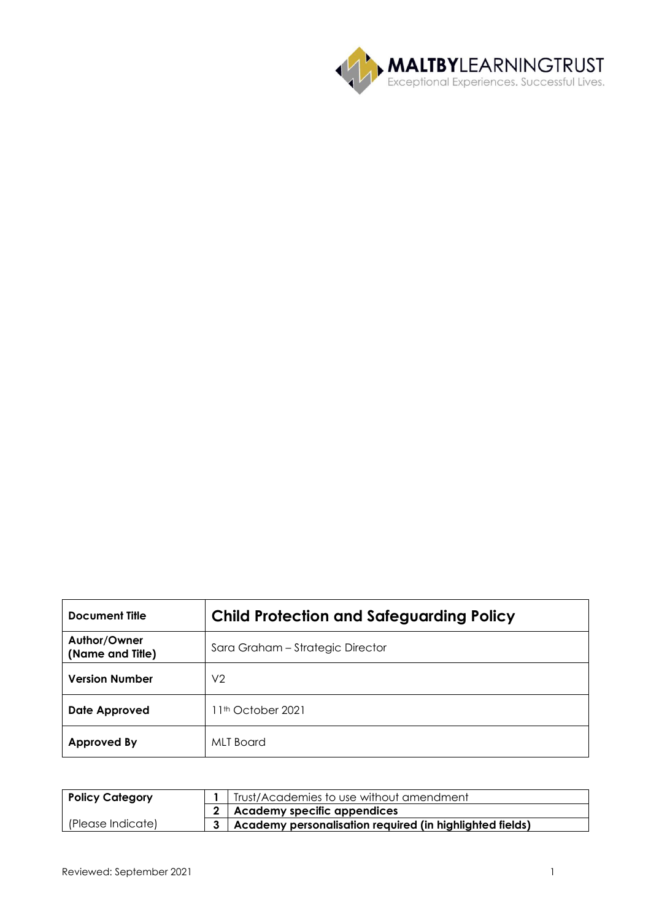

| <b>Document Title</b>            | <b>Child Protection and Safeguarding Policy</b> |
|----------------------------------|-------------------------------------------------|
| Author/Owner<br>(Name and Title) | Sara Graham - Strategic Director                |
| <b>Version Number</b>            | V <sub>2</sub>                                  |
| <b>Date Approved</b>             | 11 <sup>th</sup> October 2021                   |
| <b>Approved By</b>               | MLT Board                                       |

| <b>Policy Category</b> | Trust/Academies to use without amendment                     |  |
|------------------------|--------------------------------------------------------------|--|
|                        | 2 Academy specific appendices                                |  |
| (Please Indicate)      | 3   Academy personalisation required (in highlighted fields) |  |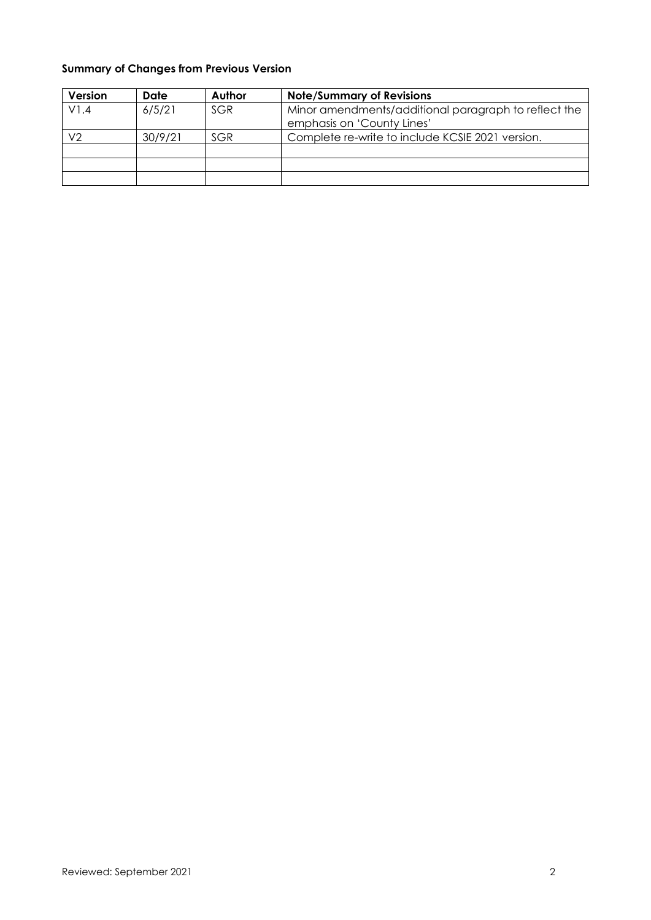# **Summary of Changes from Previous Version**

| Version | Date    | Author | <b>Note/Summary of Revisions</b>                                                   |
|---------|---------|--------|------------------------------------------------------------------------------------|
| V1.4    | 6/5/21  | SGR    | Minor amendments/additional paragraph to reflect the<br>emphasis on 'County Lines' |
| V2      | 30/9/21 | SGR    | Complete re-write to include KCSIE 2021 version.                                   |
|         |         |        |                                                                                    |
|         |         |        |                                                                                    |
|         |         |        |                                                                                    |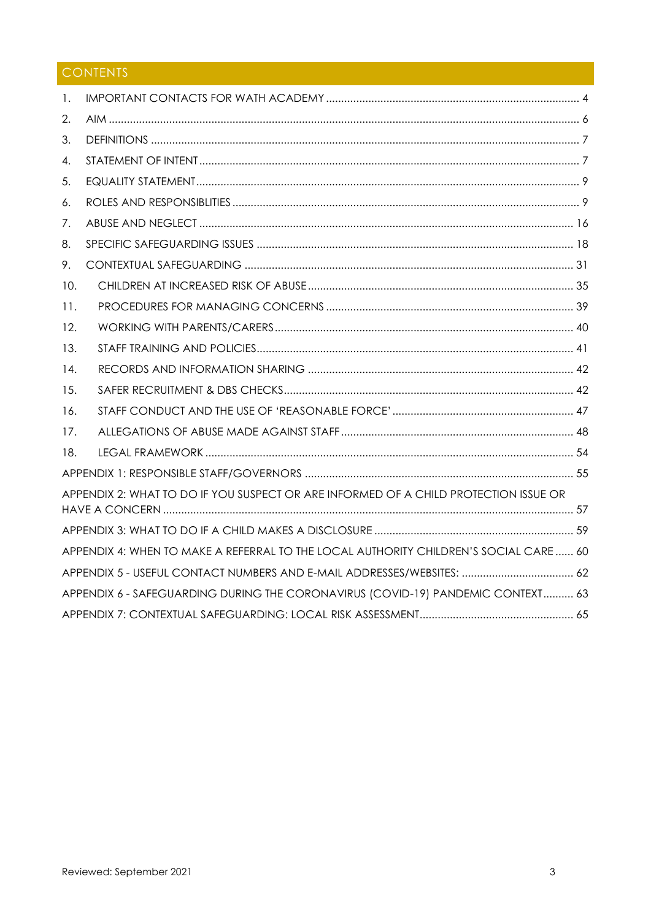# CONTENTS

| 1.                                                                                    |                                                                                      |  |  |  |
|---------------------------------------------------------------------------------------|--------------------------------------------------------------------------------------|--|--|--|
| 2.                                                                                    |                                                                                      |  |  |  |
| 3.                                                                                    |                                                                                      |  |  |  |
| 4.                                                                                    |                                                                                      |  |  |  |
| 5.                                                                                    |                                                                                      |  |  |  |
| 6.                                                                                    |                                                                                      |  |  |  |
| 7.                                                                                    |                                                                                      |  |  |  |
| 8.                                                                                    |                                                                                      |  |  |  |
| 9.                                                                                    |                                                                                      |  |  |  |
| 10.                                                                                   |                                                                                      |  |  |  |
| 11.                                                                                   |                                                                                      |  |  |  |
| 12.                                                                                   |                                                                                      |  |  |  |
| 13.                                                                                   |                                                                                      |  |  |  |
| 14.                                                                                   |                                                                                      |  |  |  |
| 15.                                                                                   |                                                                                      |  |  |  |
| 16.                                                                                   |                                                                                      |  |  |  |
| 17.                                                                                   |                                                                                      |  |  |  |
| 18.                                                                                   |                                                                                      |  |  |  |
|                                                                                       |                                                                                      |  |  |  |
|                                                                                       | APPENDIX 2: WHAT TO DO IF YOU SUSPECT OR ARE INFORMED OF A CHILD PROTECTION ISSUE OR |  |  |  |
|                                                                                       |                                                                                      |  |  |  |
| APPENDIX 4: WHEN TO MAKE A REFERRAL TO THE LOCAL AUTHORITY CHILDREN'S SOCIAL CARE  60 |                                                                                      |  |  |  |
|                                                                                       |                                                                                      |  |  |  |
| APPENDIX 6 - SAFEGUARDING DURING THE CORONAVIRUS (COVID-19) PANDEMIC CONTEXT 63       |                                                                                      |  |  |  |
|                                                                                       |                                                                                      |  |  |  |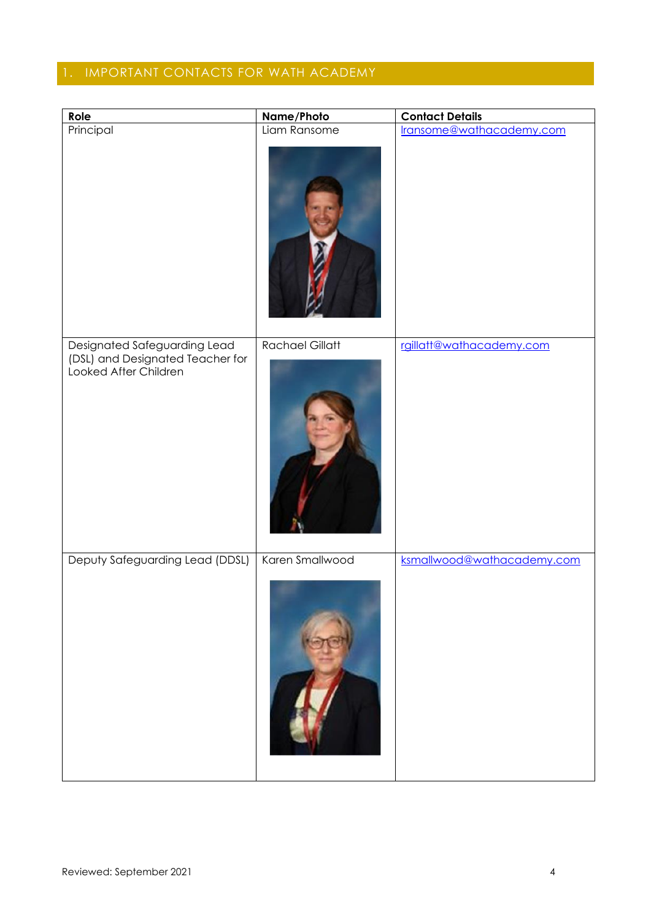# <span id="page-3-0"></span>1. IMPORTANT CONTACTS FOR WATH ACADEMY

| Role                                                                                      | Name/Photo             | <b>Contact Details</b>     |
|-------------------------------------------------------------------------------------------|------------------------|----------------------------|
| Principal                                                                                 | Liam Ransome           | lransome@wathacademy.com   |
| Designated Safeguarding Lead<br>(DSL) and Designated Teacher for<br>Looked After Children | <b>Rachael Gillatt</b> | rgillatt@wathacademy.com   |
| Deputy Safeguarding Lead (DDSL)                                                           | Karen Smallwood        | ksmallwood@wathacademy.com |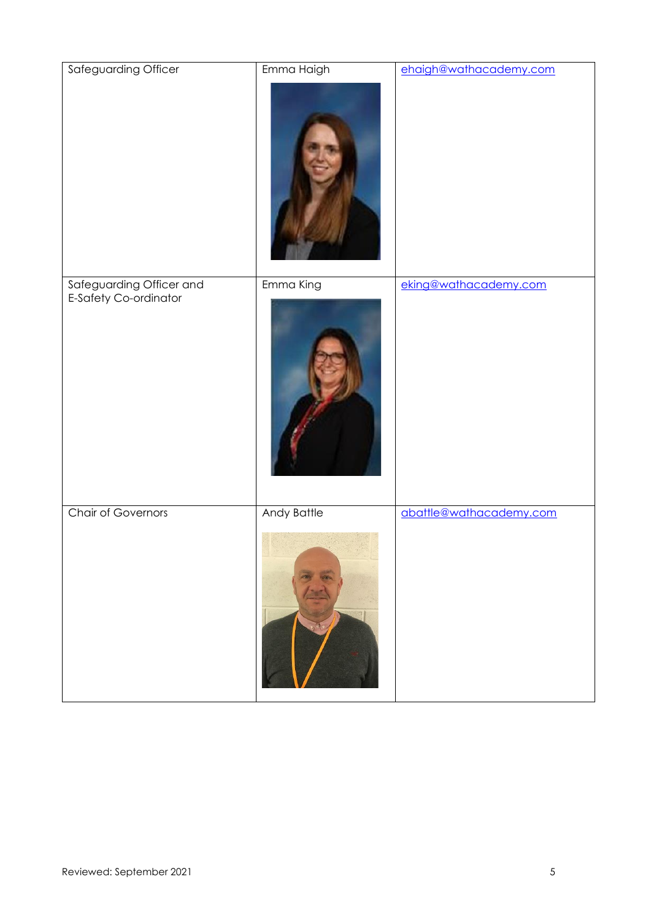| Safeguarding Officer                              | Emma Haigh  | ehaigh@wathacademy.com  |
|---------------------------------------------------|-------------|-------------------------|
| Safeguarding Officer and<br>E-Safety Co-ordinator | Emma King   | eking@wathacademy.com   |
| <b>Chair of Governors</b>                         | Andy Battle | abattle@wathacademy.com |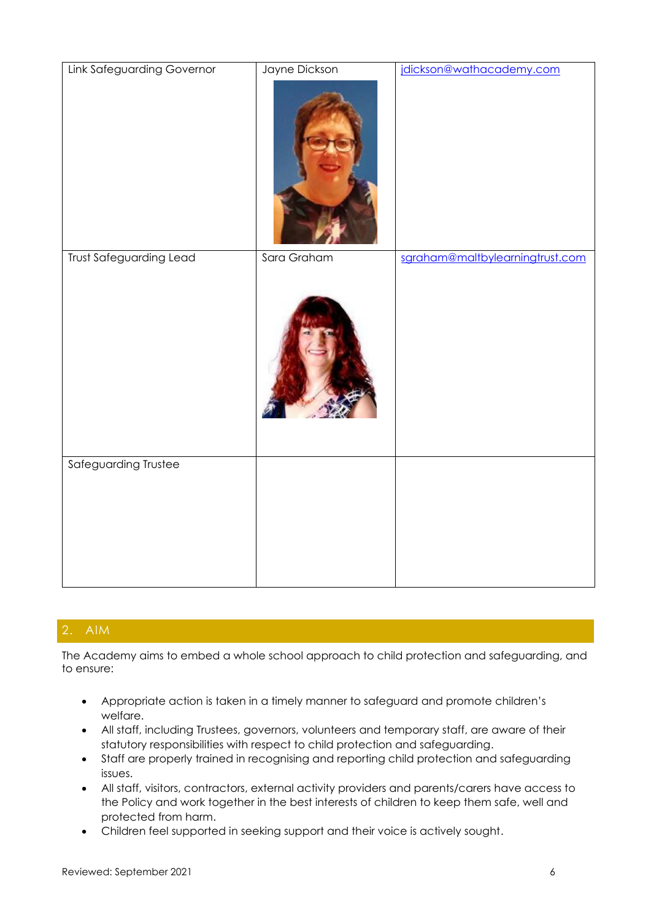| <b>Link Safeguarding Governor</b> | Jayne Dickson | jdickson@wathacademy.com        |
|-----------------------------------|---------------|---------------------------------|
|                                   |               |                                 |
| <b>Trust Safeguarding Lead</b>    | Sara Graham   | sgraham@maltbylearningtrust.com |
|                                   |               |                                 |
| Safeguarding Trustee              |               |                                 |

# <span id="page-5-0"></span>2. AIM

The Academy aims to embed a whole school approach to child protection and safeguarding, and to ensure:

- Appropriate action is taken in a timely manner to safeguard and promote children's welfare.
- All staff, including Trustees, governors, volunteers and temporary staff, are aware of their statutory responsibilities with respect to child protection and safeguarding.
- Staff are properly trained in recognising and reporting child protection and safeguarding issues.
- All staff, visitors, contractors, external activity providers and parents/carers have access to the Policy and work together in the best interests of children to keep them safe, well and protected from harm.
- Children feel supported in seeking support and their voice is actively sought.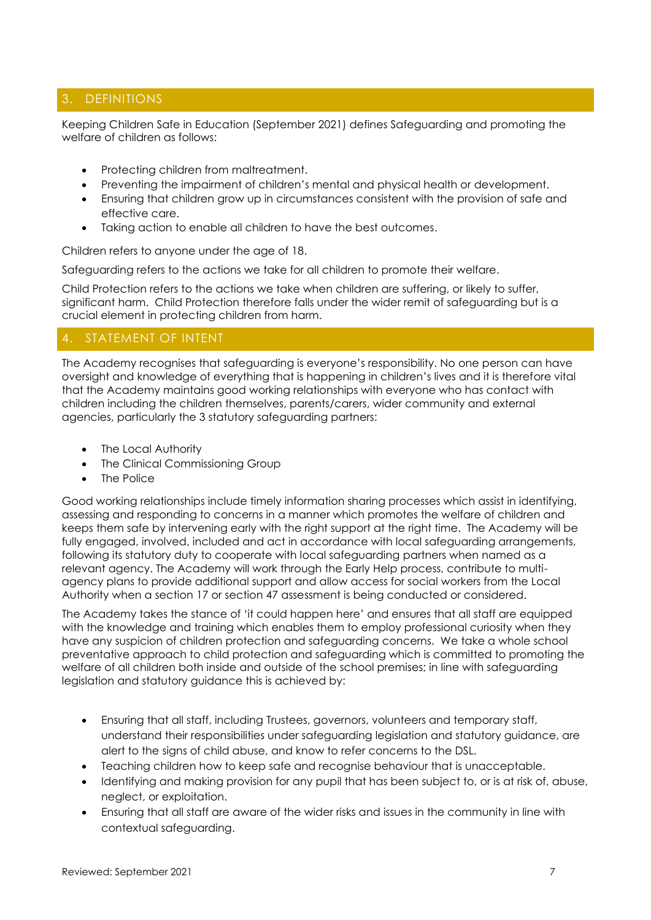# <span id="page-6-0"></span>3. DEFINITIONS

Keeping Children Safe in Education (September 2021) defines Safeguarding and promoting the welfare of children as follows:

- Protecting children from maltreatment.
- Preventing the impairment of children's mental and physical health or development.
- Ensuring that children grow up in circumstances consistent with the provision of safe and effective care.
- Taking action to enable all children to have the best outcomes.

Children refers to anyone under the age of 18.

Safeguarding refers to the actions we take for all children to promote their welfare.

Child Protection refers to the actions we take when children are suffering, or likely to suffer, significant harm. Child Protection therefore falls under the wider remit of safeguarding but is a crucial element in protecting children from harm.

# <span id="page-6-1"></span>4. STATEMENT OF INTENT

The Academy recognises that safeguarding is everyone's responsibility. No one person can have oversight and knowledge of everything that is happening in children's lives and it is therefore vital that the Academy maintains good working relationships with everyone who has contact with children including the children themselves, parents/carers, wider community and external agencies, particularly the 3 statutory safeguarding partners:

- The Local Authority
- The Clinical Commissioning Group
- The Police

Good working relationships include timely information sharing processes which assist in identifying, assessing and responding to concerns in a manner which promotes the welfare of children and keeps them safe by intervening early with the right support at the right time. The Academy will be fully engaged, involved, included and act in accordance with local safeguarding arrangements, following its statutory duty to cooperate with local safeguarding partners when named as a relevant agency. The Academy will work through the Early Help process, contribute to multiagency plans to provide additional support and allow access for social workers from the Local Authority when a section 17 or section 47 assessment is being conducted or considered.

The Academy takes the stance of 'it could happen here' and ensures that all staff are equipped with the knowledge and training which enables them to employ professional curiosity when they have any suspicion of children protection and safeguarding concerns. We take a whole school preventative approach to child protection and safeguarding which is committed to promoting the welfare of all children both inside and outside of the school premises; in line with safeguarding legislation and statutory guidance this is achieved by:

- Ensuring that all staff, including Trustees, governors, volunteers and temporary staff, understand their responsibilities under safeguarding legislation and statutory guidance, are alert to the signs of child abuse, and know to refer concerns to the DSL.
- Teaching children how to keep safe and recognise behaviour that is unacceptable.
- Identifying and making provision for any pupil that has been subject to, or is at risk of, abuse, neglect, or exploitation.
- Ensuring that all staff are aware of the wider risks and issues in the community in line with contextual safeguarding.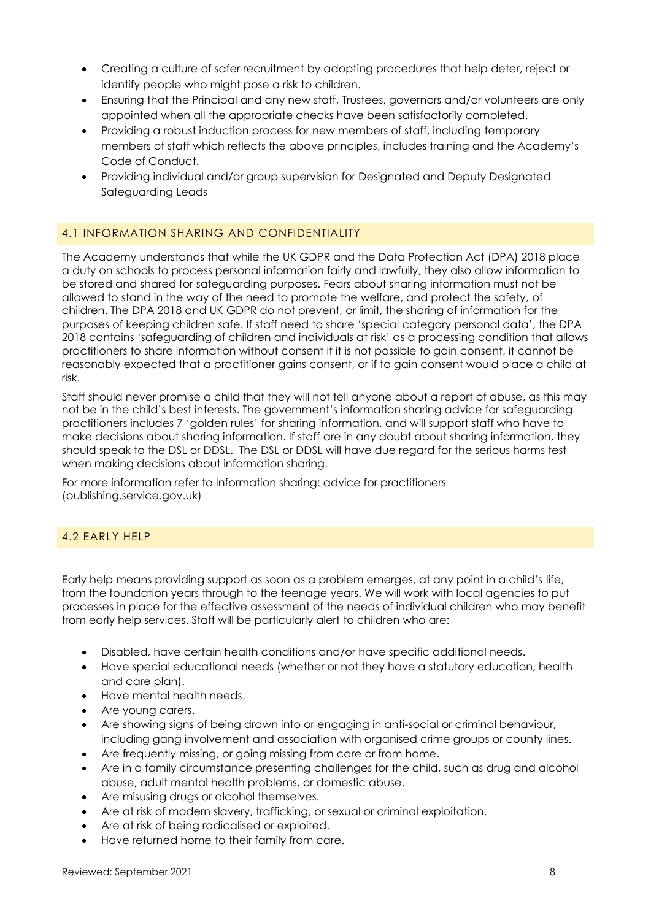- Creating a culture of safer recruitment by adopting procedures that help deter, reject or identify people who might pose a risk to children.
- Ensuring that the Principal and any new staff, Trustees, governors and/or volunteers are only appointed when all the appropriate checks have been satisfactorily completed.
- Providing a robust induction process for new members of staff, including temporary members of staff which reflects the above principles, includes training and the Academy's Code of Conduct.
- Providing individual and/or group supervision for Designated and Deputy Designated Safeguarding Leads

## 4.1 INFORMATION SHARING AND CONFIDENTIALITY

The Academy understands that while the UK GDPR and the Data Protection Act (DPA) 2018 place a duty on schools to process personal information fairly and lawfully, they also allow information to be stored and shared for safeguarding purposes. Fears about sharing information must not be allowed to stand in the way of the need to promote the welfare, and protect the safety, of children. The DPA 2018 and UK GDPR do not prevent, or limit, the sharing of information for the purposes of keeping children safe. If staff need to share 'special category personal data', the DPA 2018 contains 'safeguarding of children and individuals at risk' as a processing condition that allows practitioners to share information without consent if it is not possible to gain consent, it cannot be reasonably expected that a practitioner gains consent, or if to gain consent would place a child at risk.

Staff should never promise a child that they will not tell anyone about a report of abuse, as this may not be in the child's best interests. The government's information sharing advice for safeguarding practitioners includes 7 'golden rules' for sharing information, and will support staff who have to make decisions about sharing information. If staff are in any doubt about sharing information, they should speak to the DSL or DDSL. The DSL or DDSL will have due regard for the serious harms test when making decisions about information sharing.

For more information refer to [Information sharing: advice for practitioners](https://assets.publishing.service.gov.uk/government/uploads/system/uploads/attachment_data/file/721581/Information_sharing_advice_practitioners_safeguarding_services.pdf)  [\(publishing.service.gov.uk\)](https://assets.publishing.service.gov.uk/government/uploads/system/uploads/attachment_data/file/721581/Information_sharing_advice_practitioners_safeguarding_services.pdf)

## 4.2 EARLY HELP

Early help means providing support as soon as a problem emerges, at any point in a child's life, from the foundation years through to the teenage years. We will work with local agencies to put processes in place for the effective assessment of the needs of individual children who may benefit from early help services. Staff will be particularly alert to children who are:

- Disabled, have certain health conditions and/or have specific additional needs.
- Have special educational needs (whether or not they have a statutory education, health and care plan).
- Have mental health needs.
- Are young carers.
- Are showing signs of being drawn into or engaging in anti-social or criminal behaviour, including gang involvement and association with organised crime groups or county lines.
- Are frequently missing, or going missing from care or from home.
- Are in a family circumstance presenting challenges for the child, such as drug and alcohol abuse, adult mental health problems, or domestic abuse.
- Are misusing drugs or alcohol themselves.
- Are at risk of modern slavery, trafficking, or sexual or criminal exploitation.
- Are at risk of being radicalised or exploited.
- Have returned home to their family from care.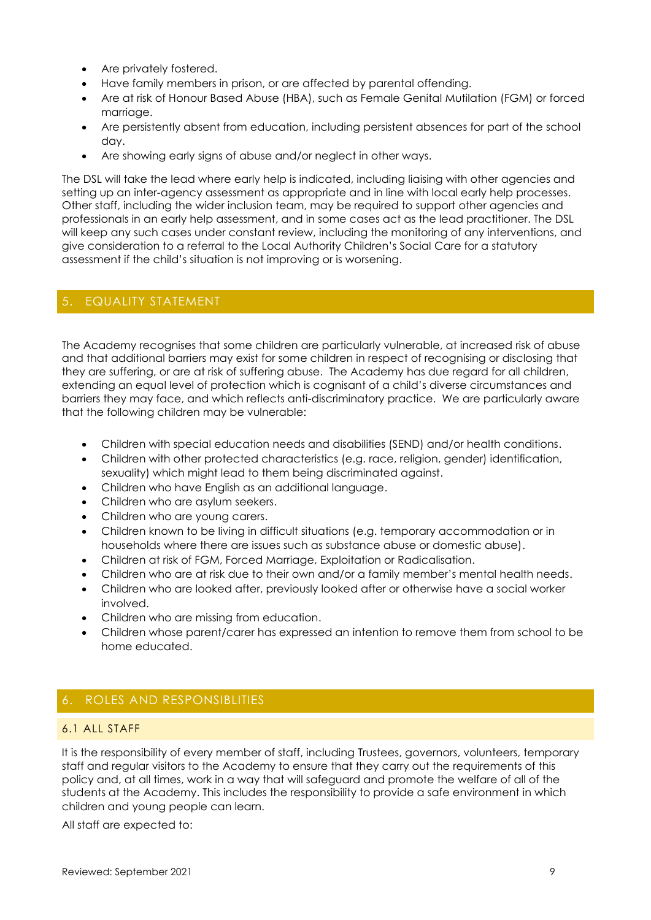- Are privately fostered.
- Have family members in prison, or are affected by parental offending.
- Are at risk of Honour Based Abuse (HBA), such as Female Genital Mutilation (FGM) or forced marriage.
- Are persistently absent from education, including persistent absences for part of the school day.
- Are showing early signs of abuse and/or neglect in other ways.

The DSL will take the lead where early help is indicated, including liaising with other agencies and setting up an inter-agency assessment as appropriate and in line with local early help processes. Other staff, including the wider inclusion team, may be required to support other agencies and professionals in an early help assessment, and in some cases act as the lead practitioner. The DSL will keep any such cases under constant review, including the monitoring of any interventions, and give consideration to a referral to the Local Authority Children's Social Care for a statutory assessment if the child's situation is not improving or is worsening.

## <span id="page-8-0"></span>5. EQUALITY STATEMENT

The Academy recognises that some children are particularly vulnerable, at increased risk of abuse and that additional barriers may exist for some children in respect of recognising or disclosing that they are suffering, or are at risk of suffering abuse. The Academy has due regard for all children, extending an equal level of protection which is cognisant of a child's diverse circumstances and barriers they may face, and which reflects anti-discriminatory practice. We are particularly aware that the following children may be vulnerable:

- Children with special education needs and disabilities (SEND) and/or health conditions.
- Children with other protected characteristics (e.g. race, religion, gender) identification, sexuality) which might lead to them being discriminated against.
- Children who have English as an additional language.
- Children who are asylum seekers.
- Children who are young carers.
- Children known to be living in difficult situations (e.g. temporary accommodation or in households where there are issues such as substance abuse or domestic abuse).
- Children at risk of FGM, Forced Marriage, Exploitation or Radicalisation.
- Children who are at risk due to their own and/or a family member's mental health needs.
- Children who are looked after, previously looked after or otherwise have a social worker involved.
- Children who are missing from education.
- Children whose parent/carer has expressed an intention to remove them from school to be home educated.

## <span id="page-8-1"></span>6. ROLES AND RESPONSIBLITIES

#### 6.1 ALL STAFF

It is the responsibility of every member of staff, including Trustees, governors, volunteers, temporary staff and regular visitors to the Academy to ensure that they carry out the requirements of this policy and, at all times, work in a way that will safeguard and promote the welfare of all of the students at the Academy. This includes the responsibility to provide a safe environment in which children and young people can learn.

All staff are expected to: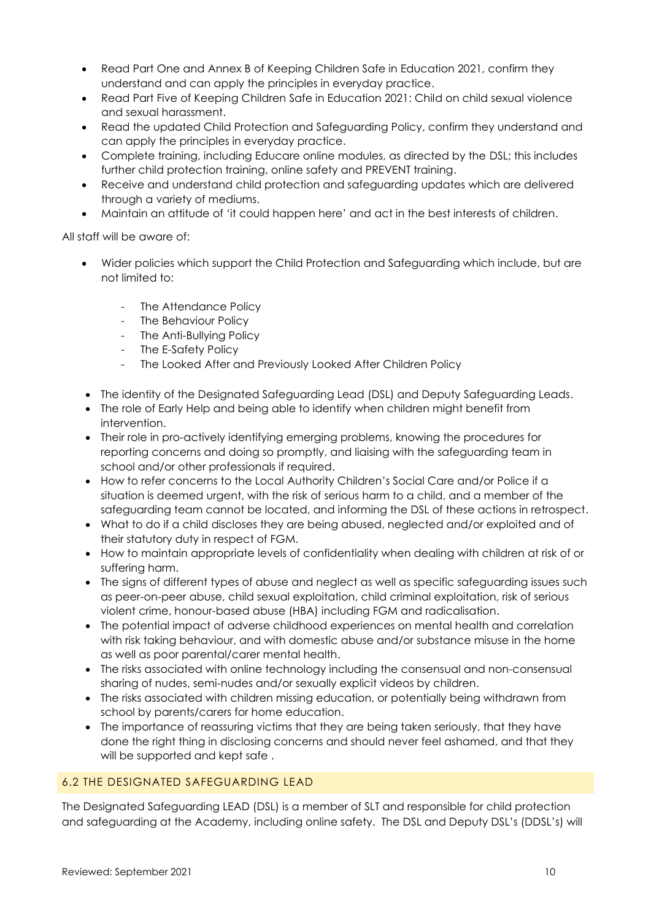- Read Part One and Annex B of Keeping Children Safe in Education 2021, confirm they understand and can apply the principles in everyday practice.
- Read Part Five of Keeping Children Safe in Education 2021: Child on child sexual violence and sexual harassment.
- Read the updated Child Protection and Safeguarding Policy, confirm they understand and can apply the principles in everyday practice.
- Complete training, including Educare online modules, as directed by the DSL; this includes further child protection training, online safety and PREVENT training.
- Receive and understand child protection and safeguarding updates which are delivered through a variety of mediums.
- Maintain an attitude of 'it could happen here' and act in the best interests of children.

All staff will be aware of:

- Wider policies which support the Child Protection and Safeguarding which include, but are not limited to:
	- The Attendance Policy
	- The Behaviour Policy
	- The Anti-Bullying Policy
	- The E-Safety Policy
	- The Looked After and Previously Looked After Children Policy
- The identity of the Designated Safeguarding Lead (DSL) and Deputy Safeguarding Leads.
- The role of Early Help and being able to identify when children might benefit from intervention.
- Their role in pro-actively identifying emerging problems, knowing the procedures for reporting concerns and doing so promptly, and liaising with the safeguarding team in school and/or other professionals if required.
- How to refer concerns to the Local Authority Children's Social Care and/or Police if a situation is deemed urgent, with the risk of serious harm to a child, and a member of the safeguarding team cannot be located, and informing the DSL of these actions in retrospect.
- What to do if a child discloses they are being abused, neglected and/or exploited and of their statutory duty in respect of FGM.
- How to maintain appropriate levels of confidentiality when dealing with children at risk of or suffering harm.
- The signs of different types of abuse and neglect as well as specific safeguarding issues such as peer-on-peer abuse, child sexual exploitation, child criminal exploitation, risk of serious violent crime, honour-based abuse (HBA) including FGM and radicalisation.
- The potential impact of adverse childhood experiences on mental health and correlation with risk taking behaviour, and with domestic abuse and/or substance misuse in the home as well as poor parental/carer mental health.
- The risks associated with online technology including the consensual and non-consensual sharing of nudes, semi-nudes and/or sexually explicit videos by children.
- The risks associated with children missing education, or potentially being withdrawn from school by parents/carers for home education.
- The importance of reassuring victims that they are being taken seriously, that they have done the right thing in disclosing concerns and should never feel ashamed, and that they will be supported and kept safe .

## 6.2 THE DESIGNATED SAFEGUARDING LEAD

The Designated Safeguarding LEAD (DSL) is a member of SLT and responsible for child protection and safeguarding at the Academy, including online safety. The DSL and Deputy DSL's (DDSL's) will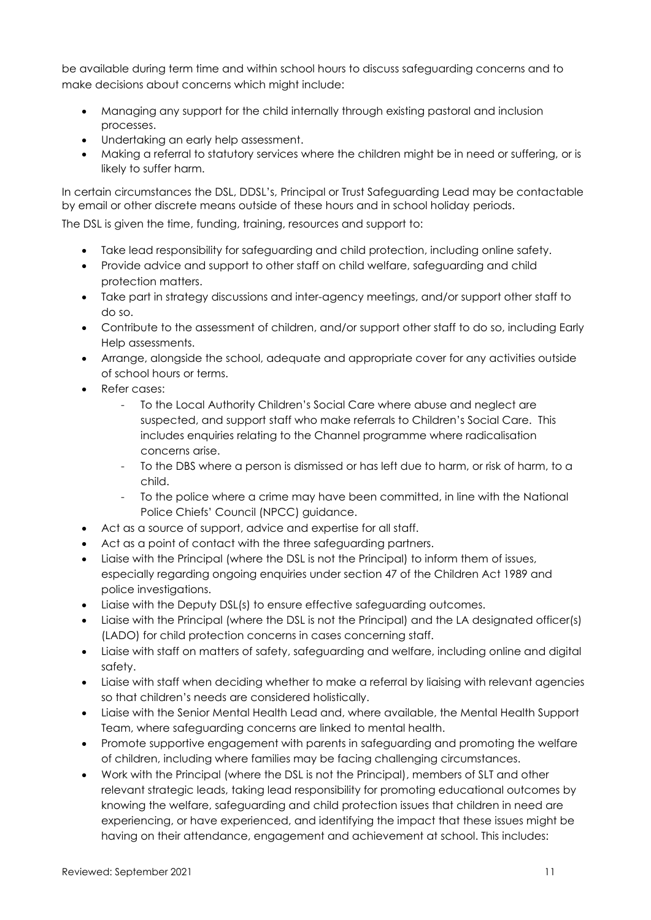be available during term time and within school hours to discuss safeguarding concerns and to make decisions about concerns which might include:

- Managing any support for the child internally through existing pastoral and inclusion processes.
- Undertaking an early help assessment.
- Making a referral to statutory services where the children might be in need or suffering, or is likely to suffer harm.

In certain circumstances the DSL, DDSL's, Principal or Trust Safeguarding Lead may be contactable by email or other discrete means outside of these hours and in school holiday periods.

The DSL is given the time, funding, training, resources and support to:

- Take lead responsibility for safeguarding and child protection, including online safety.
- Provide advice and support to other staff on child welfare, safeguarding and child protection matters.
- Take part in strategy discussions and inter-agency meetings, and/or support other staff to do so.
- Contribute to the assessment of children, and/or support other staff to do so, including Early Help assessments.
- Arrange, alongside the school, adequate and appropriate cover for any activities outside of school hours or terms.
- Refer cases:
	- To the Local Authority Children's Social Care where abuse and neglect are suspected, and support staff who make referrals to Children's Social Care. This includes enquiries relating to the Channel programme where radicalisation concerns arise.
	- To the DBS where a person is dismissed or has left due to harm, or risk of harm, to a child.
	- To the police where a crime may have been committed, in line with the National Police Chiefs' Council (NPCC) guidance.
- Act as a source of support, advice and expertise for all staff.
- Act as a point of contact with the three safeguarding partners.
- Liaise with the Principal (where the DSL is not the Principal) to inform them of issues, especially regarding ongoing enquiries under section 47 of the Children Act 1989 and police investigations.
- Liaise with the Deputy DSL(s) to ensure effective safeguarding outcomes.
- Liaise with the Principal (where the DSL is not the Principal) and the LA designated officer(s) (LADO) for child protection concerns in cases concerning staff.
- Liaise with staff on matters of safety, safeguarding and welfare, including online and digital safety.
- Liaise with staff when deciding whether to make a referral by liaising with relevant agencies so that children's needs are considered holistically.
- Liaise with the Senior Mental Health Lead and, where available, the Mental Health Support Team, where safeguarding concerns are linked to mental health.
- Promote supportive engagement with parents in safeguarding and promoting the welfare of children, including where families may be facing challenging circumstances.
- Work with the Principal (where the DSL is not the Principal), members of SLT and other relevant strategic leads, taking lead responsibility for promoting educational outcomes by knowing the welfare, safeguarding and child protection issues that children in need are experiencing, or have experienced, and identifying the impact that these issues might be having on their attendance, engagement and achievement at school. This includes: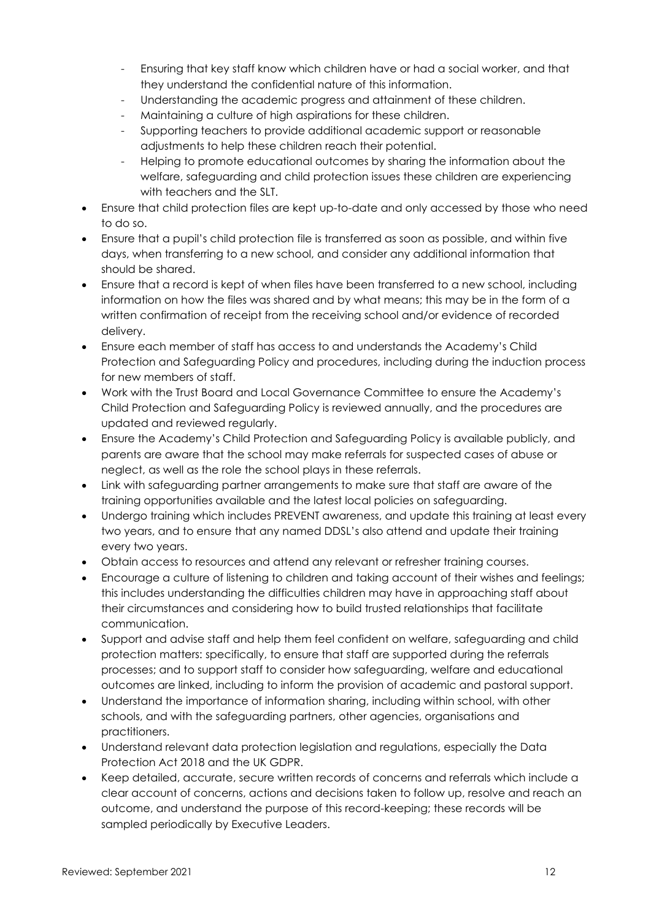- Ensuring that key staff know which children have or had a social worker, and that they understand the confidential nature of this information.
- Understanding the academic progress and attainment of these children.
- Maintaining a culture of high aspirations for these children.
- Supporting teachers to provide additional academic support or reasonable adjustments to help these children reach their potential.
- Helping to promote educational outcomes by sharing the information about the welfare, safeguarding and child protection issues these children are experiencing with teachers and the SLT.
- Ensure that child protection files are kept up-to-date and only accessed by those who need to do so.
- Ensure that a pupil's child protection file is transferred as soon as possible, and within five days, when transferring to a new school, and consider any additional information that should be shared.
- Ensure that a record is kept of when files have been transferred to a new school, including information on how the files was shared and by what means; this may be in the form of a written confirmation of receipt from the receiving school and/or evidence of recorded delivery.
- Ensure each member of staff has access to and understands the Academy's Child Protection and Safeguarding Policy and procedures, including during the induction process for new members of staff.
- Work with the Trust Board and Local Governance Committee to ensure the Academy's Child Protection and Safeguarding Policy is reviewed annually, and the procedures are updated and reviewed regularly.
- Ensure the Academy's Child Protection and Safeguarding Policy is available publicly, and parents are aware that the school may make referrals for suspected cases of abuse or neglect, as well as the role the school plays in these referrals.
- Link with safeguarding partner arrangements to make sure that staff are aware of the training opportunities available and the latest local policies on safeguarding.
- Undergo training which includes PREVENT awareness, and update this training at least every two years, and to ensure that any named DDSL's also attend and update their training every two years.
- Obtain access to resources and attend any relevant or refresher training courses.
- Encourage a culture of listening to children and taking account of their wishes and feelings; this includes understanding the difficulties children may have in approaching staff about their circumstances and considering how to build trusted relationships that facilitate communication.
- Support and advise staff and help them feel confident on welfare, safeguarding and child protection matters: specifically, to ensure that staff are supported during the referrals processes; and to support staff to consider how safeguarding, welfare and educational outcomes are linked, including to inform the provision of academic and pastoral support.
- Understand the importance of information sharing, including within school, with other schools, and with the safeguarding partners, other agencies, organisations and practitioners.
- Understand relevant data protection legislation and regulations, especially the Data Protection Act 2018 and the UK GDPR.
- Keep detailed, accurate, secure written records of concerns and referrals which include a clear account of concerns, actions and decisions taken to follow up, resolve and reach an outcome, and understand the purpose of this record-keeping; these records will be sampled periodically by Executive Leaders.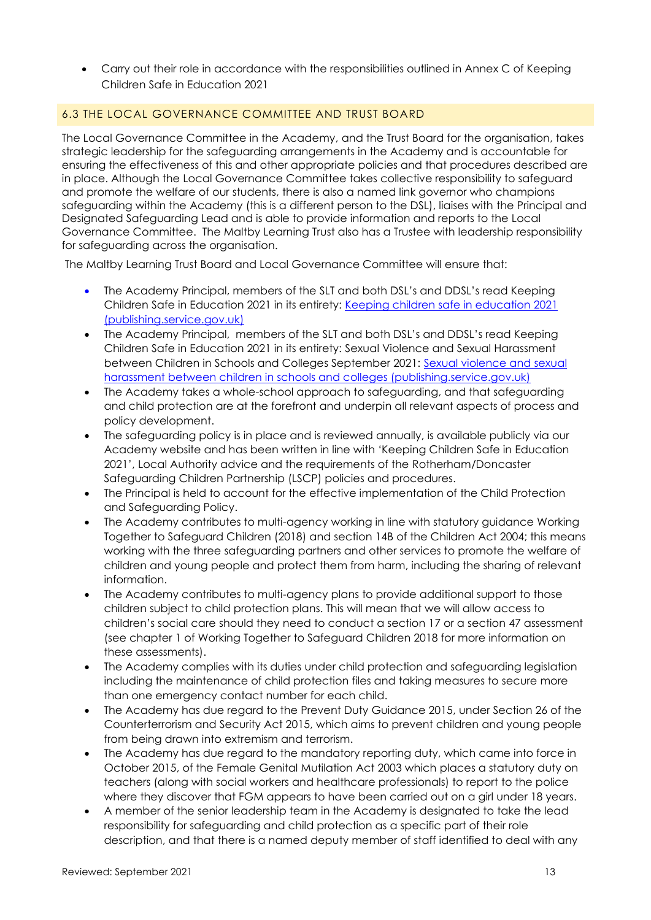• Carry out their role in accordance with the responsibilities outlined in Annex C of Keeping Children Safe in Education 2021

### 6.3 THE LOCAL GOVERNANCE COMMITTEE AND TRUST BOARD

The Local Governance Committee in the Academy, and the Trust Board for the organisation, takes strategic leadership for the safeguarding arrangements in the Academy and is accountable for ensuring the effectiveness of this and other appropriate policies and that procedures described are in place. Although the Local Governance Committee takes collective responsibility to safeguard and promote the welfare of our students, there is also a named link governor who champions safeguarding within the Academy (this is a different person to the DSL), liaises with the Principal and Designated Safeguarding Lead and is able to provide information and reports to the Local Governance Committee. The Maltby Learning Trust also has a Trustee with leadership responsibility for safeguarding across the organisation.

The Maltby Learning Trust Board and Local Governance Committee will ensure that:

- The Academy Principal, members of the SLT and both DSL's and DDSL's read Keeping Children Safe in Education 2021 in its entirety: [Keeping children safe in education 2021](https://assets.publishing.service.gov.uk/government/uploads/system/uploads/attachment_data/file/1007260/Keeping_children_safe_in_education_2021.pdf)  [\(publishing.service.gov.uk\)](https://assets.publishing.service.gov.uk/government/uploads/system/uploads/attachment_data/file/1007260/Keeping_children_safe_in_education_2021.pdf)
- The Academy Principal, members of the SLT and both DSL's and DDSL's read Keeping Children Safe in Education 2021 in its entirety: Sexual Violence and Sexual Harassment between Children in Schools and Colleges September 2021: [Sexual violence and sexual](https://assets.publishing.service.gov.uk/government/uploads/system/uploads/attachment_data/file/999239/SVSH_2021.pdf)  [harassment between children in schools and colleges \(publishing.service.gov.uk\)](https://assets.publishing.service.gov.uk/government/uploads/system/uploads/attachment_data/file/999239/SVSH_2021.pdf)
- The Academy takes a whole-school approach to safeguarding, and that safeguarding and child protection are at the forefront and underpin all relevant aspects of process and policy development.
- The safeguarding policy is in place and is reviewed annually, is available publicly via our Academy website and has been written in line with 'Keeping Children Safe in Education 2021', Local Authority advice and the requirements of the Rotherham/Doncaster Safeguarding Children Partnership (LSCP) policies and procedures.
- The Principal is held to account for the effective implementation of the Child Protection and Safeguarding Policy.
- The Academy contributes to multi-agency working in line with statutory guidance Working Together to Safeguard Children (2018) and section 14B of the Children Act 2004; this means working with the three safeguarding partners and other services to promote the welfare of children and young people and protect them from harm, including the sharing of relevant information.
- The Academy contributes to multi-agency plans to provide additional support to those children subject to child protection plans. This will mean that we will allow access to children's social care should they need to conduct a section 17 or a section 47 assessment (see chapter 1 of Working Together to Safeguard Children 2018 for more information on these assessments).
- The Academy complies with its duties under child protection and safeguarding legislation including the maintenance of child protection files and taking measures to secure more than one emergency contact number for each child.
- The Academy has due regard to the Prevent Duty Guidance 2015, under Section 26 of the Counterterrorism and Security Act 2015, which aims to prevent children and young people from being drawn into extremism and terrorism.
- The Academy has due regard to the mandatory reporting duty, which came into force in October 2015, of the Female Genital Mutilation Act 2003 which places a statutory duty on teachers (along with social workers and healthcare professionals) to report to the police where they discover that FGM appears to have been carried out on a girl under 18 years.
- A member of the senior leadership team in the Academy is designated to take the lead responsibility for safeguarding and child protection as a specific part of their role description, and that there is a named deputy member of staff identified to deal with any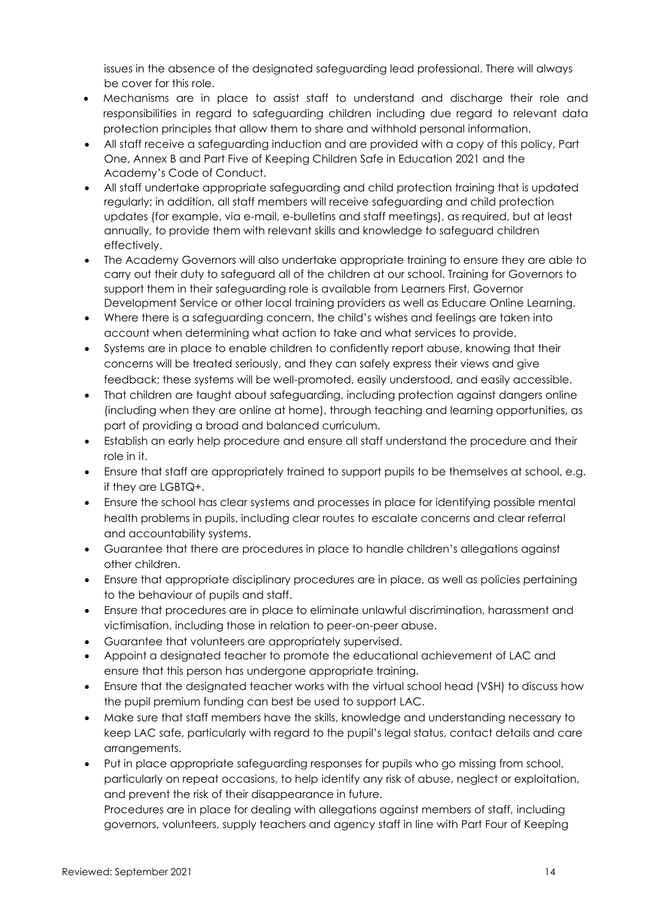issues in the absence of the designated safeguarding lead professional. There will always be cover for this role.

- Mechanisms are in place to assist staff to understand and discharge their role and responsibilities in regard to safeguarding children including due regard to relevant data protection principles that allow them to share and withhold personal information.
- All staff receive a safeguarding induction and are provided with a copy of this policy, Part One, Annex B and Part Five of Keeping Children Safe in Education 2021 and the Academy's Code of Conduct.
- All staff undertake appropriate safeguarding and child protection training that is updated regularly; in addition, all staff members will receive safeguarding and child protection updates (for example, via e-mail, e-bulletins and staff meetings), as required, but at least annually, to provide them with relevant skills and knowledge to safeguard children effectively.
- The Academy Governors will also undertake appropriate training to ensure they are able to carry out their duty to safeguard all of the children at our school. Training for Governors to support them in their safeguarding role is available from Learners First, Governor Development Service or other local training providers as well as Educare Online Learning.
- Where there is a safeguarding concern, the child's wishes and feelings are taken into account when determining what action to take and what services to provide.
- Systems are in place to enable children to confidently report abuse, knowing that their concerns will be treated seriously, and they can safely express their views and give feedback; these systems will be well-promoted, easily understood, and easily accessible.
- That children are taught about safeguarding, including protection against dangers online (including when they are online at home), through teaching and learning opportunities, as part of providing a broad and balanced curriculum.
- Establish an early help procedure and ensure all staff understand the procedure and their role in it.
- Ensure that staff are appropriately trained to support pupils to be themselves at school, e.g. if they are LGBTQ+.
- Ensure the school has clear systems and processes in place for identifying possible mental health problems in pupils, including clear routes to escalate concerns and clear referral and accountability systems.
- Guarantee that there are procedures in place to handle children's allegations against other children.
- Ensure that appropriate disciplinary procedures are in place, as well as policies pertaining to the behaviour of pupils and staff.
- Ensure that procedures are in place to eliminate unlawful discrimination, harassment and victimisation, including those in relation to peer-on-peer abuse.
- Guarantee that volunteers are appropriately supervised.
- Appoint a designated teacher to promote the educational achievement of LAC and ensure that this person has undergone appropriate training.
- Ensure that the designated teacher works with the virtual school head (VSH) to discuss how the pupil premium funding can best be used to support LAC.
- Make sure that staff members have the skills, knowledge and understanding necessary to keep LAC safe, particularly with regard to the pupil's legal status, contact details and care arrangements.
- Put in place appropriate safeguarding responses for pupils who go missing from school, particularly on repeat occasions, to help identify any risk of abuse, neglect or exploitation, and prevent the risk of their disappearance in future.

Procedures are in place for dealing with allegations against members of staff, including governors, volunteers, supply teachers and agency staff in line with Part Four of Keeping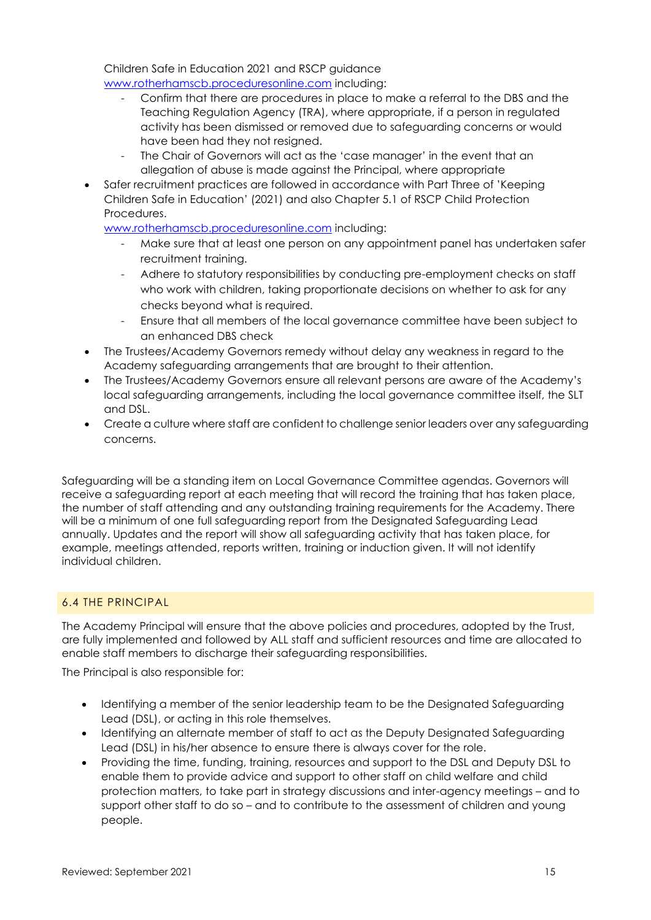Children Safe in Education 2021 and RSCP guidance [www.rotherhamscb.proceduresonline.com](http://www.rotherhamscb.proceduresonline.com/) including:

- Confirm that there are procedures in place to make a referral to the DBS and the Teaching Regulation Agency (TRA), where appropriate, if a person in regulated activity has been dismissed or removed due to safeguarding concerns or would have been had they not resigned.
- The Chair of Governors will act as the 'case manager' in the event that an allegation of abuse is made against the Principal, where appropriate
- Safer recruitment practices are followed in accordance with Part Three of 'Keeping Children Safe in Education' (2021) and also Chapter 5.1 of RSCP Child Protection Procedures.

[www.rotherhamscb.proceduresonline.com](http://www.rotherhamscb.proceduresonline.com/) including:

- Make sure that at least one person on any appointment panel has undertaken safer recruitment training.
- Adhere to statutory responsibilities by conducting pre-employment checks on staff who work with children, taking proportionate decisions on whether to ask for any checks beyond what is required.
- Ensure that all members of the local governance committee have been subject to an enhanced DBS check
- The Trustees/Academy Governors remedy without delay any weakness in regard to the Academy safeguarding arrangements that are brought to their attention.
- The Trustees/Academy Governors ensure all relevant persons are aware of the Academy's local safeguarding arrangements, including the local governance committee itself, the SLT and DSL.
- Create a culture where staff are confident to challenge senior leaders over any safeguarding concerns.

Safeguarding will be a standing item on Local Governance Committee agendas. Governors will receive a safeguarding report at each meeting that will record the training that has taken place, the number of staff attending and any outstanding training requirements for the Academy. There will be a minimum of one full safeguarding report from the Designated Safeguarding Lead annually. Updates and the report will show all safeguarding activity that has taken place, for example, meetings attended, reports written, training or induction given. It will not identify individual children.

## 6.4 THE PRINCIPAL

The Academy Principal will ensure that the above policies and procedures, adopted by the Trust, are fully implemented and followed by ALL staff and sufficient resources and time are allocated to enable staff members to discharge their safeguarding responsibilities.

The Principal is also responsible for:

- Identifying a member of the senior leadership team to be the Designated Safeguarding Lead (DSL), or acting in this role themselves.
- Identifying an alternate member of staff to act as the Deputy Designated Safeguarding Lead (DSL) in his/her absence to ensure there is always cover for the role.
- Providing the time, funding, training, resources and support to the DSL and Deputy DSL to enable them to provide advice and support to other staff on child welfare and child protection matters, to take part in strategy discussions and inter-agency meetings – and to support other staff to do so – and to contribute to the assessment of children and young people.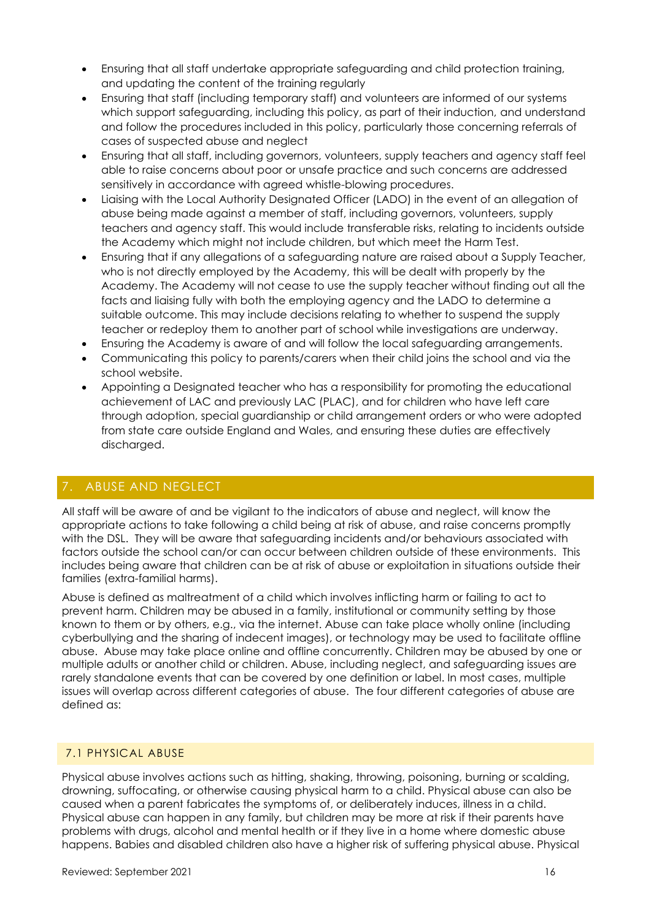- Ensuring that all staff undertake appropriate safeguarding and child protection training, and updating the content of the training regularly
- Ensuring that staff (including temporary staff) and volunteers are informed of our systems which support safeguarding, including this policy, as part of their induction, and understand and follow the procedures included in this policy, particularly those concerning referrals of cases of suspected abuse and neglect
- Ensuring that all staff, including governors, volunteers, supply teachers and agency staff feel able to raise concerns about poor or unsafe practice and such concerns are addressed sensitively in accordance with agreed whistle-blowing procedures.
- Liaising with the Local Authority Designated Officer (LADO) in the event of an allegation of abuse being made against a member of staff, including governors, volunteers, supply teachers and agency staff. This would include transferable risks, relating to incidents outside the Academy which might not include children, but which meet the Harm Test.
- Ensuring that if any allegations of a safeguarding nature are raised about a Supply Teacher, who is not directly employed by the Academy, this will be dealt with properly by the Academy. The Academy will not cease to use the supply teacher without finding out all the facts and liaising fully with both the employing agency and the LADO to determine a suitable outcome. This may include decisions relating to whether to suspend the supply teacher or redeploy them to another part of school while investigations are underway.
- Ensuring the Academy is aware of and will follow the local safeguarding arrangements.
- Communicating this policy to parents/carers when their child joins the school and via the school website.
- Appointing a Designated teacher who has a responsibility for promoting the educational achievement of LAC and previously LAC (PLAC), and for children who have left care through adoption, special guardianship or child arrangement orders or who were adopted from state care outside England and Wales, and ensuring these duties are effectively discharged.

## <span id="page-15-0"></span>7. ABUSE AND NEGLECT

All staff will be aware of and be vigilant to the indicators of abuse and neglect, will know the appropriate actions to take following a child being at risk of abuse, and raise concerns promptly with the DSL. They will be aware that safeguarding incidents and/or behaviours associated with factors outside the school can/or can occur between children outside of these environments. This includes being aware that children can be at risk of abuse or exploitation in situations outside their families (extra-familial harms).

Abuse is defined as maltreatment of a child which involves inflicting harm or failing to act to prevent harm. Children may be abused in a family, institutional or community setting by those known to them or by others, e.g., via the internet. Abuse can take place wholly online (including cyberbullying and the sharing of indecent images), or technology may be used to facilitate offline abuse. Abuse may take place online and offline concurrently. Children may be abused by one or multiple adults or another child or children. Abuse, including neglect, and safeguarding issues are rarely standalone events that can be covered by one definition or label. In most cases, multiple issues will overlap across different categories of abuse. The four different categories of abuse are defined as:

### 7.1 PHYSICAL ABUSE

Physical abuse involves actions such as hitting, shaking, throwing, poisoning, burning or scalding, drowning, suffocating, or otherwise causing physical harm to a child. Physical abuse can also be caused when a parent fabricates the symptoms of, or deliberately induces, illness in a child. Physical abuse can happen in any family, but children may be more at risk if their parents have problems with drugs, alcohol and mental health or if they live in a home where domestic abuse happens. Babies and disabled children also have a higher risk of suffering physical abuse. Physical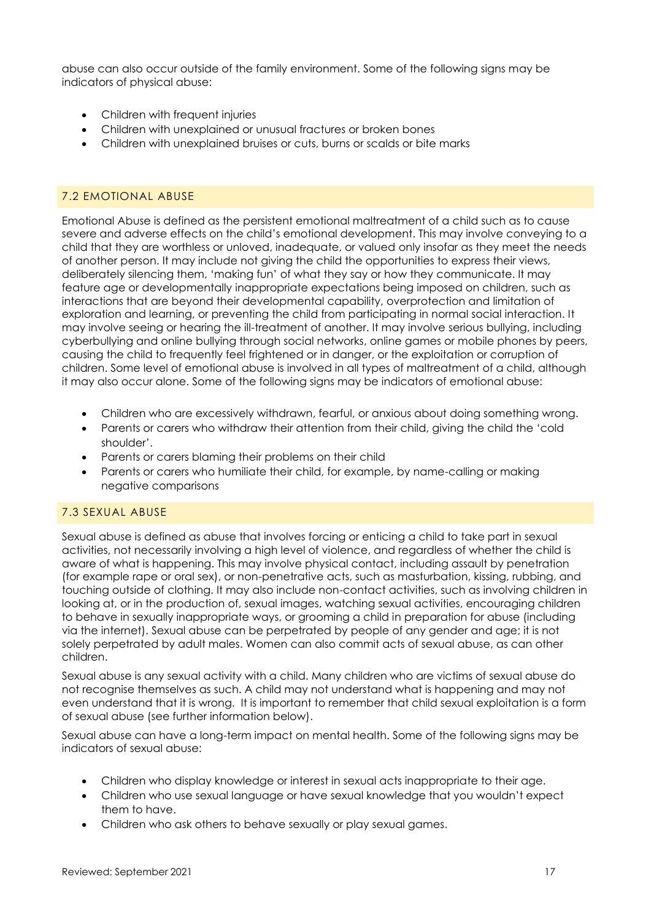abuse can also occur outside of the family environment. Some of the following signs may be indicators of physical abuse:

- Children with frequent injuries
- Children with unexplained or unusual fractures or broken bones
- Children with unexplained bruises or cuts, burns or scalds or bite marks

#### 7.2 EMOTIONAL ABUSE

Emotional Abuse is defined as the persistent emotional maltreatment of a child such as to cause severe and adverse effects on the child's emotional development. This may involve conveying to a child that they are worthless or unloved, inadequate, or valued only insofar as they meet the needs of another person. It may include not giving the child the opportunities to express their views, deliberately silencing them, 'making fun' of what they say or how they communicate. It may feature age or developmentally inappropriate expectations being imposed on children, such as interactions that are beyond their developmental capability, overprotection and limitation of exploration and learning, or preventing the child from participating in normal social interaction. It may involve seeing or hearing the ill-treatment of another. It may involve serious bullying, including cyberbullying and online bullying through social networks, online games or mobile phones by peers, causing the child to frequently feel frightened or in danger, or the exploitation or corruption of children. Some level of emotional abuse is involved in all types of maltreatment of a child, although it may also occur alone. Some of the following signs may be indicators of emotional abuse:

- Children who are excessively withdrawn, fearful, or anxious about doing something wrong.
- Parents or carers who withdraw their attention from their child, giving the child the 'cold shoulder'.
- Parents or carers blaming their problems on their child
- Parents or carers who humiliate their child, for example, by name-calling or making negative comparisons

#### 7.3 SEXUAL ABUSE

Sexual abuse is defined as abuse that involves forcing or enticing a child to take part in sexual activities, not necessarily involving a high level of violence, and regardless of whether the child is aware of what is happening. This may involve physical contact, including assault by penetration (for example rape or oral sex), or non-penetrative acts, such as masturbation, kissing, rubbing, and touching outside of clothing. It may also include non-contact activities, such as involving children in looking at, or in the production of, sexual images, watching sexual activities, encouraging children to behave in sexually inappropriate ways, or grooming a child in preparation for abuse (including via the internet). Sexual abuse can be perpetrated by people of any gender and age; it is not solely perpetrated by adult males. Women can also commit acts of sexual abuse, as can other children.

Sexual abuse is any sexual activity with a child. Many children who are victims of sexual abuse do not recognise themselves as such. A child may not understand what is happening and may not even understand that it is wrong. It is important to remember that child sexual exploitation is a form of sexual abuse (see further information below).

Sexual abuse can have a long-term impact on mental health. Some of the following signs may be indicators of sexual abuse:

- Children who display knowledge or interest in sexual acts inappropriate to their age.
- Children who use sexual language or have sexual knowledge that you wouldn't expect them to have.
- Children who ask others to behave sexually or play sexual games.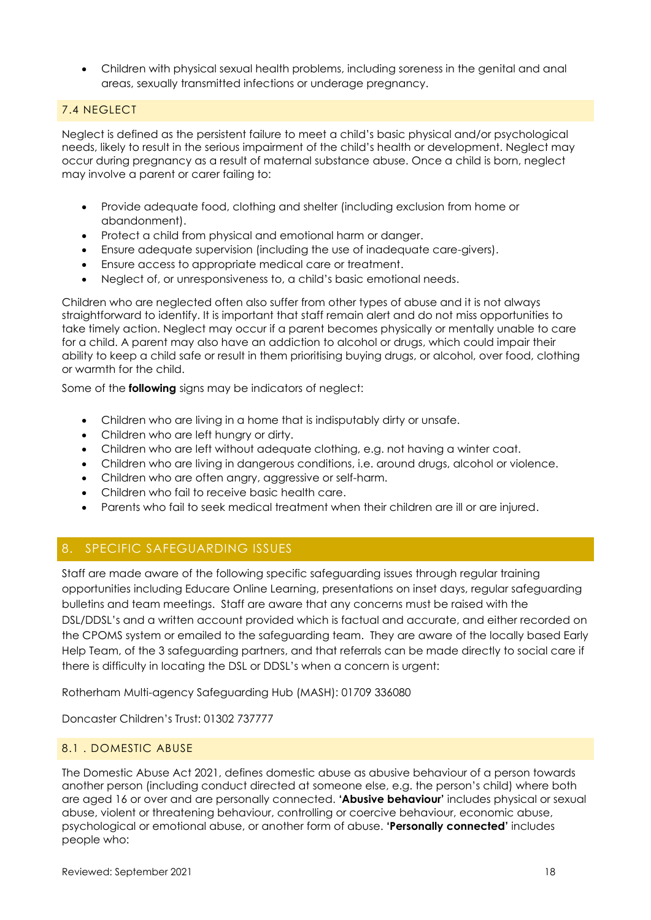• Children with physical sexual health problems, including soreness in the genital and anal areas, sexually transmitted infections or underage pregnancy.

### 7.4 NEGLECT

Neglect is defined as the persistent failure to meet a child's basic physical and/or psychological needs, likely to result in the serious impairment of the child's health or development. Neglect may occur during pregnancy as a result of maternal substance abuse. Once a child is born, neglect may involve a parent or carer failing to:

- Provide adequate food, clothing and shelter (including exclusion from home or abandonment).
- Protect a child from physical and emotional harm or danger.
- Ensure adequate supervision (including the use of inadequate care-givers).
- Ensure access to appropriate medical care or treatment.
- Neglect of, or unresponsiveness to, a child's basic emotional needs.

Children who are neglected often also suffer from other types of abuse and it is not always straightforward to identify. It is important that staff remain alert and do not miss opportunities to take timely action. Neglect may occur if a parent becomes physically or mentally unable to care for a child. A parent may also have an addiction to alcohol or drugs, which could impair their ability to keep a child safe or result in them prioritising buying drugs, or alcohol, over food, clothing or warmth for the child.

Some of the **following** signs may be indicators of neglect:

- Children who are living in a home that is indisputably dirty or unsafe.
- Children who are left hungry or dirty.
- Children who are left without adequate clothing, e.g. not having a winter coat.
- Children who are living in dangerous conditions, i.e. around drugs, alcohol or violence.
- Children who are often angry, aggressive or self-harm.
- Children who fail to receive basic health care.
- Parents who fail to seek medical treatment when their children are ill or are injured.

# <span id="page-17-0"></span>8. SPECIFIC SAFEGUARDING ISSUES

Staff are made aware of the following specific safeguarding issues through regular training opportunities including Educare Online Learning, presentations on inset days, regular safeguarding bulletins and team meetings. Staff are aware that any concerns must be raised with the DSL/DDSL's and a written account provided which is factual and accurate, and either recorded on the CPOMS system or emailed to the safeguarding team. They are aware of the locally based Early Help Team, of the 3 safeguarding partners, and that referrals can be made directly to social care if there is difficulty in locating the DSL or DDSL's when a concern is urgent:

Rotherham Multi-agency Safeguarding Hub (MASH): 01709 336080

Doncaster Children's Trust: 01302 737777

### 8.1 . DOMESTIC ABUSE

The Domestic Abuse Act 2021, defines domestic abuse as abusive behaviour of a person towards another person (including conduct directed at someone else, e.g. the person's child) where both are aged 16 or over and are personally connected. **'Abusive behaviour'** includes physical or sexual abuse, violent or threatening behaviour, controlling or coercive behaviour, economic abuse, psychological or emotional abuse, or another form of abuse. **'Personally connected'** includes people who: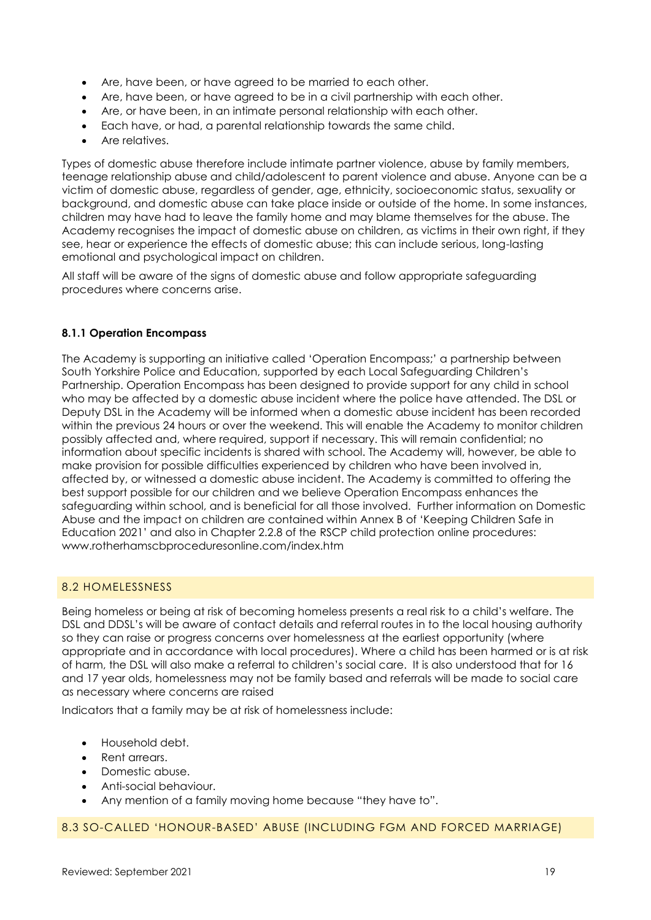- Are, have been, or have agreed to be married to each other.
- Are, have been, or have agreed to be in a civil partnership with each other.
- Are, or have been, in an intimate personal relationship with each other.
- Each have, or had, a parental relationship towards the same child.
- Are relatives.

Types of domestic abuse therefore include intimate partner violence, abuse by family members, teenage relationship abuse and child/adolescent to parent violence and abuse. Anyone can be a victim of domestic abuse, regardless of gender, age, ethnicity, socioeconomic status, sexuality or background, and domestic abuse can take place inside or outside of the home. In some instances, children may have had to leave the family home and may blame themselves for the abuse. The Academy recognises the impact of domestic abuse on children, as victims in their own right, if they see, hear or experience the effects of domestic abuse; this can include serious, long-lasting emotional and psychological impact on children.

All staff will be aware of the signs of domestic abuse and follow appropriate safeguarding procedures where concerns arise.

#### **8.1.1 Operation Encompass**

The Academy is supporting an initiative called 'Operation Encompass;' a partnership between South Yorkshire Police and Education, supported by each Local Safeguarding Children's Partnership. Operation Encompass has been designed to provide support for any child in school who may be affected by a domestic abuse incident where the police have attended. The DSL or Deputy DSL in the Academy will be informed when a domestic abuse incident has been recorded within the previous 24 hours or over the weekend. This will enable the Academy to monitor children possibly affected and, where required, support if necessary. This will remain confidential; no information about specific incidents is shared with school. The Academy will, however, be able to make provision for possible difficulties experienced by children who have been involved in, affected by, or witnessed a domestic abuse incident. The Academy is committed to offering the best support possible for our children and we believe Operation Encompass enhances the safeguarding within school, and is beneficial for all those involved. Further information on Domestic Abuse and the impact on children are contained within Annex B of 'Keeping Children Safe in Education 2021' and also in Chapter 2.2.8 of the RSCP child protection online procedures: [www.rotherhamscbproceduresonline.com/index.htm](http://www.rotherhamscbproceduresonline.com/index.htm)

#### 8.2 HOMELESSNESS

Being homeless or being at risk of becoming homeless presents a real risk to a child's welfare. The DSL and DDSL's will be aware of contact details and referral routes in to the local housing authority so they can raise or progress concerns over homelessness at the earliest opportunity (where appropriate and in accordance with local procedures). Where a child has been harmed or is at risk of harm, the DSL will also make a referral to children's social care. It is also understood that for 16 and 17 year olds, homelessness may not be family based and referrals will be made to social care as necessary where concerns are raised

Indicators that a family may be at risk of homelessness include:

- Household debt.
- Rent arrears.
- Domestic abuse.
- Anti-social behaviour.
- Any mention of a family moving home because "they have to".

#### 8.3 SO-CALLED 'HONOUR-BASED' ABUSE (INCLUDING FGM AND FORCED MARRIAGE)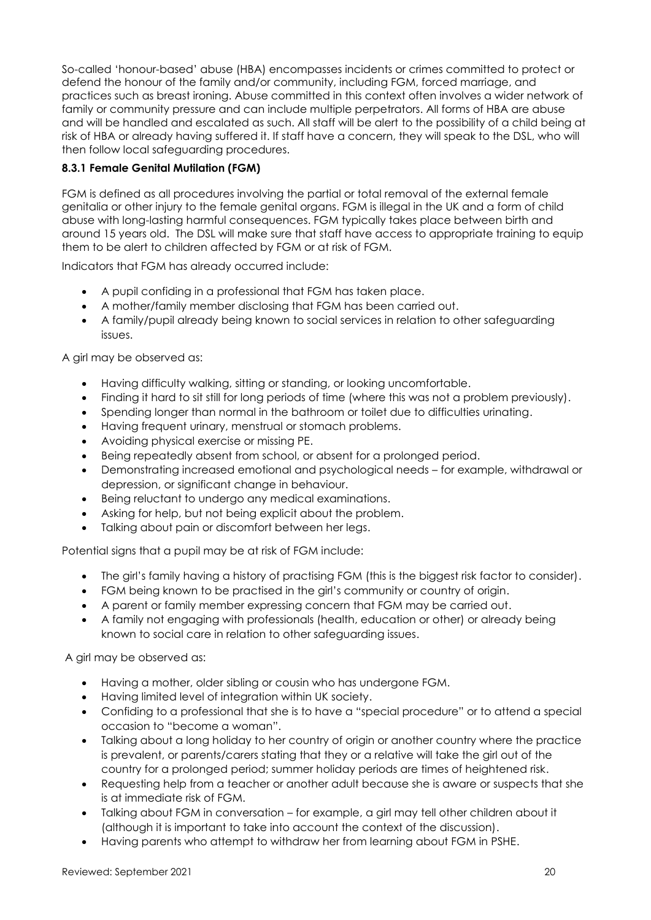So-called 'honour-based' abuse (HBA) encompasses incidents or crimes committed to protect or defend the honour of the family and/or community, including FGM, forced marriage, and practices such as breast ironing. Abuse committed in this context often involves a wider network of family or community pressure and can include multiple perpetrators. All forms of HBA are abuse and will be handled and escalated as such. All staff will be alert to the possibility of a child being at risk of HBA or already having suffered it. If staff have a concern, they will speak to the DSL, who will then follow local safeguarding procedures.

### **8.3.1 Female Genital Mutilation (FGM)**

FGM is defined as all procedures involving the partial or total removal of the external female genitalia or other injury to the female genital organs. FGM is illegal in the UK and a form of child abuse with long-lasting harmful consequences. FGM typically takes place between birth and around 15 years old. The DSL will make sure that staff have access to appropriate training to equip them to be alert to children affected by FGM or at risk of FGM.

Indicators that FGM has already occurred include:

- A pupil confiding in a professional that FGM has taken place.
- A mother/family member disclosing that FGM has been carried out.
- A family/pupil already being known to social services in relation to other safeguarding issues.

A girl may be observed as:

- Having difficulty walking, sitting or standing, or looking uncomfortable.
- Finding it hard to sit still for long periods of time (where this was not a problem previously).
- Spending longer than normal in the bathroom or toilet due to difficulties urinating.
- Having frequent urinary, menstrual or stomach problems.
- Avoiding physical exercise or missing PE.
- Being repeatedly absent from school, or absent for a prolonged period.
- Demonstrating increased emotional and psychological needs for example, withdrawal or depression, or significant change in behaviour.
- Being reluctant to undergo any medical examinations.
- Asking for help, but not being explicit about the problem.
- Talking about pain or discomfort between her legs.

Potential signs that a pupil may be at risk of FGM include:

- The girl's family having a history of practising FGM (this is the biggest risk factor to consider).
- FGM being known to be practised in the girl's community or country of origin.
- A parent or family member expressing concern that FGM may be carried out.
- A family not engaging with professionals (health, education or other) or already being known to social care in relation to other safeguarding issues.

A girl may be observed as:

- Having a mother, older sibling or cousin who has undergone FGM.
- Having limited level of integration within UK society.
- Confiding to a professional that she is to have a "special procedure" or to attend a special occasion to "become a woman".
- Talking about a long holiday to her country of origin or another country where the practice is prevalent, or parents/carers stating that they or a relative will take the girl out of the country for a prolonged period; summer holiday periods are times of heightened risk.
- Requesting help from a teacher or another adult because she is aware or suspects that she is at immediate risk of FGM.
- Talking about FGM in conversation for example, a girl may tell other children about it (although it is important to take into account the context of the discussion).
- Having parents who attempt to withdraw her from learning about FGM in PSHE.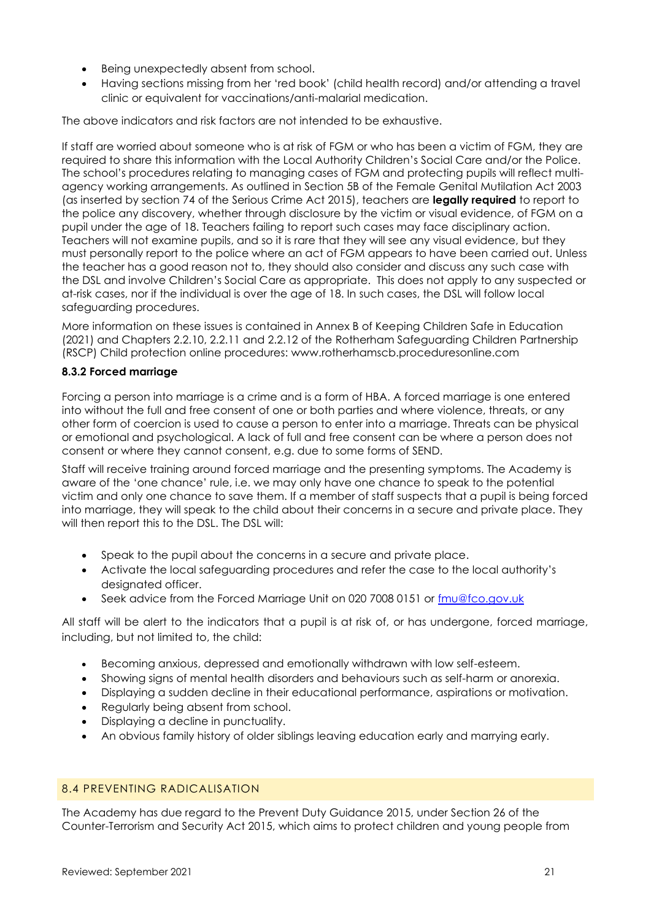- Being unexpectedly absent from school.
- Having sections missing from her 'red book' (child health record) and/or attending a travel clinic or equivalent for vaccinations/anti-malarial medication.

The above indicators and risk factors are not intended to be exhaustive.

If staff are worried about someone who is at risk of FGM or who has been a victim of FGM, they are required to share this information with the Local Authority Children's Social Care and/or the Police. The school's procedures relating to managing cases of FGM and protecting pupils will reflect multiagency working arrangements. As outlined in Section 5B of the Female Genital Mutilation Act 2003 (as inserted by section 74 of the Serious Crime Act 2015), teachers are **legally required** to report to the police any discovery, whether through disclosure by the victim or visual evidence, of FGM on a pupil under the age of 18. Teachers failing to report such cases may face disciplinary action. Teachers will not examine pupils, and so it is rare that they will see any visual evidence, but they must personally report to the police where an act of FGM appears to have been carried out. Unless the teacher has a good reason not to, they should also consider and discuss any such case with the DSL and involve Children's Social Care as appropriate. This does not apply to any suspected or at-risk cases, nor if the individual is over the age of 18. In such cases, the DSL will follow local safeguarding procedures.

More information on these issues is contained in Annex B of Keeping Children Safe in Education (2021) and Chapters 2.2.10, 2.2.11 and 2.2.12 of the Rotherham Safeguarding Children Partnership (RSCP) Child protection online procedures: [www.rotherhamscb.proceduresonline.com](http://www.rotherhamscb.proceduresonline.com/)

#### **8.3.2 Forced marriage**

Forcing a person into marriage is a crime and is a form of HBA. A forced marriage is one entered into without the full and free consent of one or both parties and where violence, threats, or any other form of coercion is used to cause a person to enter into a marriage. Threats can be physical or emotional and psychological. A lack of full and free consent can be where a person does not consent or where they cannot consent, e.g. due to some forms of SEND.

Staff will receive training around forced marriage and the presenting symptoms. The Academy is aware of the 'one chance' rule, i.e. we may only have one chance to speak to the potential victim and only one chance to save them. If a member of staff suspects that a pupil is being forced into marriage, they will speak to the child about their concerns in a secure and private place. They will then report this to the DSL. The DSL will:

- Speak to the pupil about the concerns in a secure and private place.
- Activate the local safeguarding procedures and refer the case to the local authority's designated officer.
- Seek advice from the Forced Marriage Unit on 020 7008 0151 or [fmu@fco.gov.uk](mailto:fmu@fco.gov.uk)

All staff will be alert to the indicators that a pupil is at risk of, or has undergone, forced marriage, including, but not limited to, the child:

- Becoming anxious, depressed and emotionally withdrawn with low self-esteem.
- Showing signs of mental health disorders and behaviours such as self-harm or anorexia.
- Displaying a sudden decline in their educational performance, aspirations or motivation.
- Regularly being absent from school.
- Displaying a decline in punctuality.
- An obvious family history of older siblings leaving education early and marrying early.

### 8.4 PREVENTING RADICALISATION

The Academy has due regard to the Prevent Duty Guidance 2015, under Section 26 of the Counter-Terrorism and Security Act 2015, which aims to protect children and young people from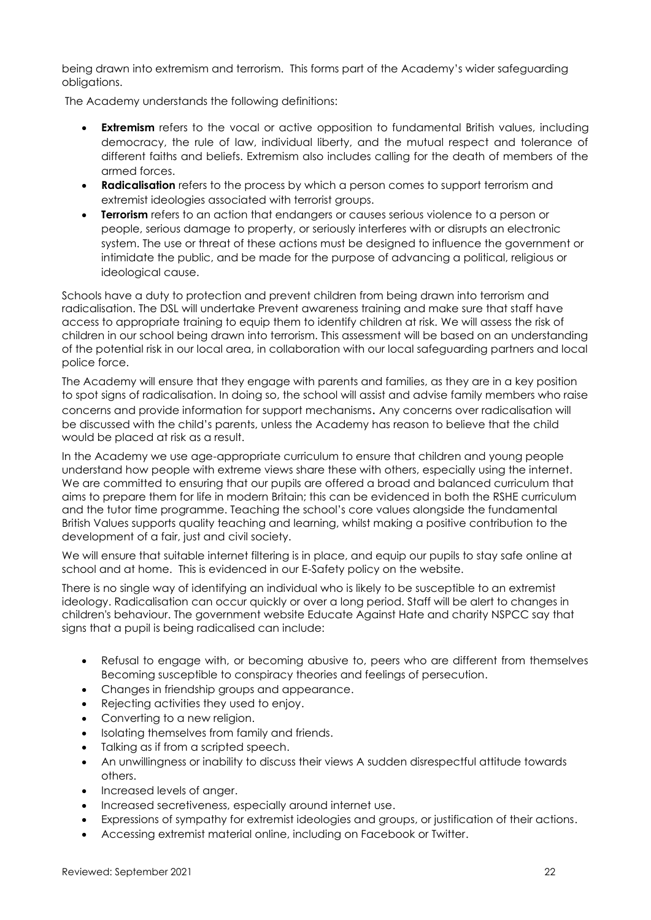being drawn into extremism and terrorism. This forms part of the Academy's wider safeguarding obligations.

The Academy understands the following definitions:

- **Extremism** refers to the vocal or active opposition to fundamental British values, including democracy, the rule of law, individual liberty, and the mutual respect and tolerance of different faiths and beliefs. Extremism also includes calling for the death of members of the armed forces.
- **Radicalisation** refers to the process by which a person comes to support terrorism and extremist ideologies associated with terrorist groups.
- **Terrorism** refers to an action that endangers or causes serious violence to a person or people, serious damage to property, or seriously interferes with or disrupts an electronic system. The use or threat of these actions must be designed to influence the government or intimidate the public, and be made for the purpose of advancing a political, religious or ideological cause.

Schools have a duty to protection and prevent children from being drawn into terrorism and radicalisation. The DSL will undertake Prevent awareness training and make sure that staff have access to appropriate training to equip them to identify children at risk. We will assess the risk of children in our school being drawn into terrorism. This assessment will be based on an understanding of the potential risk in our local area, in collaboration with our local safeguarding partners and local police force.

The Academy will ensure that they engage with parents and families, as they are in a key position to spot signs of radicalisation. In doing so, the school will assist and advise family members who raise concerns and provide information for support mechanisms. Any concerns over radicalisation will be discussed with the child's parents, unless the Academy has reason to believe that the child would be placed at risk as a result.

In the Academy we use age-appropriate curriculum to ensure that children and young people understand how people with extreme views share these with others, especially using the internet. We are committed to ensuring that our pupils are offered a broad and balanced curriculum that aims to prepare them for life in modern Britain; this can be evidenced in both the RSHE curriculum and the tutor time programme. Teaching the school's core values alongside the fundamental British Values supports quality teaching and learning, whilst making a positive contribution to the development of a fair, just and civil society.

We will ensure that suitable internet filtering is in place, and equip our pupils to stay safe online at school and at home. This is evidenced in our E-Safety policy on the website.

There is no single way of identifying an individual who is likely to be susceptible to an extremist ideology. Radicalisation can occur quickly or over a long period. Staff will be alert to changes in children's behaviour. The government website Educate Against Hate and charity NSPCC say that signs that a pupil is being radicalised can include:

- Refusal to engage with, or becoming abusive to, peers who are different from themselves Becoming susceptible to conspiracy theories and feelings of persecution.
- Changes in friendship groups and appearance.
- Rejecting activities they used to enjoy.
- Converting to a new religion.
- Isolating themselves from family and friends.
- Talking as if from a scripted speech.
- An unwillingness or inability to discuss their views A sudden disrespectful attitude towards others.
- Increased levels of anger.
- Increased secretiveness, especially around internet use.
- Expressions of sympathy for extremist ideologies and groups, or justification of their actions.
- Accessing extremist material online, including on Facebook or Twitter.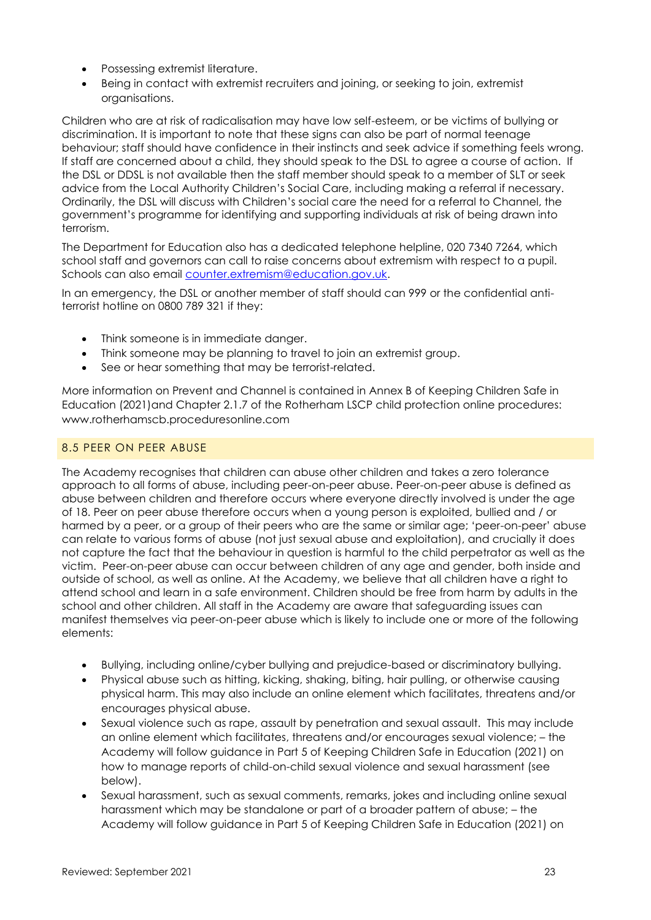- Possessing extremist literature.
- Being in contact with extremist recruiters and joining, or seeking to join, extremist organisations.

Children who are at risk of radicalisation may have low self-esteem, or be victims of bullying or discrimination. It is important to note that these signs can also be part of normal teenage behaviour; staff should have confidence in their instincts and seek advice if something feels wrong. If staff are concerned about a child, they should speak to the DSL to agree a course of action. If the DSL or DDSL is not available then the staff member should speak to a member of SLT or seek advice from the Local Authority Children's Social Care, including making a referral if necessary. Ordinarily, the DSL will discuss with Children's social care the need for a referral to Channel, the government's programme for identifying and supporting individuals at risk of being drawn into terrorism.

The Department for Education also has a dedicated telephone helpline, 020 7340 7264, which school staff and governors can call to raise concerns about extremism with respect to a pupil. Schools can also email [counter.extremism@education.gov.uk.](mailto:counter.extremism@education.gov.uk) 

In an emergency, the DSL or another member of staff should can 999 or the confidential antiterrorist hotline on 0800 789 321 if they:

- Think someone is in immediate danger.
- Think someone may be planning to travel to join an extremist group.
- See or hear something that may be terrorist-related.

More information on Prevent and Channel is contained in Annex B of Keeping Children Safe in Education (2021)and Chapter 2.1.7 of the Rotherham LSCP child protection online procedures: [www.rotherhamscb.proceduresonline.com](http://www.rotherhamscb.proceduresonline.com/)

### 8.5 PEER ON PEER ABUSE

The Academy recognises that children can abuse other children and takes a zero tolerance approach to all forms of abuse, including peer-on-peer abuse. Peer-on-peer abuse is defined as abuse between children and therefore occurs where everyone directly involved is under the age of 18. Peer on peer abuse therefore occurs when a young person is exploited, bullied and / or harmed by a peer, or a group of their peers who are the same or similar age; 'peer-on-peer' abuse can relate to various forms of abuse (not just sexual abuse and exploitation), and crucially it does not capture the fact that the behaviour in question is harmful to the child perpetrator as well as the victim. Peer-on-peer abuse can occur between children of any age and gender, both inside and outside of school, as well as online. At the Academy, we believe that all children have a right to attend school and learn in a safe environment. Children should be free from harm by adults in the school and other children. All staff in the Academy are aware that safeguarding issues can manifest themselves via peer-on-peer abuse which is likely to include one or more of the following elements:

- Bullying, including online/cyber bullying and prejudice-based or discriminatory bullying.
- Physical abuse such as hitting, kicking, shaking, biting, hair pulling, or otherwise causing physical harm. This may also include an online element which facilitates, threatens and/or encourages physical abuse.
- Sexual violence such as rape, assault by penetration and sexual assault. This may include an online element which facilitates, threatens and/or encourages sexual violence; – the Academy will follow guidance in Part 5 of Keeping Children Safe in Education (2021) on how to manage reports of child-on-child sexual violence and sexual harassment (see below).
- Sexual harassment, such as sexual comments, remarks, jokes and including online sexual harassment which may be standalone or part of a broader pattern of abuse; – the Academy will follow guidance in Part 5 of Keeping Children Safe in Education (2021) on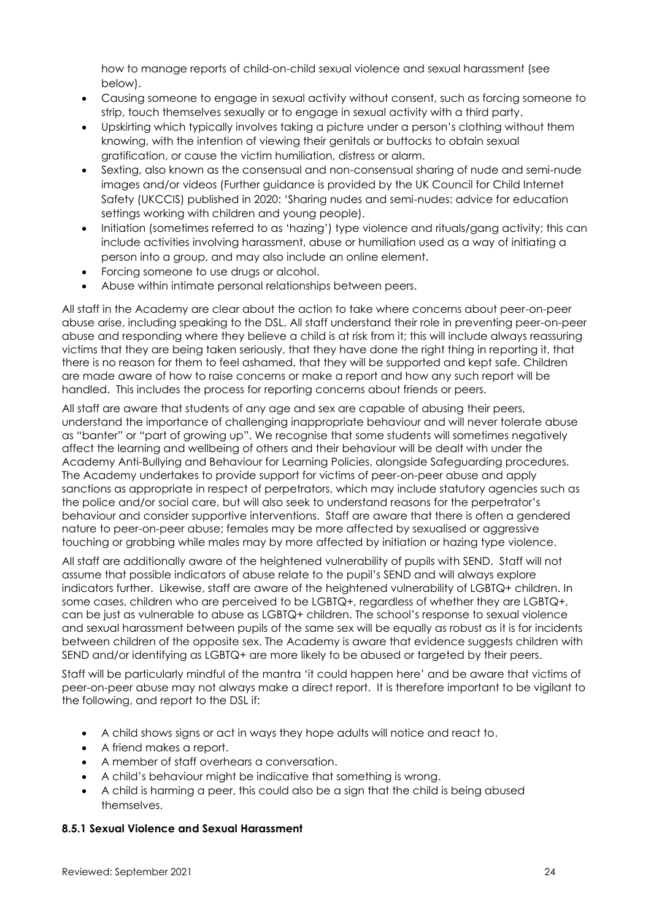how to manage reports of child-on-child sexual violence and sexual harassment (see below).

- Causing someone to engage in sexual activity without consent, such as forcing someone to strip, touch themselves sexually or to engage in sexual activity with a third party.
- Upskirting which typically involves taking a picture under a person's clothing without them knowing, with the intention of viewing their genitals or buttocks to obtain sexual gratification, or cause the victim humiliation, distress or alarm.
- Sexting, also known as the consensual and non-consensual sharing of nude and semi-nude images and/or videos (Further guidance is provided by the UK Council for Child Internet Safety (UKCCIS) published in 2020: 'Sharing nudes and semi-nudes: advice for education settings working with children and young people).
- Initiation (sometimes referred to as 'hazing') type violence and rituals/gang activity; this can include activities involving harassment, abuse or humiliation used as a way of initiating a person into a group, and may also include an online element.
- Forcing someone to use drugs or alcohol.
- Abuse within intimate personal relationships between peers.

All staff in the Academy are clear about the action to take where concerns about peer-on-peer abuse arise, including speaking to the DSL. All staff understand their role in preventing peer-on-peer abuse and responding where they believe a child is at risk from it; this will include always reassuring victims that they are being taken seriously, that they have done the right thing in reporting it, that there is no reason for them to feel ashamed, that they will be supported and kept safe. Children are made aware of how to raise concerns or make a report and how any such report will be handled. This includes the process for reporting concerns about friends or peers.

All staff are aware that students of any age and sex are capable of abusing their peers, understand the importance of challenging inappropriate behaviour and will never tolerate abuse as "banter" or "part of growing up". We recognise that some students will sometimes negatively affect the learning and wellbeing of others and their behaviour will be dealt with under the Academy Anti-Bullying and Behaviour for Learning Policies, alongside Safeguarding procedures. The Academy undertakes to provide support for victims of peer-on-peer abuse and apply sanctions as appropriate in respect of perpetrators, which may include statutory agencies such as the police and/or social care, but will also seek to understand reasons for the perpetrator's behaviour and consider supportive interventions. Staff are aware that there is often a gendered nature to peer-on-peer abuse; females may be more affected by sexualised or aggressive touching or grabbing while males may by more affected by initiation or hazing type violence.

All staff are additionally aware of the heightened vulnerability of pupils with SEND. Staff will not assume that possible indicators of abuse relate to the pupil's SEND and will always explore indicators further. Likewise, staff are aware of the heightened vulnerability of LGBTQ+ children. In some cases, children who are perceived to be LGBTQ+, regardless of whether they are LGBTQ+, can be just as vulnerable to abuse as LGBTQ+ children. The school's response to sexual violence and sexual harassment between pupils of the same sex will be equally as robust as it is for incidents between children of the opposite sex. The Academy is aware that evidence suggests children with SEND and/or identifying as LGBTQ+ are more likely to be abused or targeted by their peers.

Staff will be particularly mindful of the mantra 'it could happen here' and be aware that victims of peer-on-peer abuse may not always make a direct report. It is therefore important to be vigilant to the following, and report to the DSL if:

- A child shows signs or act in ways they hope adults will notice and react to.
- A friend makes a report.
- A member of staff overhears a conversation.
- A child's behaviour might be indicative that something is wrong.
- A child is harming a peer, this could also be a sign that the child is being abused themselves.

### **8.5.1 Sexual Violence and Sexual Harassment**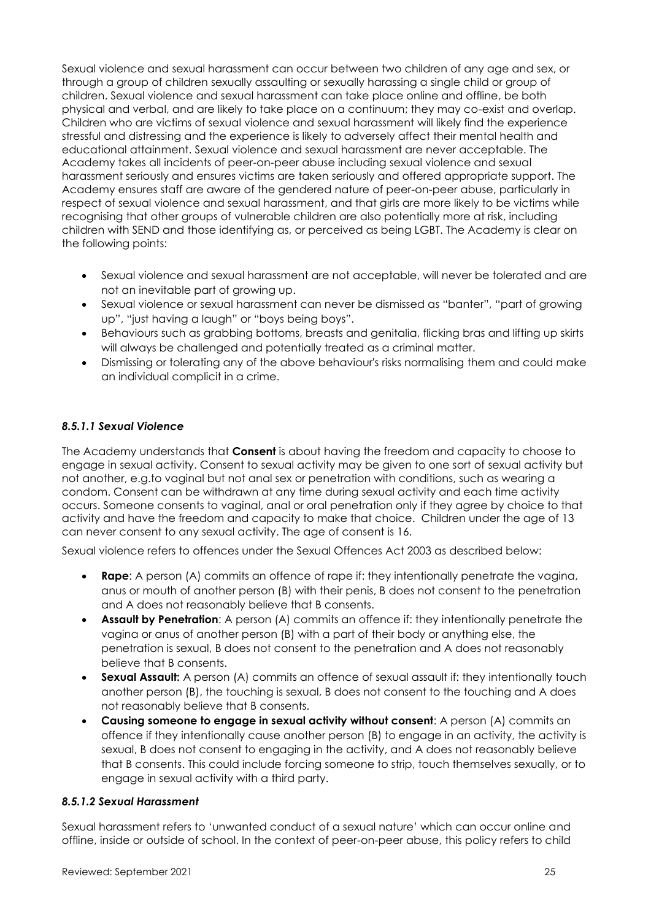Sexual violence and sexual harassment can occur between two children of any age and sex, or through a group of children sexually assaulting or sexually harassing a single child or group of children. Sexual violence and sexual harassment can take place online and offline, be both physical and verbal, and are likely to take place on a continuum; they may co-exist and overlap. Children who are victims of sexual violence and sexual harassment will likely find the experience stressful and distressing and the experience is likely to adversely affect their mental health and educational attainment. Sexual violence and sexual harassment are never acceptable. The Academy takes all incidents of peer-on-peer abuse including sexual violence and sexual harassment seriously and ensures victims are taken seriously and offered appropriate support. The Academy ensures staff are aware of the gendered nature of peer-on-peer abuse, particularly in respect of sexual violence and sexual harassment, and that girls are more likely to be victims while recognising that other groups of vulnerable children are also potentially more at risk, including children with SEND and those identifying as, or perceived as being LGBT. The Academy is clear on the following points:

- Sexual violence and sexual harassment are not acceptable, will never be tolerated and are not an inevitable part of growing up.
- Sexual violence or sexual harassment can never be dismissed as "banter", "part of growing up", "just having a laugh" or "boys being boys".
- Behaviours such as grabbing bottoms, breasts and genitalia, flicking bras and lifting up skirts will always be challenged and potentially treated as a criminal matter.
- Dismissing or tolerating any of the above behaviour's risks normalising them and could make an individual complicit in a crime.

### *8.5.1.1 Sexual Violence*

The Academy understands that **Consent** is about having the freedom and capacity to choose to engage in sexual activity. Consent to sexual activity may be given to one sort of sexual activity but not another, e.g.to vaginal but not anal sex or penetration with conditions, such as wearing a condom. Consent can be withdrawn at any time during sexual activity and each time activity occurs. Someone consents to vaginal, anal or oral penetration only if they agree by choice to that activity and have the freedom and capacity to make that choice. Children under the age of 13 can never consent to any sexual activity. The age of consent is 16.

Sexual violence refers to offences under the Sexual Offences Act 2003 as described below:

- **Rape:** A person (A) commits an offence of rape if: they intentionally penetrate the vagina, anus or mouth of another person (B) with their penis, B does not consent to the penetration and A does not reasonably believe that B consents.
- **Assault by Penetration**: A person (A) commits an offence if: they intentionally penetrate the vagina or anus of another person (B) with a part of their body or anything else, the penetration is sexual, B does not consent to the penetration and A does not reasonably believe that B consents.
- **Sexual Assault:** A person (A) commits an offence of sexual assault if: they intentionally touch another person (B), the touching is sexual, B does not consent to the touching and A does not reasonably believe that B consents.
- **Causing someone to engage in sexual activity without consent**: A person (A) commits an offence if they intentionally cause another person (B) to engage in an activity, the activity is sexual, B does not consent to engaging in the activity, and A does not reasonably believe that B consents. This could include forcing someone to strip, touch themselves sexually, or to engage in sexual activity with a third party.

### *8.5.1.2 Sexual Harassment*

Sexual harassment refers to 'unwanted conduct of a sexual nature' which can occur online and offline, inside or outside of school. In the context of peer-on-peer abuse, this policy refers to child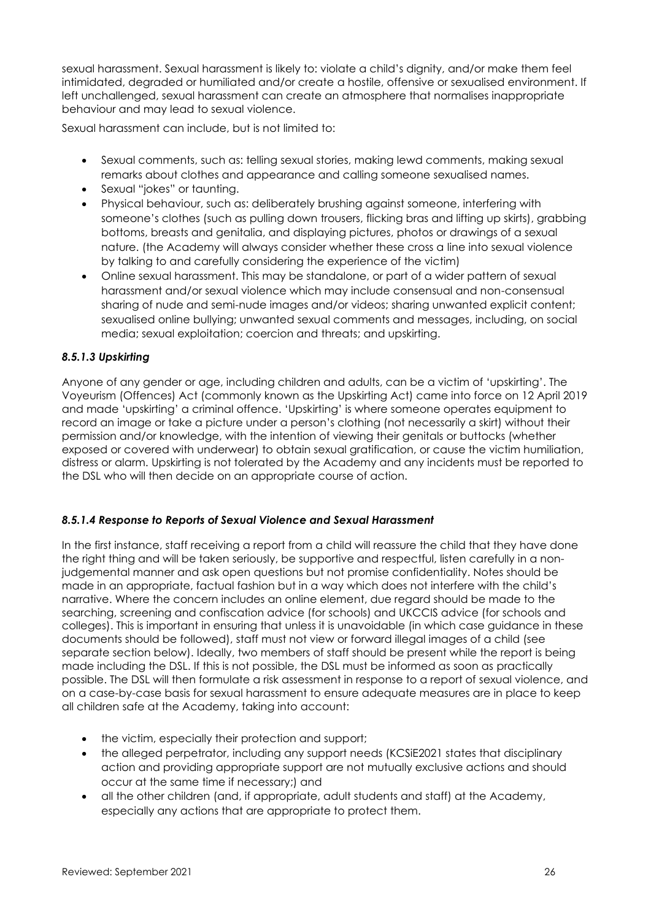sexual harassment. Sexual harassment is likely to: violate a child's dignity, and/or make them feel intimidated, degraded or humiliated and/or create a hostile, offensive or sexualised environment. If left unchallenged, sexual harassment can create an atmosphere that normalises inappropriate behaviour and may lead to sexual violence.

Sexual harassment can include, but is not limited to:

- Sexual comments, such as: telling sexual stories, making lewd comments, making sexual remarks about clothes and appearance and calling someone sexualised names.
- Sexual "jokes" or taunting.
- Physical behaviour, such as: deliberately brushing against someone, interfering with someone's clothes (such as pulling down trousers, flicking bras and lifting up skirts), grabbing bottoms, breasts and genitalia, and displaying pictures, photos or drawings of a sexual nature. (the Academy will always consider whether these cross a line into sexual violence by talking to and carefully considering the experience of the victim)
- Online sexual harassment. This may be standalone, or part of a wider pattern of sexual harassment and/or sexual violence which may include consensual and non-consensual sharing of nude and semi-nude images and/or videos; sharing unwanted explicit content; sexualised online bullying; unwanted sexual comments and messages, including, on social media; sexual exploitation; coercion and threats; and upskirting.

### *8.5.1.3 Upskirting*

Anyone of any gender or age, including children and adults, can be a victim of 'upskirting'. The Voyeurism (Offences) Act (commonly known as the Upskirting Act) came into force on 12 April 2019 and made 'upskirting' a criminal offence. 'Upskirting' is where someone operates equipment to record an image or take a picture under a person's clothing (not necessarily a skirt) without their permission and/or knowledge, with the intention of viewing their genitals or buttocks (whether exposed or covered with underwear) to obtain sexual gratification, or cause the victim humiliation, distress or alarm. Upskirting is not tolerated by the Academy and any incidents must be reported to the DSL who will then decide on an appropriate course of action.

### *8.5.1.4 Response to Reports of Sexual Violence and Sexual Harassment*

In the first instance, staff receiving a report from a child will reassure the child that they have done the right thing and will be taken seriously, be supportive and respectful, listen carefully in a nonjudgemental manner and ask open questions but not promise confidentiality. Notes should be made in an appropriate, factual fashion but in a way which does not interfere with the child's narrative. Where the concern includes an online element, due regard should be made to the searching, screening and confiscation advice (for schools) and UKCCIS advice (for schools and colleges). This is important in ensuring that unless it is unavoidable (in which case guidance in these documents should be followed), staff must not view or forward illegal images of a child (see separate section below). Ideally, two members of staff should be present while the report is being made including the DSL. If this is not possible, the DSL must be informed as soon as practically possible. The DSL will then formulate a risk assessment in response to a report of sexual violence, and on a case-by-case basis for sexual harassment to ensure adequate measures are in place to keep all children safe at the Academy, taking into account:

- the victim, especially their protection and support;
- the alleged perpetrator, including any support needs (KCSiE2021 states that disciplinary action and providing appropriate support are not mutually exclusive actions and should occur at the same time if necessary;) and
- all the other children (and, if appropriate, adult students and staff) at the Academy, especially any actions that are appropriate to protect them.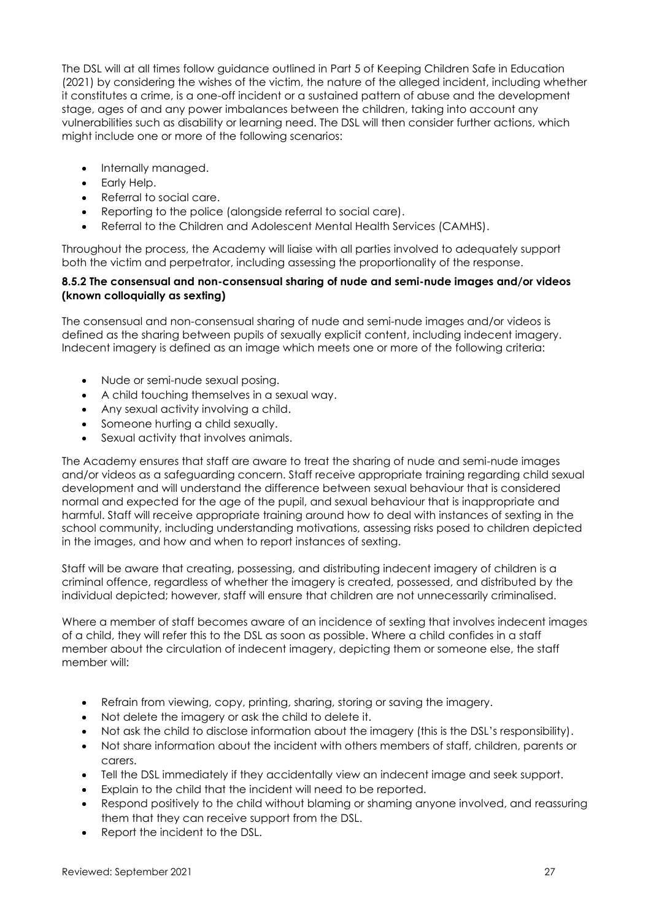The DSL will at all times follow guidance outlined in Part 5 of Keeping Children Safe in Education (2021) by considering the wishes of the victim, the nature of the alleged incident, including whether it constitutes a crime, is a one-off incident or a sustained pattern of abuse and the development stage, ages of and any power imbalances between the children, taking into account any vulnerabilities such as disability or learning need. The DSL will then consider further actions, which might include one or more of the following scenarios:

- Internally managed.
- Early Help.
- Referral to social care.
- Reporting to the police (alongside referral to social care).
- Referral to the Children and Adolescent Mental Health Services (CAMHS).

Throughout the process, the Academy will liaise with all parties involved to adequately support both the victim and perpetrator, including assessing the proportionality of the response.

#### **8.5.2 The consensual and non-consensual sharing of nude and semi-nude images and/or videos (known colloquially as sexting)**

The consensual and non-consensual sharing of nude and semi-nude images and/or videos is defined as the sharing between pupils of sexually explicit content, including indecent imagery. Indecent imagery is defined as an image which meets one or more of the following criteria:

- Nude or semi-nude sexual posing.
- A child touching themselves in a sexual way.
- Any sexual activity involving a child.
- Someone hurting a child sexually.
- Sexual activity that involves animals.

The Academy ensures that staff are aware to treat the sharing of nude and semi-nude images and/or videos as a safeguarding concern. Staff receive appropriate training regarding child sexual development and will understand the difference between sexual behaviour that is considered normal and expected for the age of the pupil, and sexual behaviour that is inappropriate and harmful. Staff will receive appropriate training around how to deal with instances of sexting in the school community, including understanding motivations, assessing risks posed to children depicted in the images, and how and when to report instances of sexting.

Staff will be aware that creating, possessing, and distributing indecent imagery of children is a criminal offence, regardless of whether the imagery is created, possessed, and distributed by the individual depicted; however, staff will ensure that children are not unnecessarily criminalised.

Where a member of staff becomes aware of an incidence of sexting that involves indecent images of a child, they will refer this to the DSL as soon as possible. Where a child confides in a staff member about the circulation of indecent imagery, depicting them or someone else, the staff member will:

- Refrain from viewing, copy, printing, sharing, storing or saving the imagery.
- Not delete the imagery or ask the child to delete it.
- Not ask the child to disclose information about the imagery (this is the DSL's responsibility).
- Not share information about the incident with others members of staff, children, parents or carers.
- Tell the DSL immediately if they accidentally view an indecent image and seek support.
- Explain to the child that the incident will need to be reported.
- Respond positively to the child without blaming or shaming anyone involved, and reassuring them that they can receive support from the DSL.
- Report the incident to the DSL.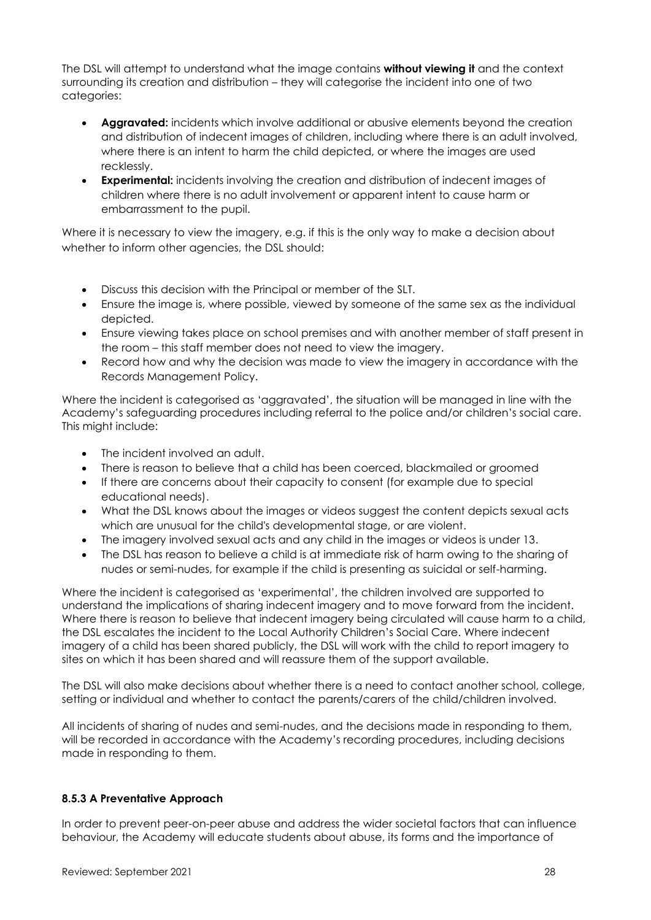The DSL will attempt to understand what the image contains **without viewing it** and the context surrounding its creation and distribution – they will categorise the incident into one of two categories:

- **Aggravated:** incidents which involve additional or abusive elements beyond the creation and distribution of indecent images of children, including where there is an adult involved, where there is an intent to harm the child depicted, or where the images are used recklessly.
- **Experimental:** incidents involving the creation and distribution of indecent images of children where there is no adult involvement or apparent intent to cause harm or embarrassment to the pupil.

Where it is necessary to view the imagery, e.g. if this is the only way to make a decision about whether to inform other agencies, the DSL should:

- Discuss this decision with the Principal or member of the SLT.
- Ensure the image is, where possible, viewed by someone of the same sex as the individual depicted.
- Ensure viewing takes place on school premises and with another member of staff present in the room – this staff member does not need to view the imagery.
- Record how and why the decision was made to view the imagery in accordance with the Records Management Policy.

Where the incident is categorised as 'aggravated', the situation will be managed in line with the Academy's safeguarding procedures including referral to the police and/or children's social care. This might include:

- The incident involved an adult.
- There is reason to believe that a child has been coerced, blackmailed or groomed
- If there are concerns about their capacity to consent (for example due to special educational needs).
- What the DSL knows about the images or videos suggest the content depicts sexual acts which are unusual for the child's developmental stage, or are violent.
- The imagery involved sexual acts and any child in the images or videos is under 13.
- The DSL has reason to believe a child is at immediate risk of harm owing to the sharing of nudes or semi-nudes, for example if the child is presenting as suicidal or self-harming.

Where the incident is categorised as 'experimental', the children involved are supported to understand the implications of sharing indecent imagery and to move forward from the incident. Where there is reason to believe that indecent imagery being circulated will cause harm to a child, the DSL escalates the incident to the Local Authority Children's Social Care. Where indecent imagery of a child has been shared publicly, the DSL will work with the child to report imagery to sites on which it has been shared and will reassure them of the support available.

The DSL will also make decisions about whether there is a need to contact another school, college, setting or individual and whether to contact the parents/carers of the child/children involved.

All incidents of sharing of nudes and semi-nudes, and the decisions made in responding to them, will be recorded in accordance with the Academy's recording procedures, including decisions made in responding to them.

### **8.5.3 A Preventative Approach**

In order to prevent peer-on-peer abuse and address the wider societal factors that can influence behaviour, the Academy will educate students about abuse, its forms and the importance of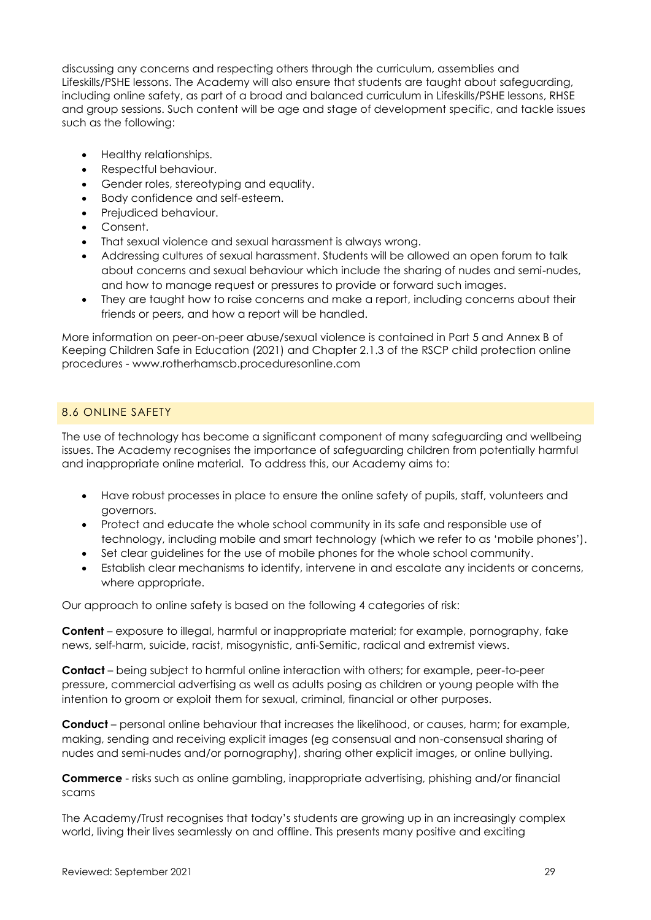discussing any concerns and respecting others through the curriculum, assemblies and Lifeskills/PSHE lessons. The Academy will also ensure that students are taught about safeguarding, including online safety, as part of a broad and balanced curriculum in Lifeskills/PSHE lessons, RHSE and group sessions. Such content will be age and stage of development specific, and tackle issues such as the following:

- Healthy relationships.
- Respectful behaviour.
- Gender roles, stereotyping and equality.
- Body confidence and self-esteem.
- Prejudiced behaviour.
- Consent.
- That sexual violence and sexual harassment is always wrong.
- Addressing cultures of sexual harassment. Students will be allowed an open forum to talk about concerns and sexual behaviour which include the sharing of nudes and semi-nudes, and how to manage request or pressures to provide or forward such images.
- They are taught how to raise concerns and make a report, including concerns about their friends or peers, and how a report will be handled.

More information on peer-on-peer abuse/sexual violence is contained in Part 5 and Annex B of Keeping Children Safe in Education (2021) and Chapter 2.1.3 of the RSCP child protection online procedures - [www.rotherhamscb.proceduresonline.com](http://www.rotherhamscb.proceduresonline.com/)

### 8.6 ONLINE SAFETY

The use of technology has become a significant component of many safeguarding and wellbeing issues. The Academy recognises the importance of safeguarding children from potentially harmful and inappropriate online material. To address this, our Academy aims to:

- Have robust processes in place to ensure the online safety of pupils, staff, volunteers and governors.
- Protect and educate the whole school community in its safe and responsible use of technology, including mobile and smart technology (which we refer to as 'mobile phones').
- Set clear guidelines for the use of mobile phones for the whole school community.
- Establish clear mechanisms to identify, intervene in and escalate any incidents or concerns, where appropriate.

Our approach to online safety is based on the following 4 categories of risk:

**Content** – exposure to illegal, harmful or inappropriate material; for example, pornography, fake news, self-harm, suicide, racist, misogynistic, anti-Semitic, radical and extremist views.

**Contact** – being subject to harmful online interaction with others; for example, peer-to-peer pressure, commercial advertising as well as adults posing as children or young people with the intention to groom or exploit them for sexual, criminal, financial or other purposes.

**Conduct** – personal online behaviour that increases the likelihood, or causes, harm; for example, making, sending and receiving explicit images (eg consensual and non-consensual sharing of nudes and semi-nudes and/or pornography), sharing other explicit images, or online bullying.

**Commerce** - risks such as online gambling, inappropriate advertising, phishing and/or financial scams

The Academy/Trust recognises that today's students are growing up in an increasingly complex world, living their lives seamlessly on and offline. This presents many positive and exciting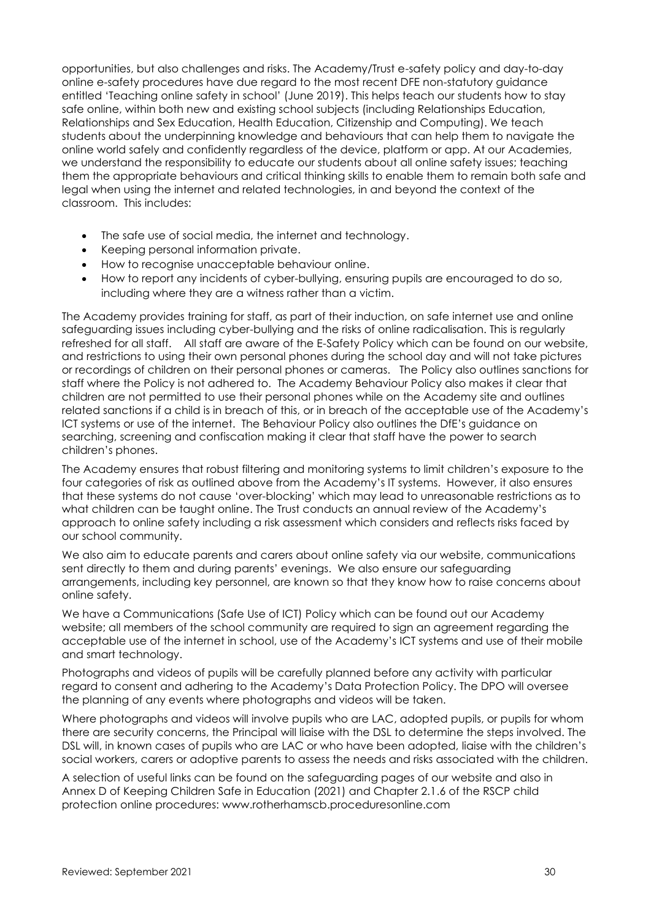opportunities, but also challenges and risks. The Academy/Trust e-safety policy and day-to-day online e-safety procedures have due regard to the most recent DFE non-statutory guidance entitled 'Teaching online safety in school' (June 2019). This helps teach our students how to stay safe online, within both new and existing school subjects (including Relationships Education, Relationships and Sex Education, Health Education, Citizenship and Computing). We teach students about the underpinning knowledge and behaviours that can help them to navigate the online world safely and confidently regardless of the device, platform or app. At our Academies, we understand the responsibility to educate our students about all online safety issues; teaching them the appropriate behaviours and critical thinking skills to enable them to remain both safe and legal when using the internet and related technologies, in and beyond the context of the classroom. This includes:

- The safe use of social media, the internet and technology.
- Keeping personal information private.
- How to recognise unacceptable behaviour online.
- How to report any incidents of cyber-bullying, ensuring pupils are encouraged to do so, including where they are a witness rather than a victim.

The Academy provides training for staff, as part of their induction, on safe internet use and online safeguarding issues including cyber-bullying and the risks of online radicalisation. This is regularly refreshed for all staff. All staff are aware of the E-Safety Policy which can be found on our website, and restrictions to using their own personal phones during the school day and will not take pictures or recordings of children on their personal phones or cameras. The Policy also outlines sanctions for staff where the Policy is not adhered to. The Academy Behaviour Policy also makes it clear that children are not permitted to use their personal phones while on the Academy site and outlines related sanctions if a child is in breach of this, or in breach of the acceptable use of the Academy's ICT systems or use of the internet. The Behaviour Policy also outlines the DfE's guidance on searching, screening and confiscation making it clear that staff have the power to search children's phones.

The Academy ensures that robust filtering and monitoring systems to limit children's exposure to the four categories of risk as outlined above from the Academy's IT systems. However, it also ensures that these systems do not cause 'over-blocking' which may lead to unreasonable restrictions as to what children can be taught online. The Trust conducts an annual review of the Academy's approach to online safety including a risk assessment which considers and reflects risks faced by our school community.

We also aim to educate parents and carers about online safety via our website, communications sent directly to them and during parents' evenings. We also ensure our safeguarding arrangements, including key personnel, are known so that they know how to raise concerns about online safety.

We have a Communications (Safe Use of ICT) Policy which can be found out our Academy website; all members of the school community are required to sign an agreement regarding the acceptable use of the internet in school, use of the Academy's ICT systems and use of their mobile and smart technology.

Photographs and videos of pupils will be carefully planned before any activity with particular regard to consent and adhering to the Academy's Data Protection Policy. The DPO will oversee the planning of any events where photographs and videos will be taken.

Where photographs and videos will involve pupils who are LAC, adopted pupils, or pupils for whom there are security concerns, the Principal will liaise with the DSL to determine the steps involved. The DSL will, in known cases of pupils who are LAC or who have been adopted, liaise with the children's social workers, carers or adoptive parents to assess the needs and risks associated with the children.

A selection of useful links can be found on the safeguarding pages of our website and also in Annex D of Keeping Children Safe in Education (2021) and Chapter 2.1.6 of the RSCP child protection online procedures: [www.rotherhamscb.proceduresonline.com](http://www.rotherhamscb.proceduresonline.com/)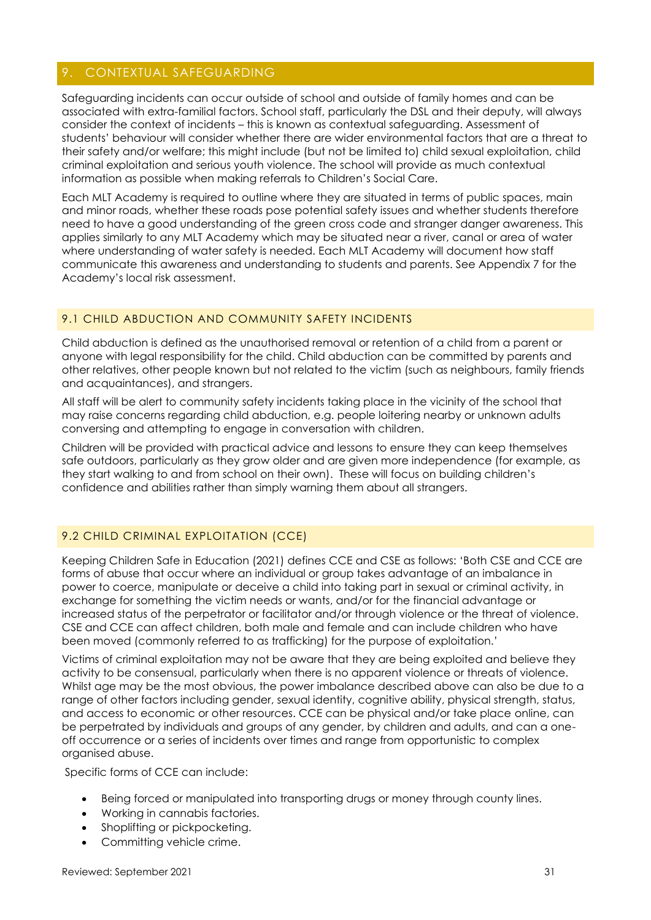# <span id="page-30-0"></span>9. CONTEXTUAL SAFEGUARDING

Safeguarding incidents can occur outside of school and outside of family homes and can be associated with extra-familial factors. School staff, particularly the DSL and their deputy, will always consider the context of incidents – this is known as contextual safeguarding. Assessment of students' behaviour will consider whether there are wider environmental factors that are a threat to their safety and/or welfare; this might include (but not be limited to) child sexual exploitation, child criminal exploitation and serious youth violence. The school will provide as much contextual information as possible when making referrals to Children's Social Care.

Each MLT Academy is required to outline where they are situated in terms of public spaces, main and minor roads, whether these roads pose potential safety issues and whether students therefore need to have a good understanding of the green cross code and stranger danger awareness. This applies similarly to any MLT Academy which may be situated near a river, canal or area of water where understanding of water safety is needed. Each MLT Academy will document how staff communicate this awareness and understanding to students and parents. See Appendix 7 for the Academy's local risk assessment.

### 9.1 CHILD ABDUCTION AND COMMUNITY SAFETY INCIDENTS

Child abduction is defined as the unauthorised removal or retention of a child from a parent or anyone with legal responsibility for the child. Child abduction can be committed by parents and other relatives, other people known but not related to the victim (such as neighbours, family friends and acquaintances), and strangers.

All staff will be alert to community safety incidents taking place in the vicinity of the school that may raise concerns regarding child abduction, e.g. people loitering nearby or unknown adults conversing and attempting to engage in conversation with children.

Children will be provided with practical advice and lessons to ensure they can keep themselves safe outdoors, particularly as they grow older and are given more independence (for example, as they start walking to and from school on their own). These will focus on building children's confidence and abilities rather than simply warning them about all strangers.

## 9.2 CHILD CRIMINAL EXPLOITATION (CCE)

Keeping Children Safe in Education (2021) defines CCE and CSE as follows: 'Both CSE and CCE are forms of abuse that occur where an individual or group takes advantage of an imbalance in power to coerce, manipulate or deceive a child into taking part in sexual or criminal activity, in exchange for something the victim needs or wants, and/or for the financial advantage or increased status of the perpetrator or facilitator and/or through violence or the threat of violence. CSE and CCE can affect children, both male and female and can include children who have been moved (commonly referred to as trafficking) for the purpose of exploitation.'

Victims of criminal exploitation may not be aware that they are being exploited and believe they activity to be consensual, particularly when there is no apparent violence or threats of violence. Whilst age may be the most obvious, the power imbalance described above can also be due to a range of other factors including gender, sexual identity, cognitive ability, physical strength, status, and access to economic or other resources. CCE can be physical and/or take place online, can be perpetrated by individuals and groups of any gender, by children and adults, and can a oneoff occurrence or a series of incidents over times and range from opportunistic to complex organised abuse.

Specific forms of CCE can include:

- Being forced or manipulated into transporting drugs or money through county lines.
- Working in cannabis factories.
- Shoplifting or pickpocketing.
- Committing vehicle crime.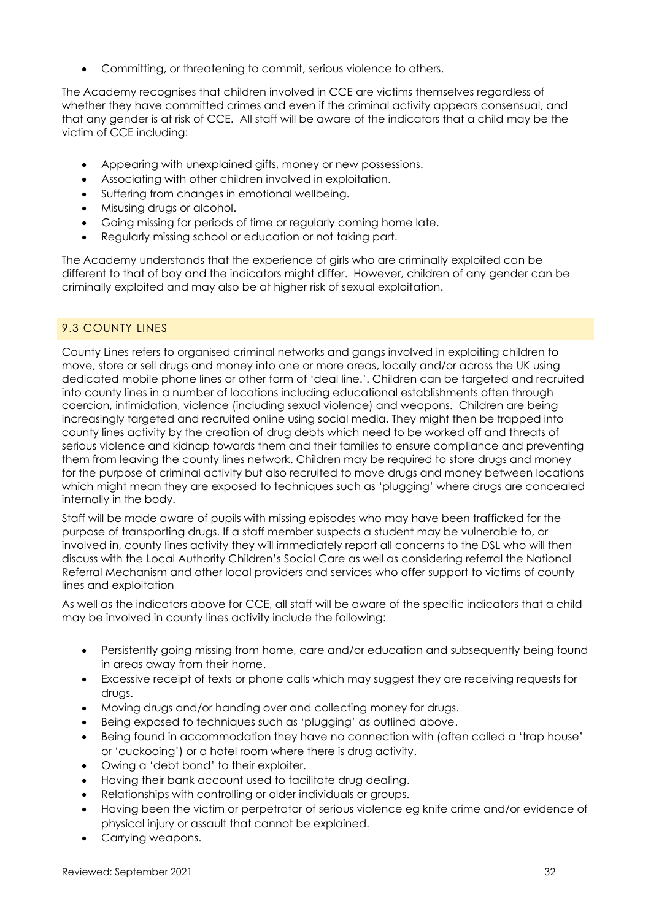• Committing, or threatening to commit, serious violence to others.

The Academy recognises that children involved in CCE are victims themselves regardless of whether they have committed crimes and even if the criminal activity appears consensual, and that any gender is at risk of CCE. All staff will be aware of the indicators that a child may be the victim of CCE including:

- Appearing with unexplained gifts, money or new possessions.
- Associating with other children involved in exploitation.
- Suffering from changes in emotional wellbeing.
- Misusing drugs or alcohol.
- Going missing for periods of time or regularly coming home late.
- Regularly missing school or education or not taking part.

The Academy understands that the experience of girls who are criminally exploited can be different to that of boy and the indicators might differ. However, children of any gender can be criminally exploited and may also be at higher risk of sexual exploitation.

## 9.3 COUNTY LINES

County Lines refers to organised criminal networks and gangs involved in exploiting children to move, store or sell drugs and money into one or more areas, locally and/or across the UK using dedicated mobile phone lines or other form of 'deal line.'. Children can be targeted and recruited into county lines in a number of locations including educational establishments often through coercion, intimidation, violence (including sexual violence) and weapons. Children are being increasingly targeted and recruited online using social media. They might then be trapped into county lines activity by the creation of drug debts which need to be worked off and threats of serious violence and kidnap towards them and their families to ensure compliance and preventing them from leaving the county lines network. Children may be required to store drugs and money for the purpose of criminal activity but also recruited to move drugs and money between locations which might mean they are exposed to techniques such as 'plugging' where drugs are concealed internally in the body.

Staff will be made aware of pupils with missing episodes who may have been trafficked for the purpose of transporting drugs. If a staff member suspects a student may be vulnerable to, or involved in, county lines activity they will immediately report all concerns to the DSL who will then discuss with the Local Authority Children's Social Care as well as considering referral the National Referral Mechanism and other local providers and services who offer support to victims of county lines and exploitation

As well as the indicators above for CCE, all staff will be aware of the specific indicators that a child may be involved in county lines activity include the following:

- Persistently going missing from home, care and/or education and subsequently being found in areas away from their home.
- Excessive receipt of texts or phone calls which may suggest they are receiving requests for drugs.
- Moving drugs and/or handing over and collecting money for drugs.
- Being exposed to techniques such as 'plugging' as outlined above.
- Being found in accommodation they have no connection with (often called a 'trap house' or 'cuckooing') or a hotel room where there is drug activity.
- Owing a 'debt bond' to their exploiter.
- Having their bank account used to facilitate drug dealing.
- Relationships with controlling or older individuals or groups.
- Having been the victim or perpetrator of serious violence eg knife crime and/or evidence of physical injury or assault that cannot be explained.
- Carrying weapons.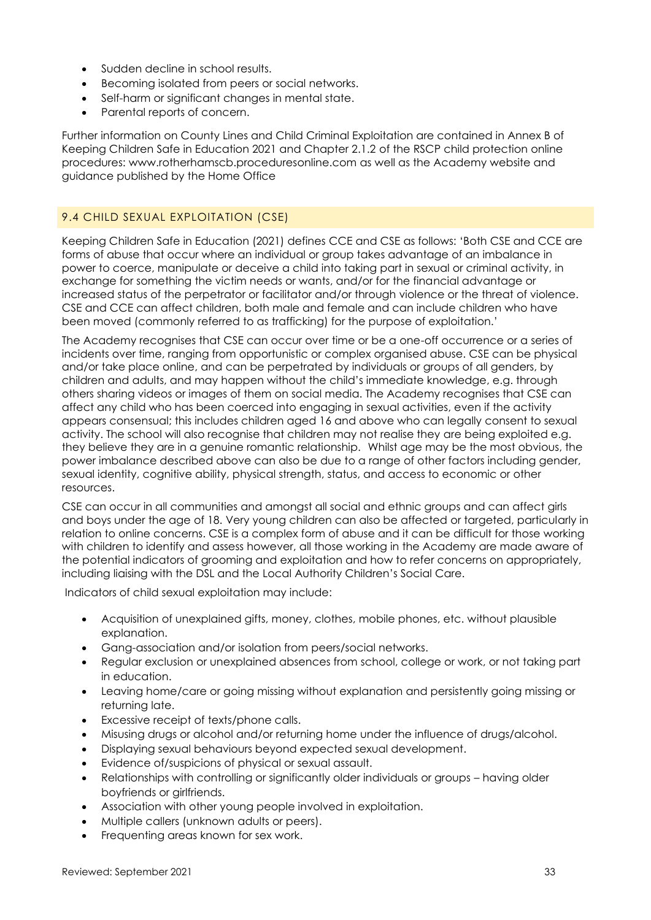- Sudden decline in school results.
- Becoming isolated from peers or social networks.
- Self-harm or significant changes in mental state.
- Parental reports of concern.

Further information on County Lines and Child Criminal Exploitation are contained in Annex B of Keeping Children Safe in Education 2021 and Chapter 2.1.2 of the RSCP child protection online procedures: [www.rotherhamscb.proceduresonline.com](http://www.rotherhamscb.proceduresonline.com/) as well as the Academy website and guidance published by the Home Office

### 9.4 CHILD SEXUAL EXPLOITATION (CSE)

Keeping Children Safe in Education (2021) defines CCE and CSE as follows: 'Both CSE and CCE are forms of abuse that occur where an individual or group takes advantage of an imbalance in power to coerce, manipulate or deceive a child into taking part in sexual or criminal activity, in exchange for something the victim needs or wants, and/or for the financial advantage or increased status of the perpetrator or facilitator and/or through violence or the threat of violence. CSE and CCE can affect children, both male and female and can include children who have been moved (commonly referred to as trafficking) for the purpose of exploitation.'

The Academy recognises that CSE can occur over time or be a one-off occurrence or a series of incidents over time, ranging from opportunistic or complex organised abuse. CSE can be physical and/or take place online, and can be perpetrated by individuals or groups of all genders, by children and adults, and may happen without the child's immediate knowledge, e.g. through others sharing videos or images of them on social media. The Academy recognises that CSE can affect any child who has been coerced into engaging in sexual activities, even if the activity appears consensual; this includes children aged 16 and above who can legally consent to sexual activity. The school will also recognise that children may not realise they are being exploited e.g. they believe they are in a genuine romantic relationship. Whilst age may be the most obvious, the power imbalance described above can also be due to a range of other factors including gender, sexual identity, cognitive ability, physical strength, status, and access to economic or other resources.

CSE can occur in all communities and amongst all social and ethnic groups and can affect girls and boys under the age of 18. Very young children can also be affected or targeted, particularly in relation to online concerns. CSE is a complex form of abuse and it can be difficult for those working with children to identify and assess however, all those working in the Academy are made aware of the potential indicators of grooming and exploitation and how to refer concerns on appropriately, including liaising with the DSL and the Local Authority Children's Social Care.

Indicators of child sexual exploitation may include:

- Acquisition of unexplained gifts, money, clothes, mobile phones, etc. without plausible explanation.
- Gang-association and/or isolation from peers/social networks.
- Regular exclusion or unexplained absences from school, college or work, or not taking part in education.
- Leaving home/care or going missing without explanation and persistently going missing or returning late.
- Excessive receipt of texts/phone calls.
- Misusing drugs or alcohol and/or returning home under the influence of drugs/alcohol.
- Displaying sexual behaviours beyond expected sexual development.
- Evidence of/suspicions of physical or sexual assault.
- Relationships with controlling or significantly older individuals or groups having older boyfriends or girlfriends.
- Association with other young people involved in exploitation.
- Multiple callers (unknown adults or peers).
- Frequenting areas known for sex work.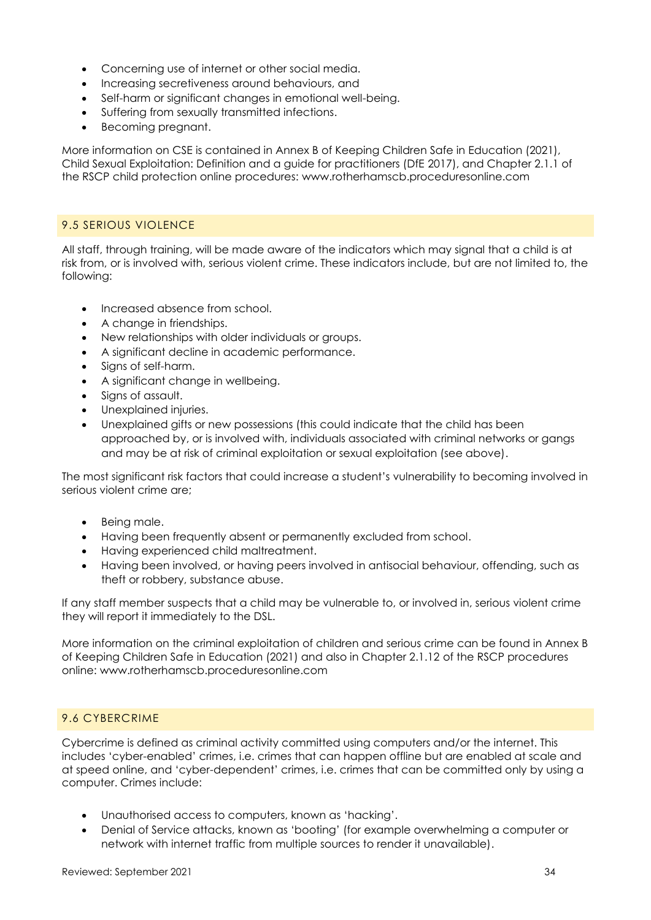- Concerning use of internet or other social media.
- Increasing secretiveness around behaviours, and
- Self-harm or significant changes in emotional well-being.
- Suffering from sexually transmitted infections.
- Becoming pregnant.

More information on CSE is contained in Annex B of Keeping Children Safe in Education (2021), Child Sexual Exploitation: Definition and a guide for practitioners (DfE 2017), and Chapter 2.1.1 of the RSCP child protection online procedures: [www.rotherhamscb.proceduresonline.com](http://www.rotherhamscb.proceduresonline.com/)

### 9.5 SERIOUS VIOLENCE

All staff, through training, will be made aware of the indicators which may signal that a child is at risk from, or is involved with, serious violent crime. These indicators include, but are not limited to, the following:

- Increased absence from school.
- A change in friendships.
- New relationships with older individuals or groups.
- A significant decline in academic performance.
- Signs of self-harm.
- A significant change in wellbeing.
- Signs of assault.
- Unexplained injuries.
- Unexplained gifts or new possessions (this could indicate that the child has been approached by, or is involved with, individuals associated with criminal networks or gangs and may be at risk of criminal exploitation or sexual exploitation (see above).

The most significant risk factors that could increase a student's vulnerability to becoming involved in serious violent crime are;

- Being male.
- Having been frequently absent or permanently excluded from school.
- Having experienced child maltreatment.
- Having been involved, or having peers involved in antisocial behaviour, offending, such as theft or robbery, substance abuse.

If any staff member suspects that a child may be vulnerable to, or involved in, serious violent crime they will report it immediately to the DSL.

More information on the criminal exploitation of children and serious crime can be found in Annex B of Keeping Children Safe in Education (2021) and also in Chapter 2.1.12 of the RSCP procedures online: www.rotherhamscb.proceduresonline.com

### 9.6 CYBERCRIME

Cybercrime is defined as criminal activity committed using computers and/or the internet. This includes 'cyber-enabled' crimes, i.e. crimes that can happen offline but are enabled at scale and at speed online, and 'cyber-dependent' crimes, i.e. crimes that can be committed only by using a computer. Crimes include:

- Unauthorised access to computers, known as 'hacking'.
- Denial of Service attacks, known as 'booting' (for example overwhelming a computer or network with internet traffic from multiple sources to render it unavailable).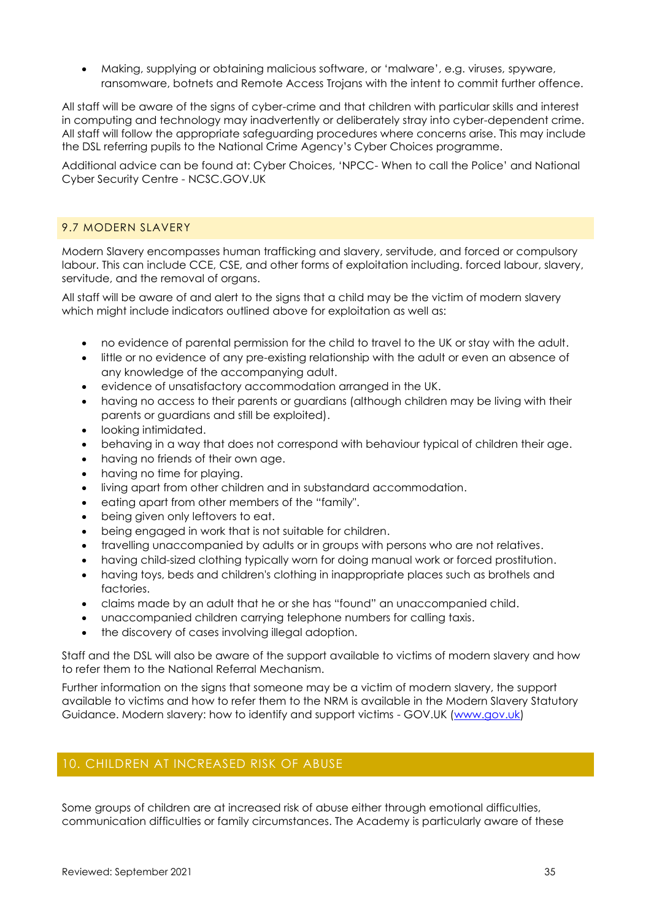• Making, supplying or obtaining malicious software, or 'malware', e.g. viruses, spyware, ransomware, botnets and Remote Access Trojans with the intent to commit further offence.

All staff will be aware of the signs of cyber-crime and that children with particular skills and interest in computing and technology may inadvertently or deliberately stray into cyber-dependent crime. All staff will follow the appropriate safeguarding procedures where concerns arise. This may include the DSL referring pupils to the National Crime Agency's Cyber Choices programme.

Additional advice can be found at: Cyber Choices, 'NPCC- When to call the Police' and National Cyber Security Centre - NCSC.GOV.UK

#### 9.7 MODERN SLAVERY

Modern Slavery encompasses human trafficking and slavery, servitude, and forced or compulsory labour. This can include CCE, CSE, and other forms of exploitation including. forced labour, slavery, servitude, and the removal of organs.

All staff will be aware of and alert to the signs that a child may be the victim of modern slavery which might include indicators outlined above for exploitation as well as:

- no evidence of parental permission for the child to travel to the UK or stay with the adult.
- little or no evidence of any pre-existing relationship with the adult or even an absence of any knowledge of the accompanying adult.
- evidence of unsatisfactory accommodation arranged in the UK.
- having no access to their parents or guardians (although children may be living with their parents or guardians and still be exploited).
- looking intimidated.
- behaving in a way that does not correspond with behaviour typical of children their age.
- having no friends of their own age.
- having no time for playing.
- living apart from other children and in substandard accommodation.
- eating apart from other members of the "family".
- being given only leftovers to eat.
- being engaged in work that is not suitable for children.
- travelling unaccompanied by adults or in groups with persons who are not relatives.
- having child-sized clothing typically worn for doing manual work or forced prostitution.
- having toys, beds and children's clothing in inappropriate places such as brothels and factories.
- claims made by an adult that he or she has "found" an unaccompanied child.
- unaccompanied children carrying telephone numbers for calling taxis.
- the discovery of cases involving illegal adoption.

Staff and the DSL will also be aware of the support available to victims of modern slavery and how to refer them to the National Referral Mechanism.

Further information on the signs that someone may be a victim of modern slavery, the support available to victims and how to refer them to the NRM is available in the Modern Slavery Statutory Guidance. Modern slavery: how to identify and support victims - GOV.UK (www.gov.uk)

# <span id="page-34-0"></span>10. CHILDREN AT INCREASED RISK OF ABUSE

Some groups of children are at increased risk of abuse either through emotional difficulties, communication difficulties or family circumstances. The Academy is particularly aware of these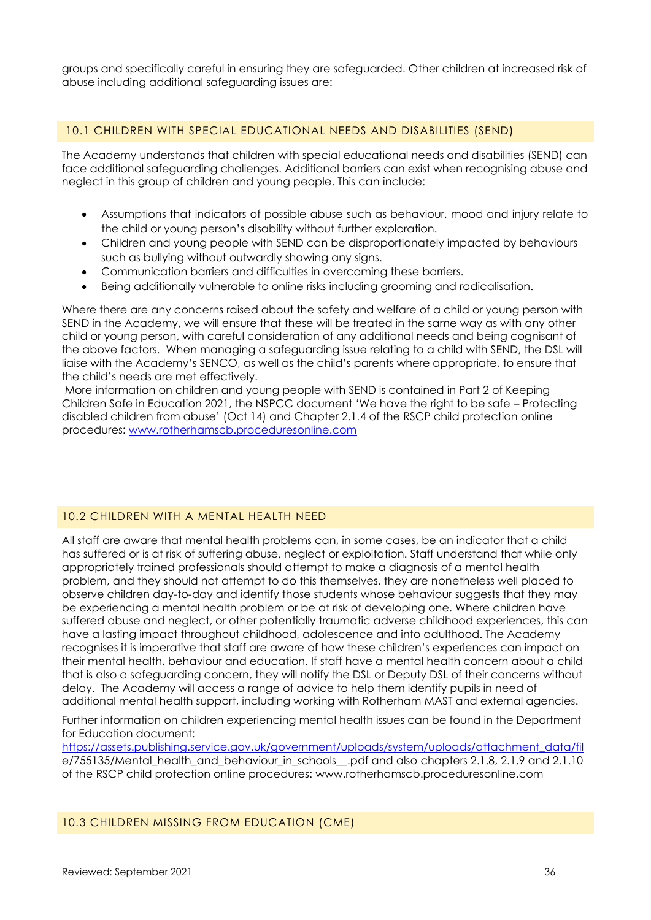groups and specifically careful in ensuring they are safeguarded. Other children at increased risk of abuse including additional safeguarding issues are:

#### 10.1 CHILDREN WITH SPECIAL EDUCATIONAL NEEDS AND DISABILITIES (SEND)

The Academy understands that children with special educational needs and disabilities (SEND) can face additional safeguarding challenges. Additional barriers can exist when recognising abuse and neglect in this group of children and young people. This can include:

- Assumptions that indicators of possible abuse such as behaviour, mood and injury relate to the child or young person's disability without further exploration.
- Children and young people with SEND can be disproportionately impacted by behaviours such as bullying without outwardly showing any signs.
- Communication barriers and difficulties in overcoming these barriers.
- Being additionally vulnerable to online risks including grooming and radicalisation.

Where there are any concerns raised about the safety and welfare of a child or young person with SEND in the Academy, we will ensure that these will be treated in the same way as with any other child or young person, with careful consideration of any additional needs and being cognisant of the above factors. When managing a safeguarding issue relating to a child with SEND, the DSL will liaise with the Academy's SENCO, as well as the child's parents where appropriate, to ensure that the child's needs are met effectively.

More information on children and young people with SEND is contained in Part 2 of Keeping Children Safe in Education 2021, the NSPCC document 'We have the right to be safe – Protecting disabled children from abuse' (Oct 14) and Chapter 2.1.4 of the RSCP child protection online procedures: [www.rotherhamscb.proceduresonline.com](http://www.rotherhamscb.proceduresonline.com/)

### 10.2 CHILDREN WITH A MENTAL HEALTH NEED

All staff are aware that mental health problems can, in some cases, be an indicator that a child has suffered or is at risk of suffering abuse, neglect or exploitation. Staff understand that while only appropriately trained professionals should attempt to make a diagnosis of a mental health problem, and they should not attempt to do this themselves, they are nonetheless well placed to observe children day-to-day and identify those students whose behaviour suggests that they may be experiencing a mental health problem or be at risk of developing one. Where children have suffered abuse and neglect, or other potentially traumatic adverse childhood experiences, this can have a lasting impact throughout childhood, adolescence and into adulthood. The Academy recognises it is imperative that staff are aware of how these children's experiences can impact on their mental health, behaviour and education. If staff have a mental health concern about a child that is also a safeguarding concern, they will notify the DSL or Deputy DSL of their concerns without delay. The Academy will access a range of advice to help them identify pupils in need of additional mental health support, including working with Rotherham MAST and external agencies.

Further information on children experiencing mental health issues can be found in the Department for Education document:

[https://assets.publishing.service.gov.uk/government/uploads/system/uploads/attachment\\_data/fil](https://assets.publishing.service.gov.uk/government/uploads/system/uploads/attachment_data/fil) e/755135/Mental\_health\_and\_behaviour\_in\_schools\_\_.pdf and also chapters 2.1.8, 2.1.9 and 2.1.10 of the RSCP child protection online procedures: [www.rotherhamscb.proceduresonline.com](http://www.rotherhamscb.proceduresonline.com/)

10.3 CHILDREN MISSING FROM EDUCATION (CME)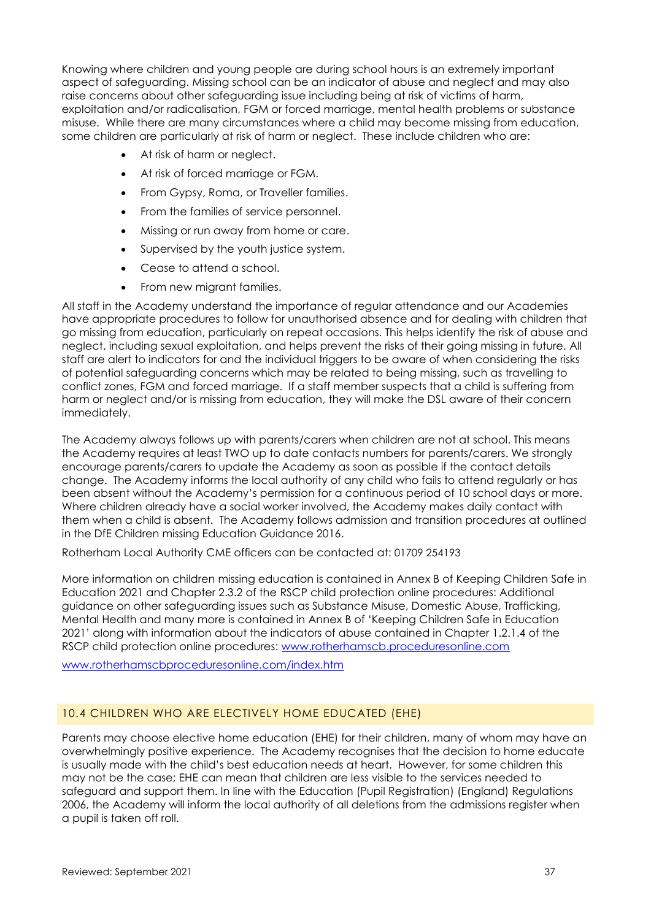Knowing where children and young people are during school hours is an extremely important aspect of safeguarding. Missing school can be an indicator of abuse and neglect and may also raise concerns about other safeguarding issue including being at risk of victims of harm, exploitation and/or radicalisation, FGM or forced marriage, mental health problems or substance misuse. While there are many circumstances where a child may become missing from education, some children are particularly at risk of harm or neglect. These include children who are:

- At risk of harm or neglect.
- At risk of forced marriage or FGM.
- From Gypsy, Roma, or Traveller families.
- From the families of service personnel.
- Missing or run away from home or care.
- Supervised by the youth justice system.
- Cease to attend a school.
- From new migrant families.

All staff in the Academy understand the importance of regular attendance and our Academies have appropriate procedures to follow for unauthorised absence and for dealing with children that go missing from education, particularly on repeat occasions. This helps identify the risk of abuse and neglect, including sexual exploitation, and helps prevent the risks of their going missing in future. All staff are alert to indicators for and the individual triggers to be aware of when considering the risks of potential safeguarding concerns which may be related to being missing, such as travelling to conflict zones, FGM and forced marriage. If a staff member suspects that a child is suffering from harm or neglect and/or is missing from education, they will make the DSL aware of their concern immediately.

The Academy always follows up with parents/carers when children are not at school. This means the Academy requires at least TWO up to date contacts numbers for parents/carers. We strongly encourage parents/carers to update the Academy as soon as possible if the contact details change. The Academy informs the local authority of any child who fails to attend regularly or has been absent without the Academy's permission for a continuous period of 10 school days or more. Where children already have a social worker involved, the Academy makes daily contact with them when a child is absent. The Academy follows admission and transition procedures at outlined in the DfE Children missing Education Guidance 2016.

Rotherham Local Authority CME officers can be contacted at: 01709 254193

More information on children missing education is contained in Annex B of Keeping Children Safe in Education 2021 and Chapter 2.3.2 of the RSCP child protection online procedures: Additional guidance on other safeguarding issues such as Substance Misuse, Domestic Abuse, Trafficking, Mental Health and many more is contained in Annex B of 'Keeping Children Safe in Education 2021' along with information about the indicators of abuse contained in Chapter 1.2.1.4 of the RSCP child protection online procedures: [www.rotherhamscb.proceduresonline.com](http://www.rotherhamscb.proceduresonline.com/)

[www.rotherhamscbproceduresonline.com/index.htm](http://www.rotherhamscbproceduresonline.com/index.htm)

### 10.4 CHILDREN WHO ARE ELECTIVELY HOME EDUCATED (EHE)

Parents may choose elective home education (EHE) for their children, many of whom may have an overwhelmingly positive experience. The Academy recognises that the decision to home educate is usually made with the child's best education needs at heart. However, for some children this may not be the case; EHE can mean that children are less visible to the services needed to safeguard and support them. In line with the Education (Pupil Registration) (England) Regulations 2006, the Academy will inform the local authority of all deletions from the admissions register when a pupil is taken off roll.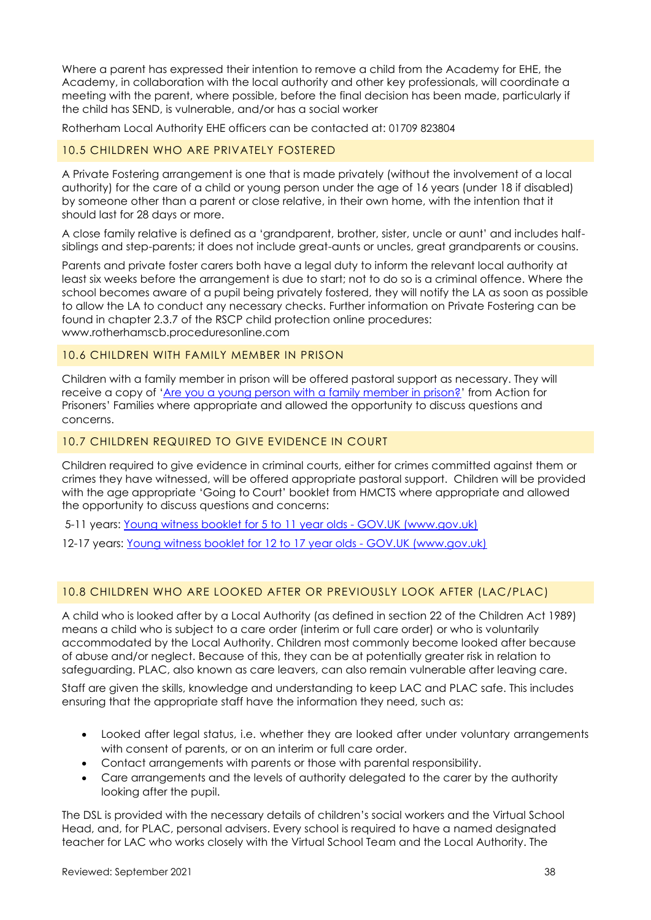Where a parent has expressed their intention to remove a child from the Academy for EHE, the Academy, in collaboration with the local authority and other key professionals, will coordinate a meeting with the parent, where possible, before the final decision has been made, particularly if the child has SEND, is vulnerable, and/or has a social worker

Rotherham Local Authority EHE officers can be contacted at: 01709 823804

### 10.5 CHILDREN WHO ARE PRIVATELY FOSTERED

A Private Fostering arrangement is one that is made privately (without the involvement of a local authority) for the care of a child or young person under the age of 16 years (under 18 if disabled) by someone other than a parent or close relative, in their own home, with the intention that it should last for 28 days or more.

A close family relative is defined as a 'grandparent, brother, sister, uncle or aunt' and includes halfsiblings and step-parents; it does not include great-aunts or uncles, great grandparents or cousins.

Parents and private foster carers both have a legal duty to inform the relevant local authority at least six weeks before the arrangement is due to start; not to do so is a criminal offence. Where the school becomes aware of a pupil being privately fostered, they will notify the LA as soon as possible to allow the LA to conduct any necessary checks. Further information on Private Fostering can be found in chapter 2.3.7 of the RSCP child protection online procedures: www.rotherhamscb.proceduresonline.com

#### 10.6 CHILDREN WITH FAMILY MEMBER IN PRISON

Children with a family member in prison will be offered pastoral support as necessary. They will receive a copy of '[Are you a young person with a family member in prison?](https://www.nicco.org.uk/directory-of-resources)' from Action for Prisoners' Families where appropriate and allowed the opportunity to discuss questions and concerns.

#### 10.7 CHILDREN REQUIRED TO GIVE EVIDENCE IN COURT

Children required to give evidence in criminal courts, either for crimes committed against them or crimes they have witnessed, will be offered appropriate pastoral support. Children will be provided with the age appropriate 'Going to Court' booklet from HMCTS where appropriate and allowed the opportunity to discuss questions and concerns:

5-11 years: [Young witness booklet for 5 to 11 year olds -](https://www.gov.uk/government/publications/young-witness-booklet-for-5-to-11-year-olds) GOV.UK (www.gov.uk)

12-17 years: [Young witness booklet for 12 to 17 year olds -](https://www.gov.uk/government/publications/young-witness-booklet-for-12-to-17-year-olds) GOV.UK (www.gov.uk)

### 10.8 CHILDREN WHO ARE LOOKED AFTER OR PREVIOUSLY LOOK AFTER (LAC/PLAC)

A child who is looked after by a Local Authority (as defined in section 22 of the Children Act 1989) means a child who is subject to a care order (interim or full care order) or who is voluntarily accommodated by the Local Authority. Children most commonly become looked after because of abuse and/or neglect. Because of this, they can be at potentially greater risk in relation to safeguarding. PLAC, also known as care leavers, can also remain vulnerable after leaving care.

Staff are given the skills, knowledge and understanding to keep LAC and PLAC safe. This includes ensuring that the appropriate staff have the information they need, such as:

- Looked after legal status, i.e. whether they are looked after under voluntary arrangements with consent of parents, or on an interim or full care order.
- Contact arrangements with parents or those with parental responsibility.
- Care arrangements and the levels of authority delegated to the carer by the authority looking after the pupil.

The DSL is provided with the necessary details of children's social workers and the Virtual School Head, and, for PLAC, personal advisers. Every school is required to have a named designated teacher for LAC who works closely with the Virtual School Team and the Local Authority. The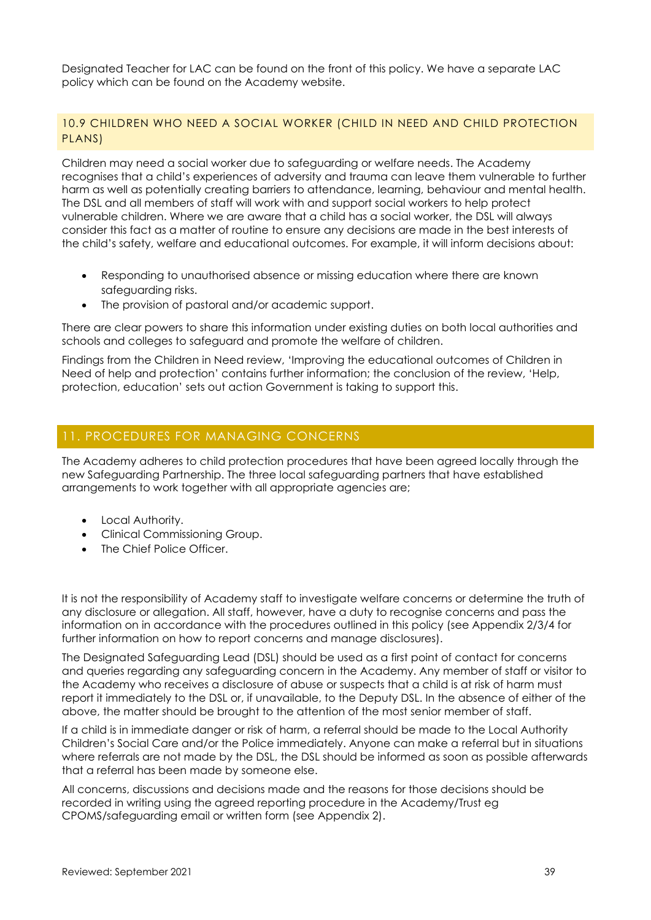Designated Teacher for LAC can be found on the front of this policy. We have a separate LAC policy which can be found on the Academy website.

### 10.9 CHILDREN WHO NEED A SOCIAL WORKER (CHILD IN NEED AND CHILD PROTECTION PLANS)

Children may need a social worker due to safeguarding or welfare needs. The Academy recognises that a child's experiences of adversity and trauma can leave them vulnerable to further harm as well as potentially creating barriers to attendance, learning, behaviour and mental health. The DSL and all members of staff will work with and support social workers to help protect vulnerable children. Where we are aware that a child has a social worker, the DSL will always consider this fact as a matter of routine to ensure any decisions are made in the best interests of the child's safety, welfare and educational outcomes. For example, it will inform decisions about:

- Responding to unauthorised absence or missing education where there are known safeguarding risks.
- The provision of pastoral and/or academic support.

There are clear powers to share this information under existing duties on both local authorities and schools and colleges to safeguard and promote the welfare of children.

Findings from the Children in Need review, 'Improving the educational outcomes of Children in Need of help and protection' contains further information; the conclusion of the review, 'Help, protection, education' sets out action Government is taking to support this.

## <span id="page-38-0"></span>11. PROCEDURES FOR MANAGING CONCERNS

The Academy adheres to child protection procedures that have been agreed locally through the new Safeguarding Partnership. The three local safeguarding partners that have established arrangements to work together with all appropriate agencies are;

- Local Authority.
- Clinical Commissioning Group.
- The Chief Police Officer.

It is not the responsibility of Academy staff to investigate welfare concerns or determine the truth of any disclosure or allegation. All staff, however, have a duty to recognise concerns and pass the information on in accordance with the procedures outlined in this policy (see Appendix 2/3/4 for further information on how to report concerns and manage disclosures).

The Designated Safeguarding Lead (DSL) should be used as a first point of contact for concerns and queries regarding any safeguarding concern in the Academy. Any member of staff or visitor to the Academy who receives a disclosure of abuse or suspects that a child is at risk of harm must report it immediately to the DSL or, if unavailable, to the Deputy DSL. In the absence of either of the above, the matter should be brought to the attention of the most senior member of staff.

If a child is in immediate danger or risk of harm, a referral should be made to the Local Authority Children's Social Care and/or the Police immediately. Anyone can make a referral but in situations where referrals are not made by the DSL, the DSL should be informed as soon as possible afterwards that a referral has been made by someone else.

All concerns, discussions and decisions made and the reasons for those decisions should be recorded in writing using the agreed reporting procedure in the Academy/Trust eg CPOMS/safeguarding email or written form (see Appendix 2).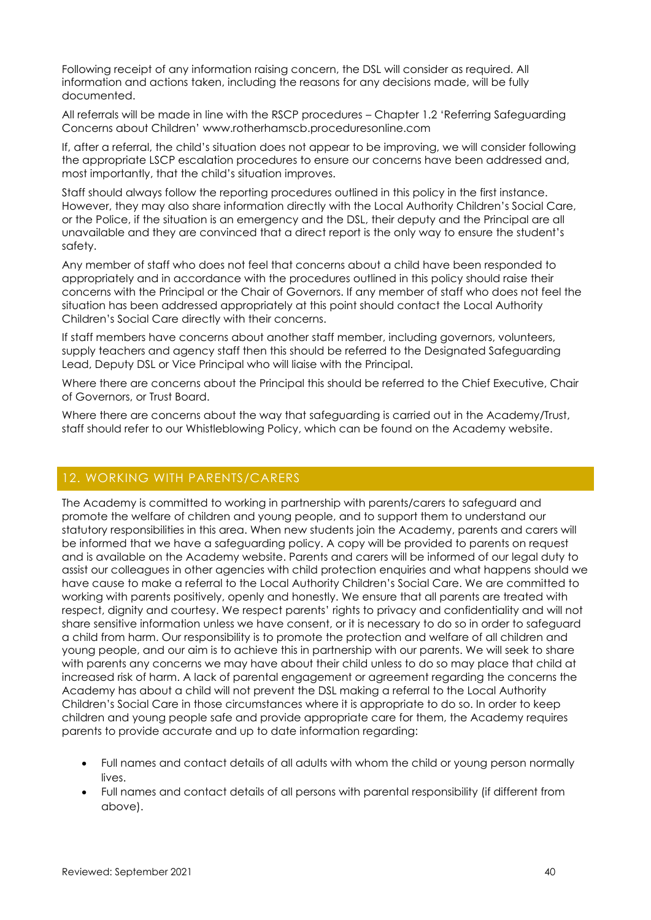Following receipt of any information raising concern, the DSL will consider as required. All information and actions taken, including the reasons for any decisions made, will be fully documented.

All referrals will be made in line with the RSCP procedures – Chapter 1.2 'Referring Safeguarding Concerns about Children' [www.rotherhamscb.proceduresonline.com](http://www.rotherhamscb.proceduresonline.com/)

If, after a referral, the child's situation does not appear to be improving, we will consider following the appropriate LSCP escalation procedures to ensure our concerns have been addressed and, most importantly, that the child's situation improves.

Staff should always follow the reporting procedures outlined in this policy in the first instance. However, they may also share information directly with the Local Authority Children's Social Care, or the Police, if the situation is an emergency and the DSL, their deputy and the Principal are all unavailable and they are convinced that a direct report is the only way to ensure the student's safety.

Any member of staff who does not feel that concerns about a child have been responded to appropriately and in accordance with the procedures outlined in this policy should raise their concerns with the Principal or the Chair of Governors. If any member of staff who does not feel the situation has been addressed appropriately at this point should contact the Local Authority Children's Social Care directly with their concerns.

If staff members have concerns about another staff member, including governors, volunteers, supply teachers and agency staff then this should be referred to the Designated Safeguarding Lead, Deputy DSL or Vice Principal who will liaise with the Principal.

Where there are concerns about the Principal this should be referred to the Chief Executive, Chair of Governors, or Trust Board.

Where there are concerns about the way that safeguarding is carried out in the Academy/Trust, staff should refer to our Whistleblowing Policy, which can be found on the Academy website.

# <span id="page-39-0"></span>12. WORKING WITH PARENTS/CARERS

The Academy is committed to working in partnership with parents/carers to safeguard and promote the welfare of children and young people, and to support them to understand our statutory responsibilities in this area. When new students join the Academy, parents and carers will be informed that we have a safeguarding policy. A copy will be provided to parents on request and is available on the Academy website. Parents and carers will be informed of our legal duty to assist our colleagues in other agencies with child protection enquiries and what happens should we have cause to make a referral to the Local Authority Children's Social Care. We are committed to working with parents positively, openly and honestly. We ensure that all parents are treated with respect, dignity and courtesy. We respect parents' rights to privacy and confidentiality and will not share sensitive information unless we have consent, or it is necessary to do so in order to safeguard a child from harm. Our responsibility is to promote the protection and welfare of all children and young people, and our aim is to achieve this in partnership with our parents. We will seek to share with parents any concerns we may have about their child unless to do so may place that child at increased risk of harm. A lack of parental engagement or agreement regarding the concerns the Academy has about a child will not prevent the DSL making a referral to the Local Authority Children's Social Care in those circumstances where it is appropriate to do so. In order to keep children and young people safe and provide appropriate care for them, the Academy requires parents to provide accurate and up to date information regarding:

- Full names and contact details of all adults with whom the child or young person normally lives.
- Full names and contact details of all persons with parental responsibility (if different from above).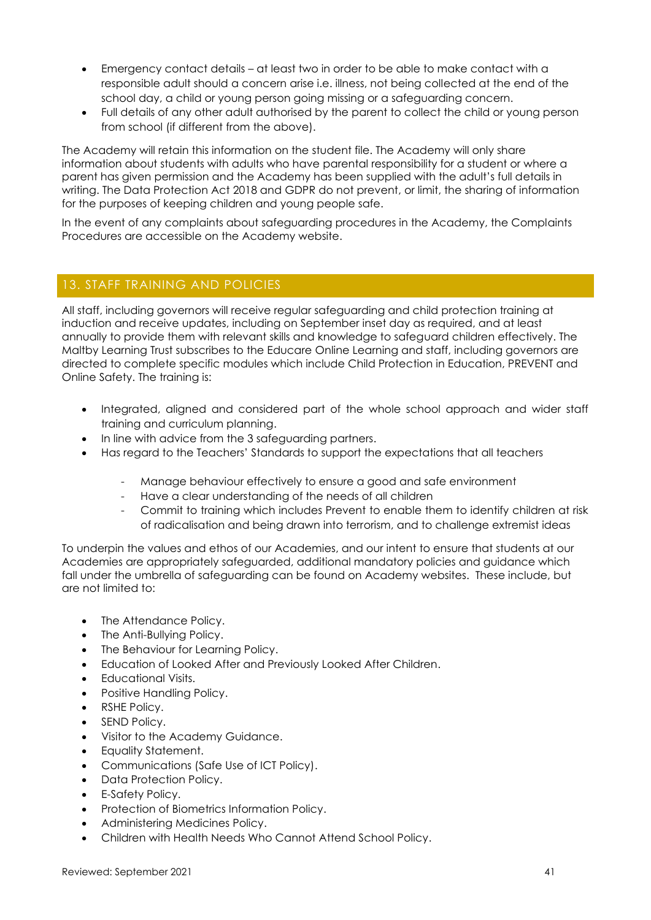- Emergency contact details at least two in order to be able to make contact with a responsible adult should a concern arise i.e. illness, not being collected at the end of the school day, a child or young person going missing or a safeguarding concern.
- Full details of any other adult authorised by the parent to collect the child or young person from school (if different from the above).

The Academy will retain this information on the student file. The Academy will only share information about students with adults who have parental responsibility for a student or where a parent has given permission and the Academy has been supplied with the adult's full details in writing. The Data Protection Act 2018 and GDPR do not prevent, or limit, the sharing of information for the purposes of keeping children and young people safe.

In the event of any complaints about safeguarding procedures in the Academy, the Complaints Procedures are accessible on the Academy website.

## <span id="page-40-0"></span>13. STAFF TRAINING AND POLICIES

All staff, including governors will receive regular safeguarding and child protection training at induction and receive updates, including on September inset day as required, and at least annually to provide them with relevant skills and knowledge to safeguard children effectively. The Maltby Learning Trust subscribes to the Educare Online Learning and staff, including governors are directed to complete specific modules which include Child Protection in Education, PREVENT and Online Safety. The training is:

- Integrated, aligned and considered part of the whole school approach and wider staff training and curriculum planning.
- In line with advice from the 3 safeguarding partners.
- Has regard to the Teachers' Standards to support the expectations that all teachers
	- Manage behaviour effectively to ensure a good and safe environment
	- Have a clear understanding of the needs of all children
	- Commit to training which includes Prevent to enable them to identify children at risk of radicalisation and being drawn into terrorism, and to challenge extremist ideas

To underpin the values and ethos of our Academies, and our intent to ensure that students at our Academies are appropriately safeguarded, additional mandatory policies and guidance which fall under the umbrella of safeguarding can be found on Academy websites. These include, but are not limited to:

- The Attendance Policy.
- The Anti-Bullying Policy.
- The Behaviour for Learning Policy.
- Education of Looked After and Previously Looked After Children.
- Educational Visits.
- Positive Handling Policy.
- RSHE Policy.
- SEND Policy.
- Visitor to the Academy Guidance.
- Equality Statement.
- Communications (Safe Use of ICT Policy).
- Data Protection Policy.
- E-Safety Policy.
- Protection of Biometrics Information Policy.
- Administering Medicines Policy.
- Children with Health Needs Who Cannot Attend School Policy.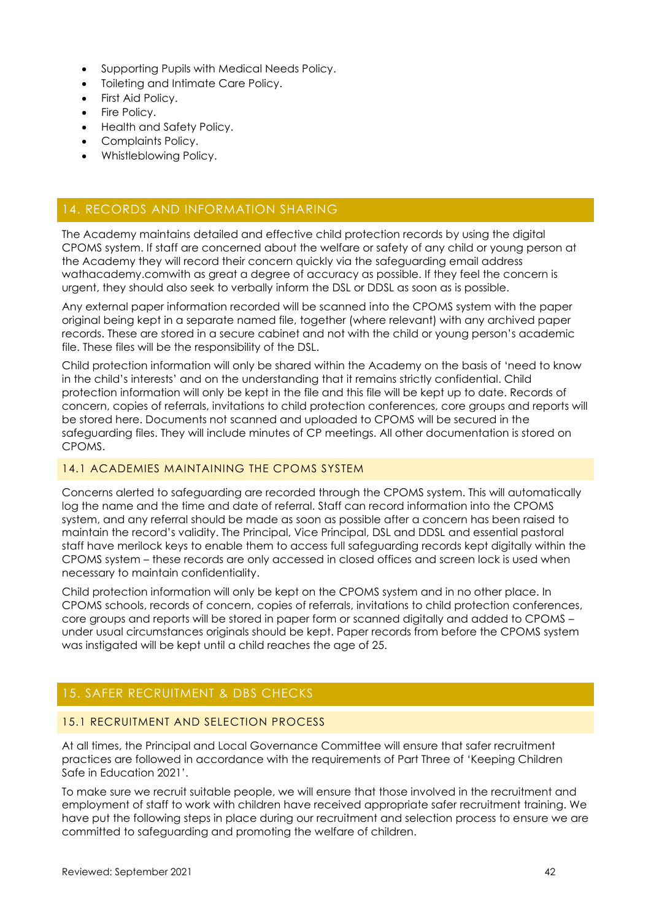- Supporting Pupils with Medical Needs Policy.
- Toileting and Intimate Care Policy.
- First Aid Policy.
- Fire Policy.
- Health and Safety Policy.
- Complaints Policy.
- Whistleblowing Policy.

# <span id="page-41-0"></span>14. RECORDS AND INFORMATION SHARING

The Academy maintains detailed and effective child protection records by using the digital CPOMS system. If staff are concerned about the welfare or safety of any child or young person at the Academy they will record their concern quickly via the safeguarding email address wathacademy.comwith as great a degree of accuracy as possible. If they feel the concern is urgent, they should also seek to verbally inform the DSL or DDSL as soon as is possible.

Any external paper information recorded will be scanned into the CPOMS system with the paper original being kept in a separate named file, together (where relevant) with any archived paper records. These are stored in a secure cabinet and not with the child or young person's academic file. These files will be the responsibility of the DSL.

Child protection information will only be shared within the Academy on the basis of 'need to know in the child's interests' and on the understanding that it remains strictly confidential. Child protection information will only be kept in the file and this file will be kept up to date. Records of concern, copies of referrals, invitations to child protection conferences, core groups and reports will be stored here. Documents not scanned and uploaded to CPOMS will be secured in the safeguarding files. They will include minutes of CP meetings. All other documentation is stored on CPOMS.

#### 14.1 ACADEMIES MAINTAINING THE CPOMS SYSTEM

Concerns alerted to safeguarding are recorded through the CPOMS system. This will automatically log the name and the time and date of referral. Staff can record information into the CPOMS system, and any referral should be made as soon as possible after a concern has been raised to maintain the record's validity. The Principal, Vice Principal, DSL and DDSL and essential pastoral staff have merilock keys to enable them to access full safeguarding records kept digitally within the CPOMS system – these records are only accessed in closed offices and screen lock is used when necessary to maintain confidentiality.

Child protection information will only be kept on the CPOMS system and in no other place. In CPOMS schools, records of concern, copies of referrals, invitations to child protection conferences, core groups and reports will be stored in paper form or scanned digitally and added to CPOMS – under usual circumstances originals should be kept. Paper records from before the CPOMS system was instigated will be kept until a child reaches the age of 25.

# <span id="page-41-1"></span>15. SAFER RECRUITMENT & DBS CHECKS

### 15.1 RECRUITMENT AND SELECTION PROCESS

At all times, the Principal and Local Governance Committee will ensure that safer recruitment practices are followed in accordance with the requirements of Part Three of 'Keeping Children Safe in Education 2021'.

To make sure we recruit suitable people, we will ensure that those involved in the recruitment and employment of staff to work with children have received appropriate safer recruitment training. We have put the following steps in place during our recruitment and selection process to ensure we are committed to safeguarding and promoting the welfare of children.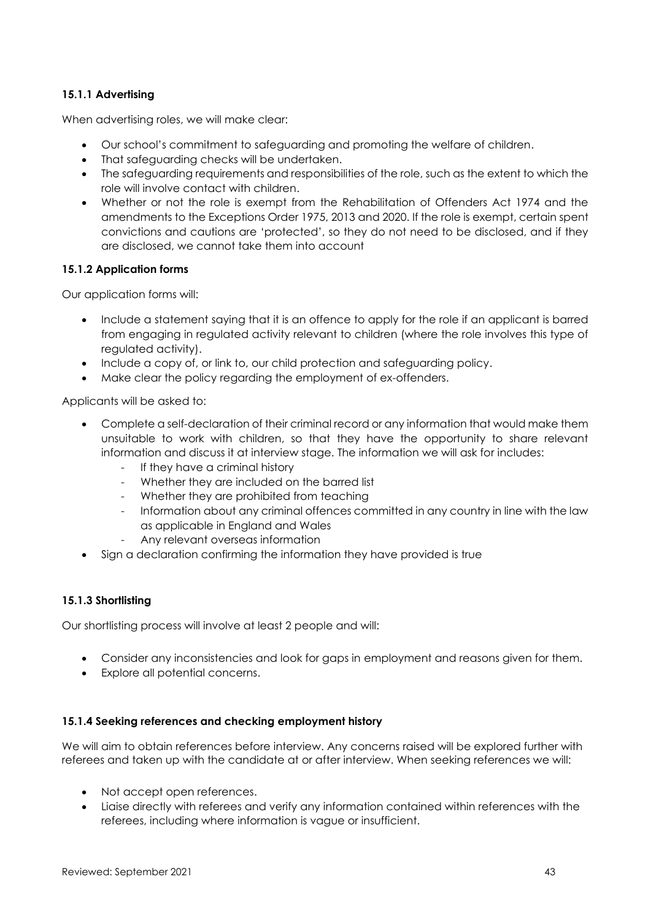### **15.1.1 Advertising**

When advertising roles, we will make clear:

- Our school's commitment to safeguarding and promoting the welfare of children.
- That safeguarding checks will be undertaken.
- The safeguarding requirements and responsibilities of the role, such as the extent to which the role will involve contact with children.
- Whether or not the role is exempt from the Rehabilitation of Offenders Act 1974 and the amendments to the Exceptions Order 1975, 2013 and 2020. If the role is exempt, certain spent convictions and cautions are 'protected', so they do not need to be disclosed, and if they are disclosed, we cannot take them into account

### **15.1.2 Application forms**

Our application forms will:

- Include a statement saying that it is an offence to apply for the role if an applicant is barred from engaging in regulated activity relevant to children (where the role involves this type of regulated activity).
- Include a copy of, or link to, our child protection and safeguarding policy.
- Make clear the policy regarding the employment of ex-offenders.

Applicants will be asked to:

- Complete a self-declaration of their criminal record or any information that would make them unsuitable to work with children, so that they have the opportunity to share relevant information and discuss it at interview stage. The information we will ask for includes:
	- If they have a criminal history
	- Whether they are included on the barred list
	- Whether they are prohibited from teaching
	- Information about any criminal offences committed in any country in line with the law as applicable in England and Wales
	- Any relevant overseas information
- Sign a declaration confirming the information they have provided is true

### **15.1.3 Shortlisting**

Our shortlisting process will involve at least 2 people and will:

- Consider any inconsistencies and look for gaps in employment and reasons given for them.
- Explore all potential concerns.

### **15.1.4 Seeking references and checking employment history**

We will aim to obtain references before interview. Any concerns raised will be explored further with referees and taken up with the candidate at or after interview. When seeking references we will:

- Not accept open references.
- Liaise directly with referees and verify any information contained within references with the referees, including where information is vague or insufficient.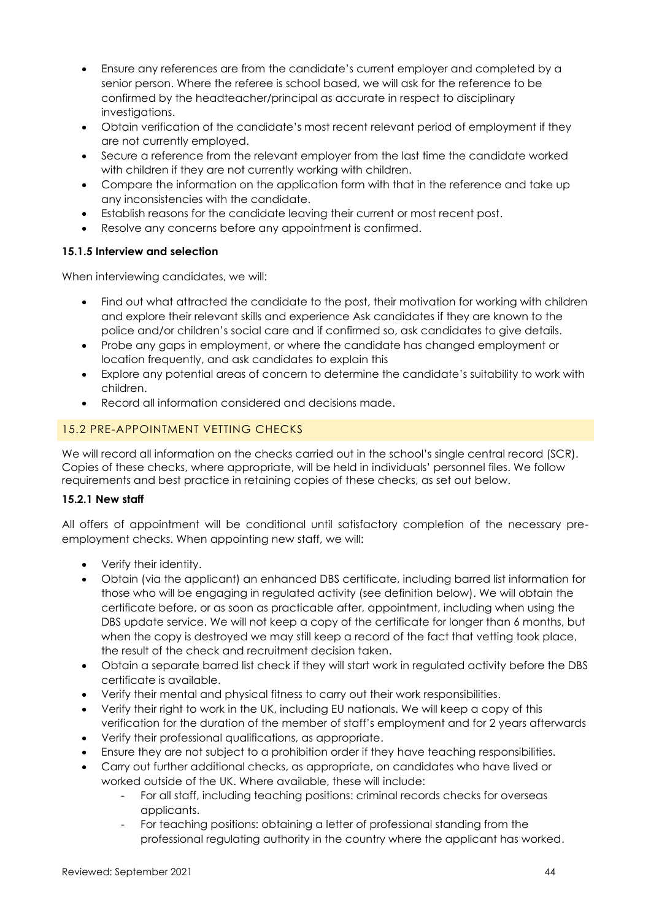- Ensure any references are from the candidate's current employer and completed by a senior person. Where the referee is school based, we will ask for the reference to be confirmed by the headteacher/principal as accurate in respect to disciplinary investigations.
- Obtain verification of the candidate's most recent relevant period of employment if they are not currently employed.
- Secure a reference from the relevant employer from the last time the candidate worked with children if they are not currently working with children.
- Compare the information on the application form with that in the reference and take up any inconsistencies with the candidate.
- Establish reasons for the candidate leaving their current or most recent post.
- Resolve any concerns before any appointment is confirmed.

### **15.1.5 Interview and selection**

When interviewing candidates, we will:

- Find out what attracted the candidate to the post, their motivation for working with children and explore their relevant skills and experience Ask candidates if they are known to the police and/or children's social care and if confirmed so, ask candidates to give details.
- Probe any gaps in employment, or where the candidate has changed employment or location frequently, and ask candidates to explain this
- Explore any potential areas of concern to determine the candidate's suitability to work with children.
- Record all information considered and decisions made.

## 15.2 PRE-APPOINTMENT VETTING CHECKS

We will record all information on the checks carried out in the school's single central record (SCR). Copies of these checks, where appropriate, will be held in individuals' personnel files. We follow requirements and best practice in retaining copies of these checks, as set out below.

### **15.2.1 New staff**

All offers of appointment will be conditional until satisfactory completion of the necessary preemployment checks. When appointing new staff, we will:

- Verify their identity.
- Obtain (via the applicant) an enhanced DBS certificate, including barred list information for those who will be engaging in regulated activity (see definition below). We will obtain the certificate before, or as soon as practicable after, appointment, including when using the DBS update service. We will not keep a copy of the certificate for longer than 6 months, but when the copy is destroyed we may still keep a record of the fact that vetting took place, the result of the check and recruitment decision taken.
- Obtain a separate barred list check if they will start work in regulated activity before the DBS certificate is available.
- Verify their mental and physical fitness to carry out their work responsibilities.
- Verify their right to work in the UK, including EU nationals. We will keep a copy of this verification for the duration of the member of staff's employment and for 2 years afterwards
- Verify their professional qualifications, as appropriate.
- Ensure they are not subject to a prohibition order if they have teaching responsibilities.
- Carry out further additional checks, as appropriate, on candidates who have lived or worked outside of the UK. Where available, these will include:
	- For all staff, including teaching positions: criminal records checks for overseas applicants.
	- For teaching positions: obtaining a letter of professional standing from the professional regulating authority in the country where the applicant has worked.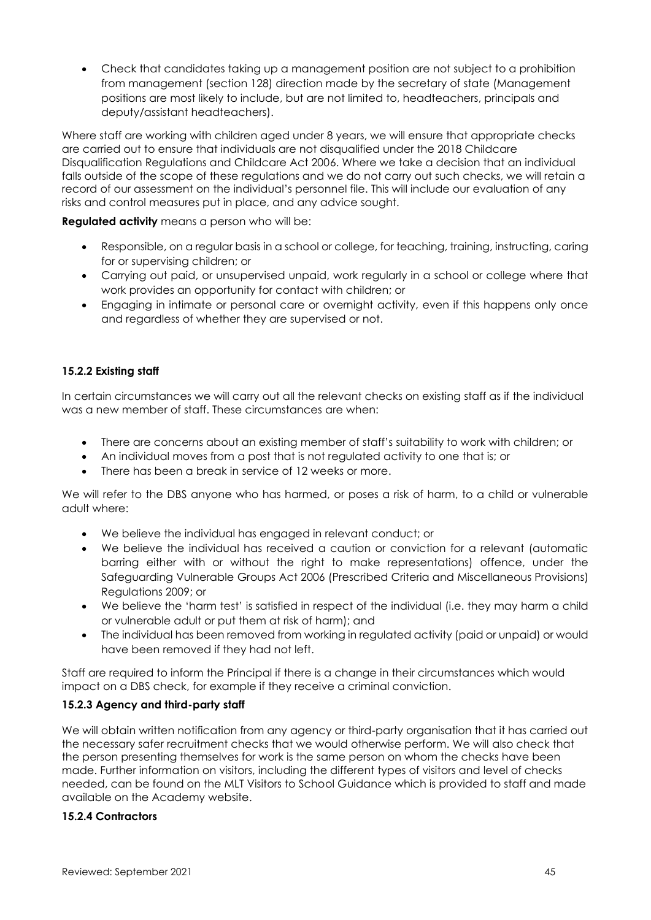• Check that candidates taking up a management position are not subject to a prohibition from management (section 128) direction made by the secretary of state (Management positions are most likely to include, but are not limited to, headteachers, principals and deputy/assistant headteachers).

Where staff are working with children aged under 8 years, we will ensure that appropriate checks are carried out to ensure that individuals are not disqualified under the 2018 Childcare Disqualification Regulations and Childcare Act 2006. Where we take a decision that an individual falls outside of the scope of these regulations and we do not carry out such checks, we will retain a record of our assessment on the individual's personnel file. This will include our evaluation of any risks and control measures put in place, and any advice sought.

**Regulated activity** means a person who will be:

- Responsible, on a regular basis in a school or college, for teaching, training, instructing, caring for or supervising children; or
- Carrying out paid, or unsupervised unpaid, work regularly in a school or college where that work provides an opportunity for contact with children; or
- Engaging in intimate or personal care or overnight activity, even if this happens only once and regardless of whether they are supervised or not.

### **15.2.2 Existing staff**

In certain circumstances we will carry out all the relevant checks on existing staff as if the individual was a new member of staff. These circumstances are when:

- There are concerns about an existing member of staff's suitability to work with children; or
- An individual moves from a post that is not regulated activity to one that is; or
- There has been a break in service of 12 weeks or more.

We will refer to the DBS anyone who has harmed, or poses a risk of harm, to a child or vulnerable adult where:

- We believe the individual has engaged in relevant conduct; or
- We believe the individual has received a caution or conviction for a relevant (automatic barring either with or without the right to make representations) offence, under the Safeguarding Vulnerable Groups Act 2006 (Prescribed Criteria and Miscellaneous Provisions) Regulations 2009; or
- We believe the 'harm test' is satisfied in respect of the individual (i.e. they may harm a child or vulnerable adult or put them at risk of harm); and
- The individual has been removed from working in regulated activity (paid or unpaid) or would have been removed if they had not left.

Staff are required to inform the Principal if there is a change in their circumstances which would impact on a DBS check, for example if they receive a criminal conviction.

### **15.2.3 Agency and third-party staff**

We will obtain written notification from any agency or third-party organisation that it has carried out the necessary safer recruitment checks that we would otherwise perform. We will also check that the person presenting themselves for work is the same person on whom the checks have been made. Further information on visitors, including the different types of visitors and level of checks needed, can be found on the MLT Visitors to School Guidance which is provided to staff and made available on the Academy website.

### **15.2.4 Contractors**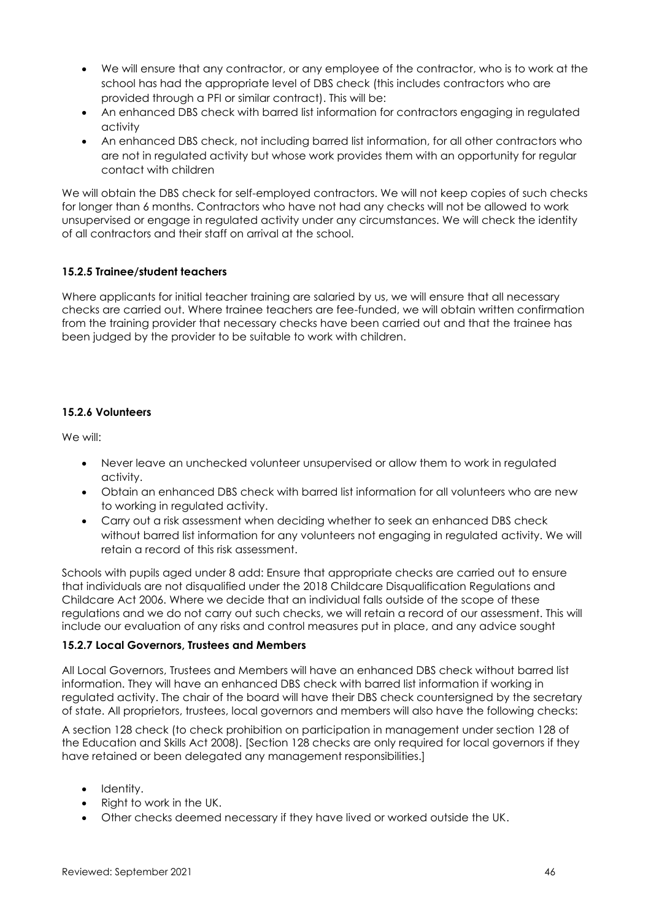- We will ensure that any contractor, or any employee of the contractor, who is to work at the school has had the appropriate level of DBS check (this includes contractors who are provided through a PFI or similar contract). This will be:
- An enhanced DBS check with barred list information for contractors engaging in regulated activity
- An enhanced DBS check, not including barred list information, for all other contractors who are not in regulated activity but whose work provides them with an opportunity for regular contact with children

We will obtain the DBS check for self-employed contractors. We will not keep copies of such checks for longer than 6 months. Contractors who have not had any checks will not be allowed to work unsupervised or engage in regulated activity under any circumstances. We will check the identity of all contractors and their staff on arrival at the school.

### **15.2.5 Trainee/student teachers**

Where applicants for initial teacher training are salaried by us, we will ensure that all necessary checks are carried out. Where trainee teachers are fee-funded, we will obtain written confirmation from the training provider that necessary checks have been carried out and that the trainee has been judged by the provider to be suitable to work with children.

### **15.2.6 Volunteers**

We will:

- Never leave an unchecked volunteer unsupervised or allow them to work in regulated activity.
- Obtain an enhanced DBS check with barred list information for all volunteers who are new to working in regulated activity.
- Carry out a risk assessment when deciding whether to seek an enhanced DBS check without barred list information for any volunteers not engaging in regulated activity. We will retain a record of this risk assessment.

Schools with pupils aged under 8 add: Ensure that appropriate checks are carried out to ensure that individuals are not disqualified under the 2018 Childcare Disqualification Regulations and Childcare Act 2006. Where we decide that an individual falls outside of the scope of these regulations and we do not carry out such checks, we will retain a record of our assessment. This will include our evaluation of any risks and control measures put in place, and any advice sought

### **15.2.7 Local Governors, Trustees and Members**

All Local Governors, Trustees and Members will have an enhanced DBS check without barred list information. They will have an enhanced DBS check with barred list information if working in regulated activity. The chair of the board will have their DBS check countersigned by the secretary of state. All proprietors, trustees, local governors and members will also have the following checks:

A section 128 check (to check prohibition on participation in management under section 128 of the Education and Skills Act 2008). [Section 128 checks are only required for local governors if they have retained or been delegated any management responsibilities.]

- Identity.
- Right to work in the UK.
- Other checks deemed necessary if they have lived or worked outside the UK.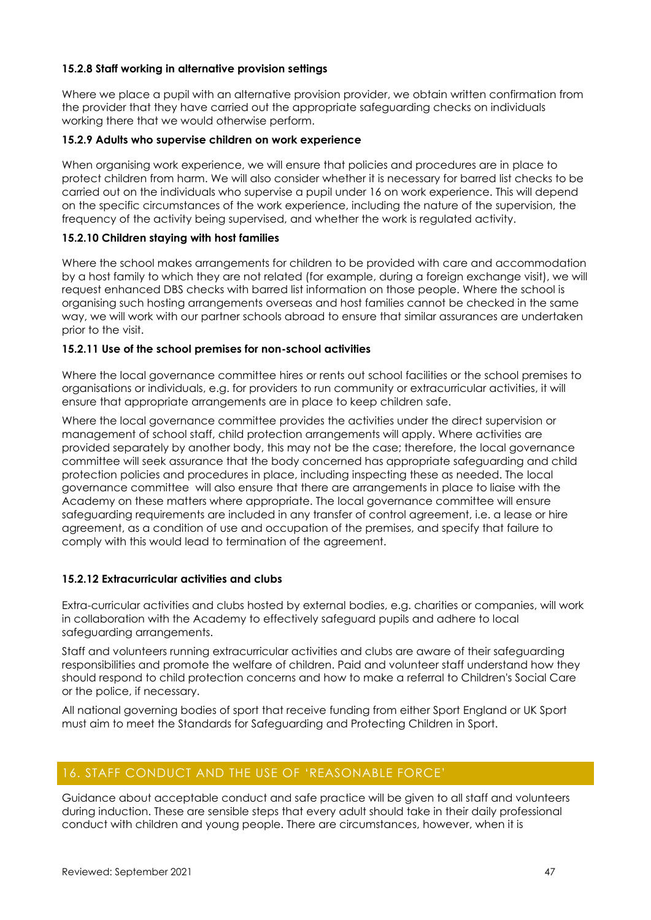#### **15.2.8 Staff working in alternative provision settings**

Where we place a pupil with an alternative provision provider, we obtain written confirmation from the provider that they have carried out the appropriate safeguarding checks on individuals working there that we would otherwise perform.

#### **15.2.9 Adults who supervise children on work experience**

When organising work experience, we will ensure that policies and procedures are in place to protect children from harm. We will also consider whether it is necessary for barred list checks to be carried out on the individuals who supervise a pupil under 16 on work experience. This will depend on the specific circumstances of the work experience, including the nature of the supervision, the frequency of the activity being supervised, and whether the work is regulated activity.

#### **15.2.10 Children staying with host families**

Where the school makes arrangements for children to be provided with care and accommodation by a host family to which they are not related (for example, during a foreign exchange visit), we will request enhanced DBS checks with barred list information on those people. Where the school is organising such hosting arrangements overseas and host families cannot be checked in the same way, we will work with our partner schools abroad to ensure that similar assurances are undertaken prior to the visit.

#### **15.2.11 Use of the school premises for non-school activities**

Where the local governance committee hires or rents out school facilities or the school premises to organisations or individuals, e.g. for providers to run community or extracurricular activities, it will ensure that appropriate arrangements are in place to keep children safe.

Where the local governance committee provides the activities under the direct supervision or management of school staff, child protection arrangements will apply. Where activities are provided separately by another body, this may not be the case; therefore, the local governance committee will seek assurance that the body concerned has appropriate safeguarding and child protection policies and procedures in place, including inspecting these as needed. The local governance committee will also ensure that there are arrangements in place to liaise with the Academy on these matters where appropriate. The local governance committee will ensure safeguarding requirements are included in any transfer of control agreement, i.e. a lease or hire agreement, as a condition of use and occupation of the premises, and specify that failure to comply with this would lead to termination of the agreement.

### **15.2.12 Extracurricular activities and clubs**

Extra-curricular activities and clubs hosted by external bodies, e.g. charities or companies, will work in collaboration with the Academy to effectively safeguard pupils and adhere to local safeguarding arrangements.

Staff and volunteers running extracurricular activities and clubs are aware of their safeguarding responsibilities and promote the welfare of children. Paid and volunteer staff understand how they should respond to child protection concerns and how to make a referral to Children's Social Care or the police, if necessary.

All national governing bodies of sport that receive funding from either Sport England or UK Sport must aim to meet the Standards for Safeguarding and Protecting Children in Sport.

### <span id="page-46-0"></span>16. STAFF CONDUCT AND THE USE OF 'REASONABLE FORCE'

Guidance about acceptable conduct and safe practice will be given to all staff and volunteers during induction. These are sensible steps that every adult should take in their daily professional conduct with children and young people. There are circumstances, however, when it is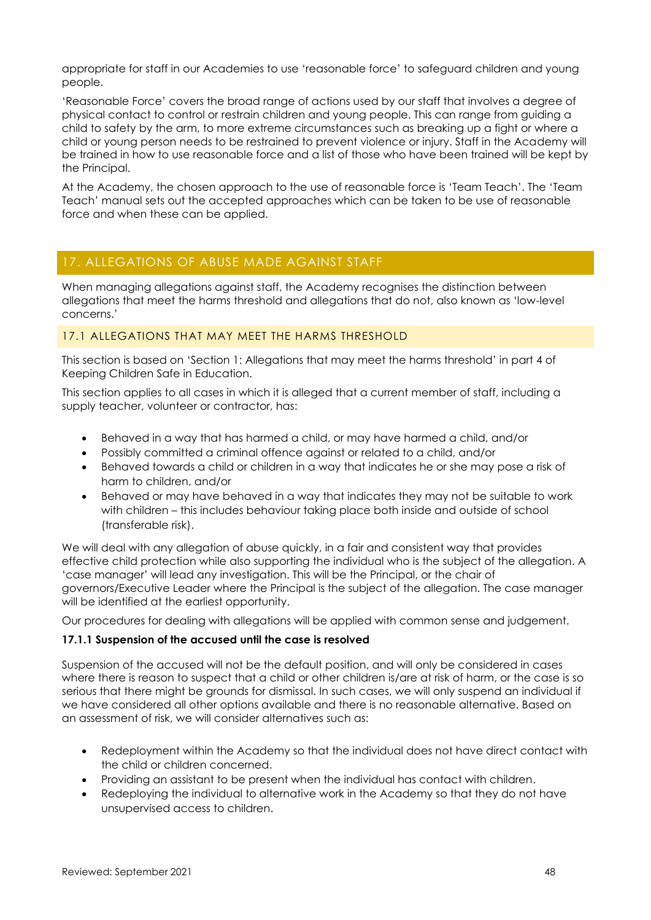appropriate for staff in our Academies to use 'reasonable force' to safeguard children and young people.

'Reasonable Force' covers the broad range of actions used by our staff that involves a degree of physical contact to control or restrain children and young people. This can range from guiding a child to safety by the arm, to more extreme circumstances such as breaking up a fight or where a child or young person needs to be restrained to prevent violence or injury. Staff in the Academy will be trained in how to use reasonable force and a list of those who have been trained will be kept by the Principal.

At the Academy, the chosen approach to the use of reasonable force is 'Team Teach'. The 'Team Teach' manual sets out the accepted approaches which can be taken to be use of reasonable force and when these can be applied.

## <span id="page-47-0"></span>17. ALLEGATIONS OF ABUSE MADE AGAINST STAFF

When managing allegations against staff, the Academy recognises the distinction between allegations that meet the harms threshold and allegations that do not, also known as 'low-level concerns.'

### 17.1 ALLEGATIONS THAT MAY MEET THE HARMS THRESHOLD

This section is based on 'Section 1: Allegations that may meet the harms threshold' in part 4 of Keeping Children Safe in Education.

This section applies to all cases in which it is alleged that a current member of staff, including a supply teacher, volunteer or contractor, has:

- Behaved in a way that has harmed a child, or may have harmed a child, and/or
- Possibly committed a criminal offence against or related to a child, and/or
- Behaved towards a child or children in a way that indicates he or she may pose a risk of harm to children, and/or
- Behaved or may have behaved in a way that indicates they may not be suitable to work with children – this includes behaviour taking place both inside and outside of school (transferable risk).

We will deal with any allegation of abuse quickly, in a fair and consistent way that provides effective child protection while also supporting the individual who is the subject of the allegation. A 'case manager' will lead any investigation. This will be the Principal, or the chair of governors/Executive Leader where the Principal is the subject of the allegation. The case manager will be identified at the earliest opportunity.

Our procedures for dealing with allegations will be applied with common sense and judgement.

### **17.1.1 Suspension of the accused until the case is resolved**

Suspension of the accused will not be the default position, and will only be considered in cases where there is reason to suspect that a child or other children is/are at risk of harm, or the case is so serious that there might be grounds for dismissal. In such cases, we will only suspend an individual if we have considered all other options available and there is no reasonable alternative. Based on an assessment of risk, we will consider alternatives such as:

- Redeployment within the Academy so that the individual does not have direct contact with the child or children concerned.
- Providing an assistant to be present when the individual has contact with children.
- Redeploying the individual to alternative work in the Academy so that they do not have unsupervised access to children.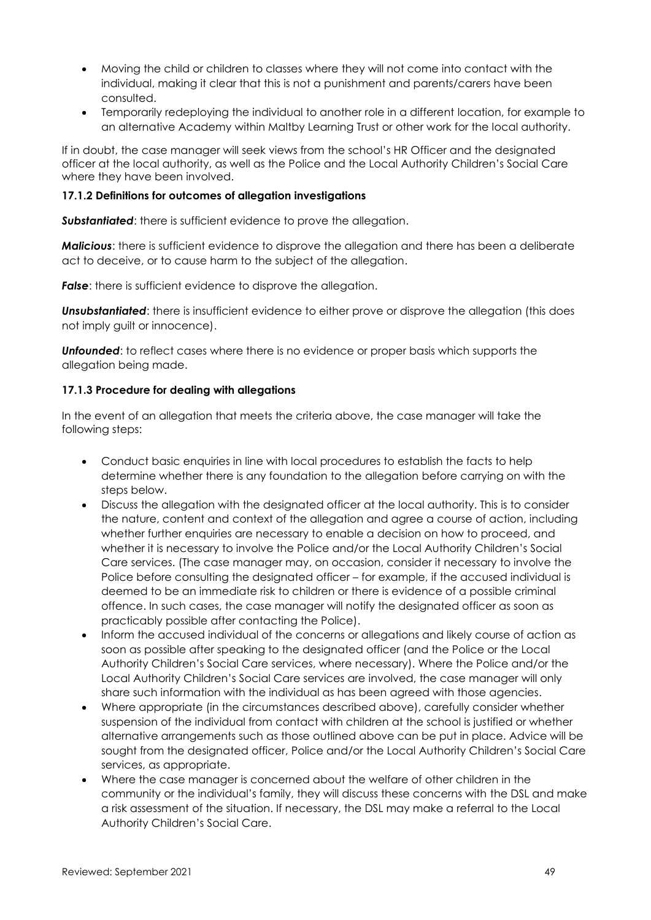- Moving the child or children to classes where they will not come into contact with the individual, making it clear that this is not a punishment and parents/carers have been consulted.
- Temporarily redeploying the individual to another role in a different location, for example to an alternative Academy within Maltby Learning Trust or other work for the local authority.

If in doubt, the case manager will seek views from the school's HR Officer and the designated officer at the local authority, as well as the Police and the Local Authority Children's Social Care where they have been involved.

#### **17.1.2 Definitions for outcomes of allegation investigations**

**Substantiated:** there is sufficient evidence to prove the allegation.

*Malicious*: there is sufficient evidence to disprove the allegation and there has been a deliberate act to deceive, or to cause harm to the subject of the allegation.

*False:* there is sufficient evidence to disprove the allegation.

**Unsubstantiated:** there is insufficient evidence to either prove or disprove the allegation (this does not imply guilt or innocence).

*Unfounded*: to reflect cases where there is no evidence or proper basis which supports the allegation being made.

#### **17.1.3 Procedure for dealing with allegations**

In the event of an allegation that meets the criteria above, the case manager will take the following steps:

- Conduct basic enquiries in line with local procedures to establish the facts to help determine whether there is any foundation to the allegation before carrying on with the steps below.
- Discuss the allegation with the designated officer at the local authority. This is to consider the nature, content and context of the allegation and agree a course of action, including whether further enquiries are necessary to enable a decision on how to proceed, and whether it is necessary to involve the Police and/or the Local Authority Children's Social Care services. (The case manager may, on occasion, consider it necessary to involve the Police before consulting the designated officer – for example, if the accused individual is deemed to be an immediate risk to children or there is evidence of a possible criminal offence. In such cases, the case manager will notify the designated officer as soon as practicably possible after contacting the Police).
- Inform the accused individual of the concerns or allegations and likely course of action as soon as possible after speaking to the designated officer (and the Police or the Local Authority Children's Social Care services, where necessary). Where the Police and/or the Local Authority Children's Social Care services are involved, the case manager will only share such information with the individual as has been agreed with those agencies.
- Where appropriate (in the circumstances described above), carefully consider whether suspension of the individual from contact with children at the school is justified or whether alternative arrangements such as those outlined above can be put in place. Advice will be sought from the designated officer, Police and/or the Local Authority Children's Social Care services, as appropriate.
- Where the case manager is concerned about the welfare of other children in the community or the individual's family, they will discuss these concerns with the DSL and make a risk assessment of the situation. If necessary, the DSL may make a referral to the Local Authority Children's Social Care.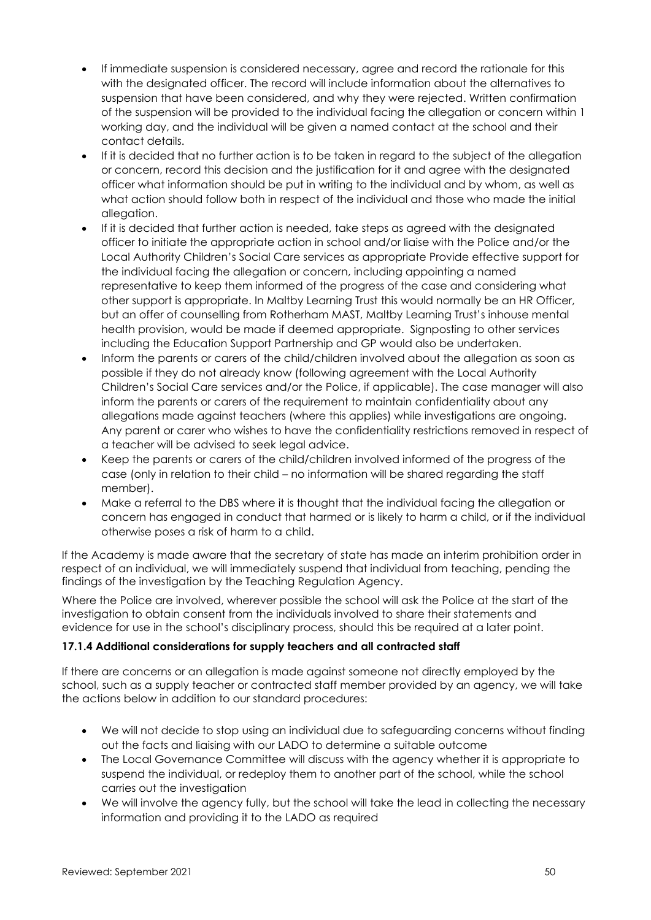- If immediate suspension is considered necessary, agree and record the rationale for this with the designated officer. The record will include information about the alternatives to suspension that have been considered, and why they were rejected. Written confirmation of the suspension will be provided to the individual facing the allegation or concern within 1 working day, and the individual will be given a named contact at the school and their contact details.
- If it is decided that no further action is to be taken in regard to the subject of the allegation or concern, record this decision and the justification for it and agree with the designated officer what information should be put in writing to the individual and by whom, as well as what action should follow both in respect of the individual and those who made the initial allegation.
- If it is decided that further action is needed, take steps as agreed with the designated officer to initiate the appropriate action in school and/or liaise with the Police and/or the Local Authority Children's Social Care services as appropriate Provide effective support for the individual facing the allegation or concern, including appointing a named representative to keep them informed of the progress of the case and considering what other support is appropriate. In Maltby Learning Trust this would normally be an HR Officer, but an offer of counselling from Rotherham MAST, Maltby Learning Trust's inhouse mental health provision, would be made if deemed appropriate. Signposting to other services including the Education Support Partnership and GP would also be undertaken.
- Inform the parents or carers of the child/children involved about the allegation as soon as possible if they do not already know (following agreement with the Local Authority Children's Social Care services and/or the Police, if applicable). The case manager will also inform the parents or carers of the requirement to maintain confidentiality about any allegations made against teachers (where this applies) while investigations are ongoing. Any parent or carer who wishes to have the confidentiality restrictions removed in respect of a teacher will be advised to seek legal advice.
- Keep the parents or carers of the child/children involved informed of the progress of the case (only in relation to their child – no information will be shared regarding the staff member).
- Make a referral to the DBS where it is thought that the individual facing the allegation or concern has engaged in conduct that harmed or is likely to harm a child, or if the individual otherwise poses a risk of harm to a child.

If the Academy is made aware that the secretary of state has made an interim prohibition order in respect of an individual, we will immediately suspend that individual from teaching, pending the findings of the investigation by the Teaching Regulation Agency.

Where the Police are involved, wherever possible the school will ask the Police at the start of the investigation to obtain consent from the individuals involved to share their statements and evidence for use in the school's disciplinary process, should this be required at a later point.

### **17.1.4 Additional considerations for supply teachers and all contracted staff**

If there are concerns or an allegation is made against someone not directly employed by the school, such as a supply teacher or contracted staff member provided by an agency, we will take the actions below in addition to our standard procedures:

- We will not decide to stop using an individual due to safeguarding concerns without finding out the facts and liaising with our LADO to determine a suitable outcome
- The Local Governance Committee will discuss with the agency whether it is appropriate to suspend the individual, or redeploy them to another part of the school, while the school carries out the investigation
- We will involve the agency fully, but the school will take the lead in collecting the necessary information and providing it to the LADO as required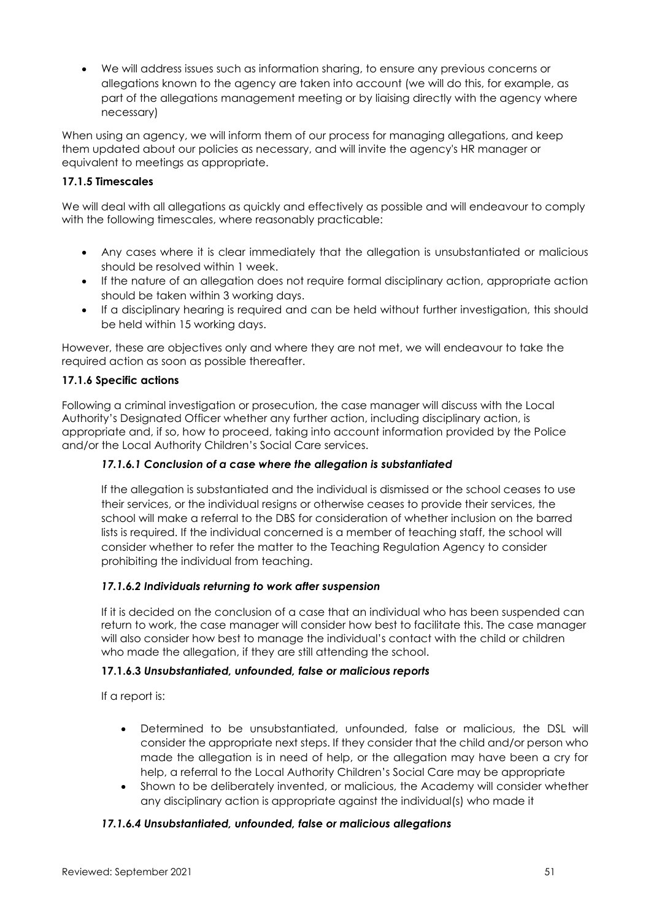• We will address issues such as information sharing, to ensure any previous concerns or allegations known to the agency are taken into account (we will do this, for example, as part of the allegations management meeting or by liaising directly with the agency where necessary)

When using an agency, we will inform them of our process for managing allegations, and keep them updated about our policies as necessary, and will invite the agency's HR manager or equivalent to meetings as appropriate.

### **17.1.5 Timescales**

We will deal with all allegations as quickly and effectively as possible and will endeavour to comply with the following timescales, where reasonably practicable:

- Any cases where it is clear immediately that the allegation is unsubstantiated or malicious should be resolved within 1 week.
- If the nature of an allegation does not require formal disciplinary action, appropriate action should be taken within 3 working days.
- If a disciplinary hearing is required and can be held without further investigation, this should be held within 15 working days.

However, these are objectives only and where they are not met, we will endeavour to take the required action as soon as possible thereafter.

### **17.1.6 Specific actions**

Following a criminal investigation or prosecution, the case manager will discuss with the Local Authority's Designated Officer whether any further action, including disciplinary action, is appropriate and, if so, how to proceed, taking into account information provided by the Police and/or the Local Authority Children's Social Care services.

### *17.1.6.1 Conclusion of a case where the allegation is substantiated*

If the allegation is substantiated and the individual is dismissed or the school ceases to use their services, or the individual resigns or otherwise ceases to provide their services, the school will make a referral to the DBS for consideration of whether inclusion on the barred lists is required. If the individual concerned is a member of teaching staff, the school will consider whether to refer the matter to the Teaching Regulation Agency to consider prohibiting the individual from teaching.

#### *17.1.6.2 Individuals returning to work after suspension*

If it is decided on the conclusion of a case that an individual who has been suspended can return to work, the case manager will consider how best to facilitate this. The case manager will also consider how best to manage the individual's contact with the child or children who made the allegation, if they are still attending the school.

### **17.1.6.3** *Unsubstantiated, unfounded, false or malicious reports*

If a report is:

- Determined to be unsubstantiated, unfounded, false or malicious, the DSL will consider the appropriate next steps. If they consider that the child and/or person who made the allegation is in need of help, or the allegation may have been a cry for help, a referral to the Local Authority Children's Social Care may be appropriate
- Shown to be deliberately invented, or malicious, the Academy will consider whether any disciplinary action is appropriate against the individual(s) who made it

#### *17.1.6.4 Unsubstantiated, unfounded, false or malicious allegations*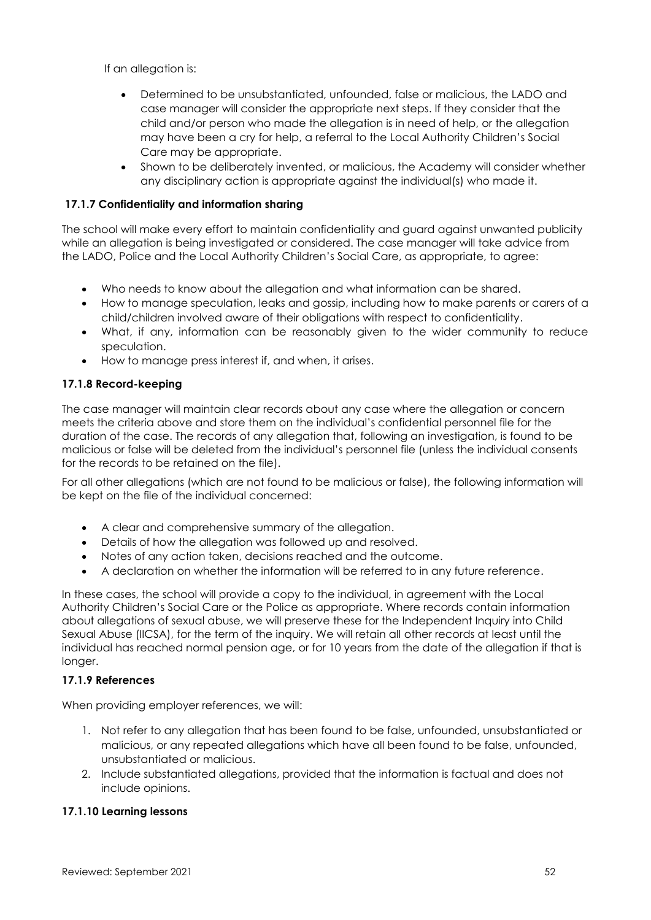If an allegation is:

- Determined to be unsubstantiated, unfounded, false or malicious, the LADO and case manager will consider the appropriate next steps. If they consider that the child and/or person who made the allegation is in need of help, or the allegation may have been a cry for help, a referral to the Local Authority Children's Social Care may be appropriate.
- Shown to be deliberately invented, or malicious, the Academy will consider whether any disciplinary action is appropriate against the individual(s) who made it.

#### **17.1.7 Confidentiality and information sharing**

The school will make every effort to maintain confidentiality and guard against unwanted publicity while an allegation is being investigated or considered. The case manager will take advice from the LADO, Police and the Local Authority Children's Social Care, as appropriate, to agree:

- Who needs to know about the allegation and what information can be shared.
- How to manage speculation, leaks and gossip, including how to make parents or carers of a child/children involved aware of their obligations with respect to confidentiality.
- What, if any, information can be reasonably given to the wider community to reduce speculation.
- How to manage press interest if, and when, it arises.

#### **17.1.8 Record-keeping**

The case manager will maintain clear records about any case where the allegation or concern meets the criteria above and store them on the individual's confidential personnel file for the duration of the case. The records of any allegation that, following an investigation, is found to be malicious or false will be deleted from the individual's personnel file (unless the individual consents for the records to be retained on the file).

For all other allegations (which are not found to be malicious or false), the following information will be kept on the file of the individual concerned:

- A clear and comprehensive summary of the allegation.
- Details of how the allegation was followed up and resolved.
- Notes of any action taken, decisions reached and the outcome.
- A declaration on whether the information will be referred to in any future reference.

In these cases, the school will provide a copy to the individual, in agreement with the Local Authority Children's Social Care or the Police as appropriate. Where records contain information about allegations of sexual abuse, we will preserve these for the Independent Inquiry into Child Sexual Abuse (IICSA), for the term of the inquiry. We will retain all other records at least until the individual has reached normal pension age, or for 10 years from the date of the allegation if that is longer.

#### **17.1.9 References**

When providing employer references, we will:

- 1. Not refer to any allegation that has been found to be false, unfounded, unsubstantiated or malicious, or any repeated allegations which have all been found to be false, unfounded, unsubstantiated or malicious.
- 2. Include substantiated allegations, provided that the information is factual and does not include opinions.

#### **17.1.10 Learning lessons**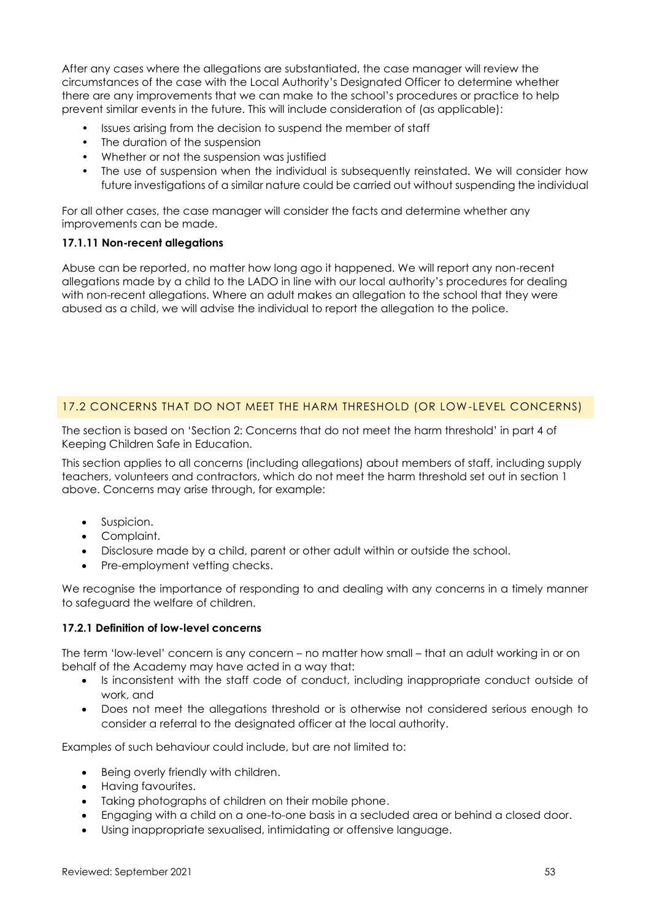After any cases where the allegations are substantiated, the case manager will review the circumstances of the case with the Local Authority's Designated Officer to determine whether there are any improvements that we can make to the school's procedures or practice to help prevent similar events in the future. This will include consideration of (as applicable):

- Issues arising from the decision to suspend the member of staff
- The duration of the suspension
- Whether or not the suspension was justified
- The use of suspension when the individual is subsequently reinstated. We will consider how future investigations of a similar nature could be carried out without suspending the individual

For all other cases, the case manager will consider the facts and determine whether any improvements can be made.

#### **17.1.11 Non-recent allegations**

Abuse can be reported, no matter how long ago it happened. We will report any non-recent allegations made by a child to the LADO in line with our local authority's procedures for dealing with non-recent allegations. Where an adult makes an allegation to the school that they were abused as a child, we will advise the individual to report the allegation to the police.

### 17.2 CONCERNS THAT DO NOT MEET THE HARM THRESHOLD (OR LOW-LEVEL CONCERNS)

The section is based on 'Section 2: Concerns that do not meet the harm threshold' in part 4 of Keeping Children Safe in Education.

This section applies to all concerns (including allegations) about members of staff, including supply teachers, volunteers and contractors, which do not meet the harm threshold set out in section 1 above. Concerns may arise through, for example:

- Suspicion.
- Complaint.
- Disclosure made by a child, parent or other adult within or outside the school.
- Pre-employment vetting checks.

We recognise the importance of responding to and dealing with any concerns in a timely manner to safeguard the welfare of children.

#### **17.2.1 Definition of low-level concerns**

The term 'low-level' concern is any concern – no matter how small – that an adult working in or on behalf of the Academy may have acted in a way that:

- Is inconsistent with the staff code of conduct, including inappropriate conduct outside of work, and
- Does not meet the allegations threshold or is otherwise not considered serious enough to consider a referral to the designated officer at the local authority.

Examples of such behaviour could include, but are not limited to:

- Being overly friendly with children.
- Having favourites.
- Taking photographs of children on their mobile phone.
- Engaging with a child on a one-to-one basis in a secluded area or behind a closed door.
- Using inappropriate sexualised, intimidating or offensive language.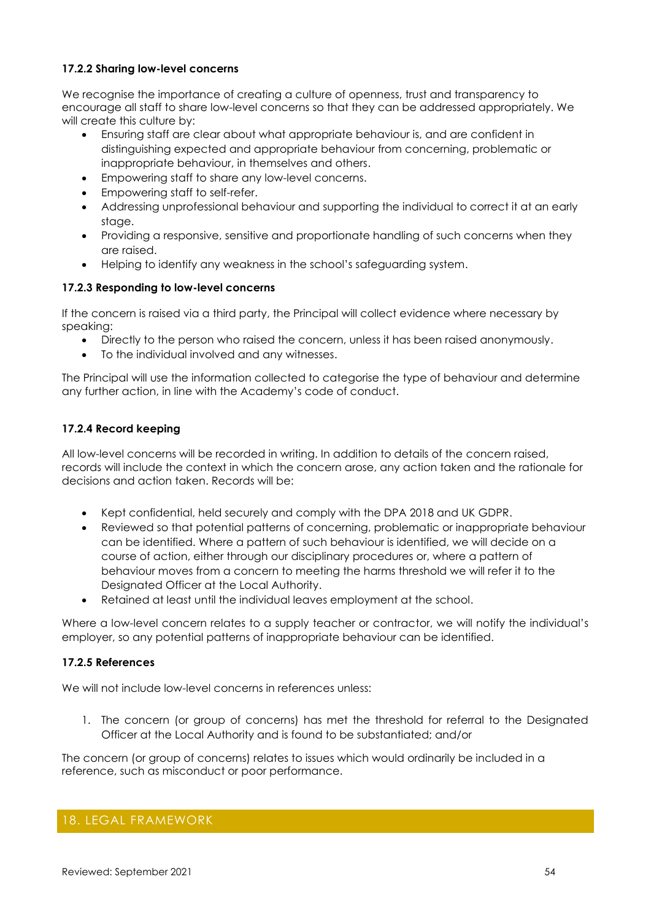#### **17.2.2 Sharing low-level concerns**

We recognise the importance of creating a culture of openness, trust and transparency to encourage all staff to share low-level concerns so that they can be addressed appropriately. We will create this culture by:

- Ensuring staff are clear about what appropriate behaviour is, and are confident in distinguishing expected and appropriate behaviour from concerning, problematic or inappropriate behaviour, in themselves and others.
- Empowering staff to share any low-level concerns.
- Empowering staff to self-refer.
- Addressing unprofessional behaviour and supporting the individual to correct it at an early stage.
- Providing a responsive, sensitive and proportionate handling of such concerns when they are raised.
- Helping to identify any weakness in the school's safeguarding system.

#### **17.2.3 Responding to low-level concerns**

If the concern is raised via a third party, the Principal will collect evidence where necessary by speaking:

- Directly to the person who raised the concern, unless it has been raised anonymously.
- To the individual involved and any witnesses.

The Principal will use the information collected to categorise the type of behaviour and determine any further action, in line with the Academy's code of conduct.

### **17.2.4 Record keeping**

All low-level concerns will be recorded in writing. In addition to details of the concern raised, records will include the context in which the concern arose, any action taken and the rationale for decisions and action taken. Records will be:

- Kept confidential, held securely and comply with the DPA 2018 and UK GDPR.
- Reviewed so that potential patterns of concerning, problematic or inappropriate behaviour can be identified. Where a pattern of such behaviour is identified, we will decide on a course of action, either through our disciplinary procedures or, where a pattern of behaviour moves from a concern to meeting the harms threshold we will refer it to the Designated Officer at the Local Authority.
- Retained at least until the individual leaves employment at the school.

Where a low-level concern relates to a supply teacher or contractor, we will notify the individual's employer, so any potential patterns of inappropriate behaviour can be identified.

#### **17.2.5 References**

We will not include low-level concerns in references unless:

1. The concern (or group of concerns) has met the threshold for referral to the Designated Officer at the Local Authority and is found to be substantiated; and/or

The concern (or group of concerns) relates to issues which would ordinarily be included in a reference, such as misconduct or poor performance.

## <span id="page-53-0"></span>18. LEGAL FRAMEWORK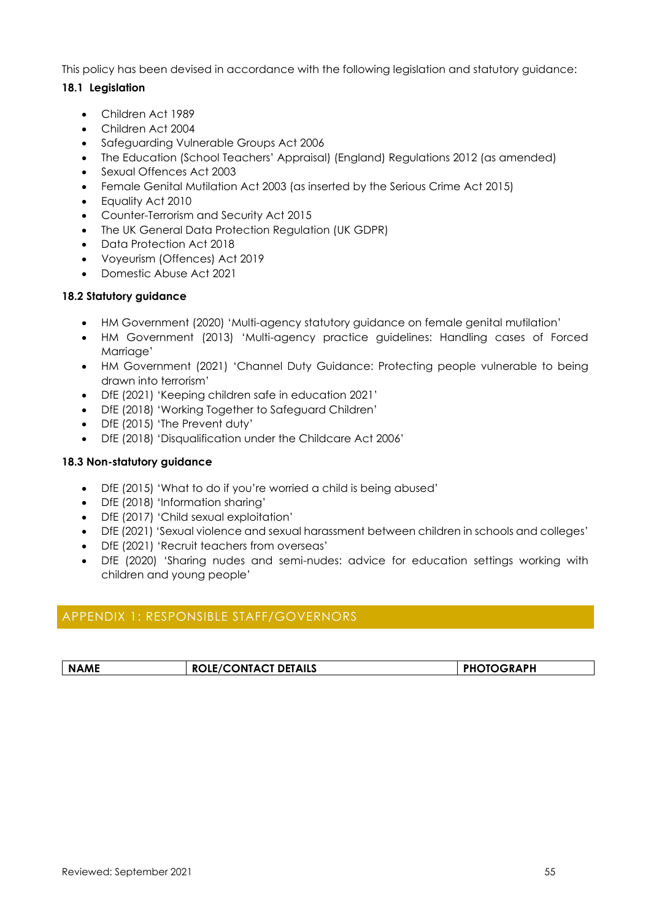This policy has been devised in accordance with the following legislation and statutory guidance:

### **18.1 Legislation**

- Children Act 1989
- Children Act 2004
- Safeguarding Vulnerable Groups Act 2006
- The Education (School Teachers' Appraisal) (England) Regulations 2012 (as amended)
- Sexual Offences Act 2003
- Female Genital Mutilation Act 2003 (as inserted by the Serious Crime Act 2015)
- Equality Act 2010
- Counter-Terrorism and Security Act 2015
- The UK General Data Protection Regulation (UK GDPR)
- Data Protection Act 2018
- Voyeurism (Offences) Act 2019
- Domestic Abuse Act 2021

#### **18.2 Statutory guidance**

- HM Government (2020) 'Multi-agency statutory guidance on female genital mutilation'
- HM Government (2013) 'Multi-agency practice guidelines: Handling cases of Forced Marriage'
- HM Government (2021) 'Channel Duty Guidance: Protecting people vulnerable to being drawn into terrorism'
- DfE (2021) 'Keeping children safe in education 2021'
- DfE (2018) 'Working Together to Safeguard Children'
- DfE (2015) 'The Prevent duty'
- DfE (2018) 'Disqualification under the Childcare Act 2006'

#### **18.3 Non-statutory guidance**

- DfE (2015) 'What to do if you're worried a child is being abused'
- DfE (2018) 'Information sharing'
- DfE (2017) 'Child sexual exploitation'
- DfE (2021) 'Sexual violence and sexual harassment between children in schools and colleges'
- DfE (2021) 'Recruit teachers from overseas'
- DfE (2020) 'Sharing nudes and semi-nudes: advice for education settings working with children and young people'

# <span id="page-54-0"></span>APPENDIX 1: RESPONSIBLE STAFF/GOVERNORS

| <b>ROLE/CONTACT DETAILS</b><br><b>PHOTOGRAPH</b><br><b>NAME</b> |
|-----------------------------------------------------------------|
|-----------------------------------------------------------------|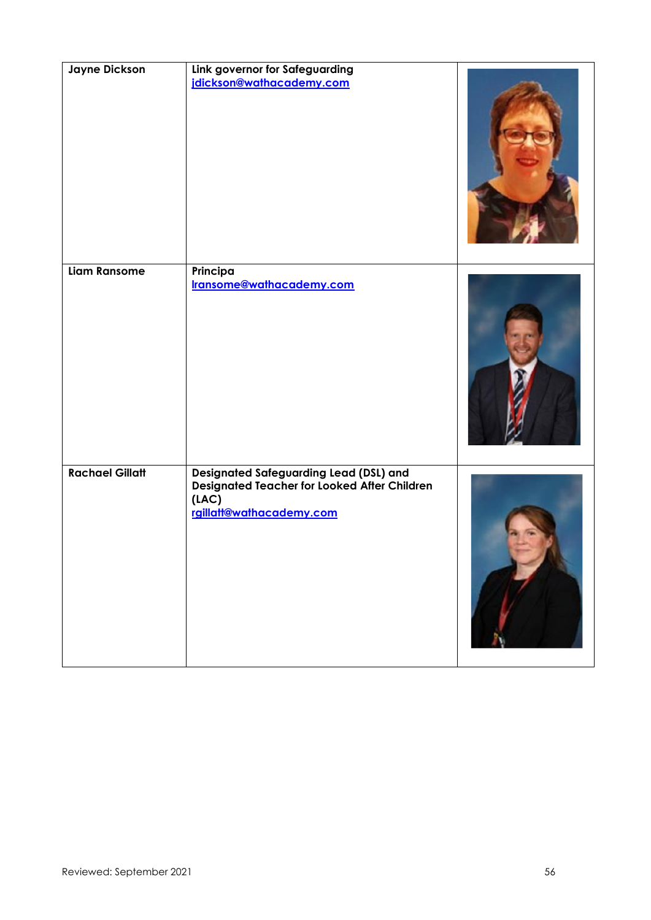| <b>Jayne Dickson</b>   | Link governor for Safeguarding<br>jdickson@wathacademy.com                                                                  |  |
|------------------------|-----------------------------------------------------------------------------------------------------------------------------|--|
| <b>Liam Ransome</b>    | Principa<br>Iransome@wathacademy.com                                                                                        |  |
| <b>Rachael Gillatt</b> | Designated Safeguarding Lead (DSL) and<br>Designated Teacher for Looked After Children<br>(LAC)<br>rgillatt@wathacademy.com |  |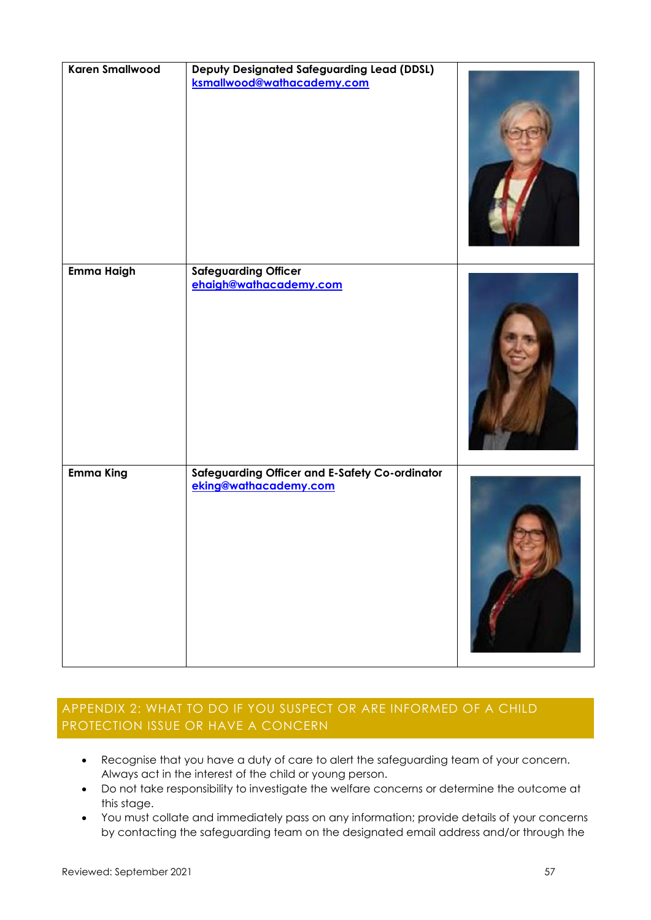| <b>Karen Smallwood</b> | <b>Deputy Designated Safeguarding Lead (DDSL)</b><br>ksmallwood@wathacademy.com |  |
|------------------------|---------------------------------------------------------------------------------|--|
| Emma Haigh             | <b>Safeguarding Officer</b>                                                     |  |
|                        | ehaigh@wathacademy.com                                                          |  |
| <b>Emma King</b>       | Safeguarding Officer and E-Safety Co-ordinator<br>eking@wathacademy.com         |  |

# <span id="page-56-0"></span>APPENDIX 2: WHAT TO DO IF YOU SUSPECT OR ARE INFORMED OF A CHILD PROTECTION ISSUE OR HAVE A CONCERN

- Recognise that you have a duty of care to alert the safeguarding team of your concern. Always act in the interest of the child or young person.
- Do not take responsibility to investigate the welfare concerns or determine the outcome at this stage.
- You must collate and immediately pass on any information; provide details of your concerns by contacting the safeguarding team on the designated email address and/or through the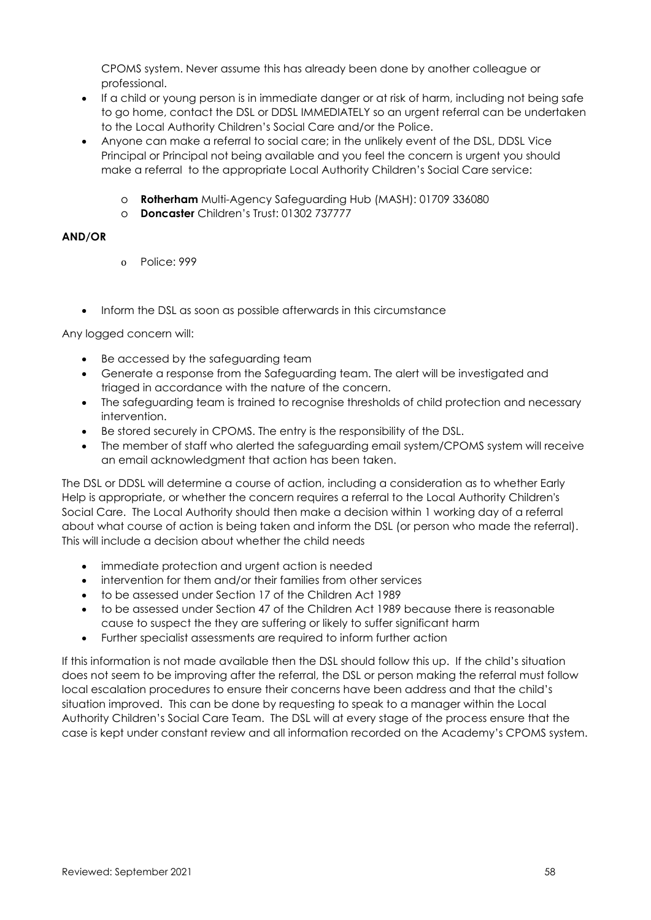CPOMS system. Never assume this has already been done by another colleague or professional.

- If a child or young person is in immediate danger or at risk of harm, including not being safe to go home, contact the DSL or DDSL IMMEDIATELY so an urgent referral can be undertaken to the Local Authority Children's Social Care and/or the Police.
- Anyone can make a referral to social care; in the unlikely event of the DSL, DDSL Vice Principal or Principal not being available and you feel the concern is urgent you should make a referral to the appropriate Local Authority Children's Social Care service:
	- o **Rotherham** Multi-Agency Safeguarding Hub (MASH): 01709 336080
	- o **Doncaster** Children's Trust: 01302 737777

### **AND/OR**

- o Police: 999
- Inform the DSL as soon as possible afterwards in this circumstance

Any logged concern will:

- Be accessed by the safeguarding team
- Generate a response from the Safeguarding team. The alert will be investigated and triaged in accordance with the nature of the concern.
- The safequarding team is trained to recognise thresholds of child protection and necessary intervention.
- Be stored securely in CPOMS. The entry is the responsibility of the DSL.
- The member of staff who alerted the safeguarding email system/CPOMS system will receive an email acknowledgment that action has been taken.

The DSL or DDSL will determine a course of action, including a consideration as to whether Early Help is appropriate, or whether the concern requires a referral to the Local Authority Children's Social Care. The Local Authority should then make a decision within 1 working day of a referral about what course of action is being taken and inform the DSL (or person who made the referral). This will include a decision about whether the child needs

- immediate protection and urgent action is needed
- intervention for them and/or their families from other services
- to be assessed under Section 17 of the Children Act 1989
- to be assessed under Section 47 of the Children Act 1989 because there is reasonable cause to suspect the they are suffering or likely to suffer significant harm
- Further specialist assessments are required to inform further action

If this information is not made available then the DSL should follow this up. If the child's situation does not seem to be improving after the referral, the DSL or person making the referral must follow local escalation procedures to ensure their concerns have been address and that the child's situation improved. This can be done by requesting to speak to a manager within the Local Authority Children's Social Care Team. The DSL will at every stage of the process ensure that the case is kept under constant review and all information recorded on the Academy's CPOMS system.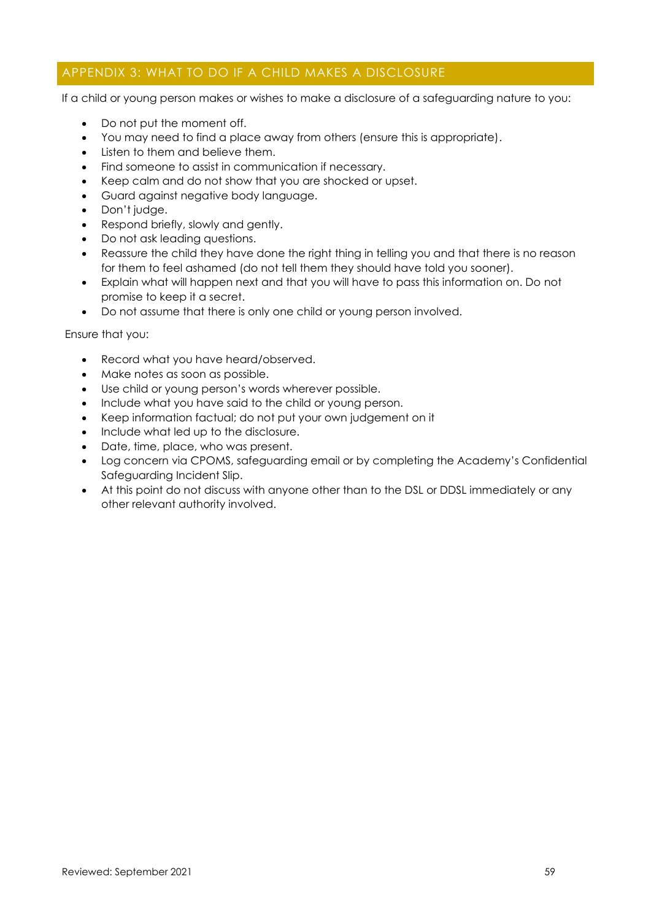# <span id="page-58-0"></span>APPENDIX 3: WHAT TO DO IF A CHILD MAKES A DISCLOSURE

If a child or young person makes or wishes to make a disclosure of a safeguarding nature to you:

- Do not put the moment off.
- You may need to find a place away from others (ensure this is appropriate).
- Listen to them and believe them.
- Find someone to assist in communication if necessary.
- Keep calm and do not show that you are shocked or upset.
- Guard against negative body language.
- Don't judge.
- Respond briefly, slowly and gently.
- Do not ask leading questions.
- Reassure the child they have done the right thing in telling you and that there is no reason for them to feel ashamed (do not tell them they should have told you sooner).
- Explain what will happen next and that you will have to pass this information on. Do not promise to keep it a secret.
- Do not assume that there is only one child or young person involved.

Ensure that you:

- Record what you have heard/observed.
- Make notes as soon as possible.
- Use child or young person's words wherever possible.
- Include what you have said to the child or young person.
- Keep information factual; do not put your own judgement on it
- Include what led up to the disclosure.
- Date, time, place, who was present.
- Log concern via CPOMS, safeguarding email or by completing the Academy's Confidential Safeguarding Incident Slip.
- At this point do not discuss with anyone other than to the DSL or DDSL immediately or any other relevant authority involved.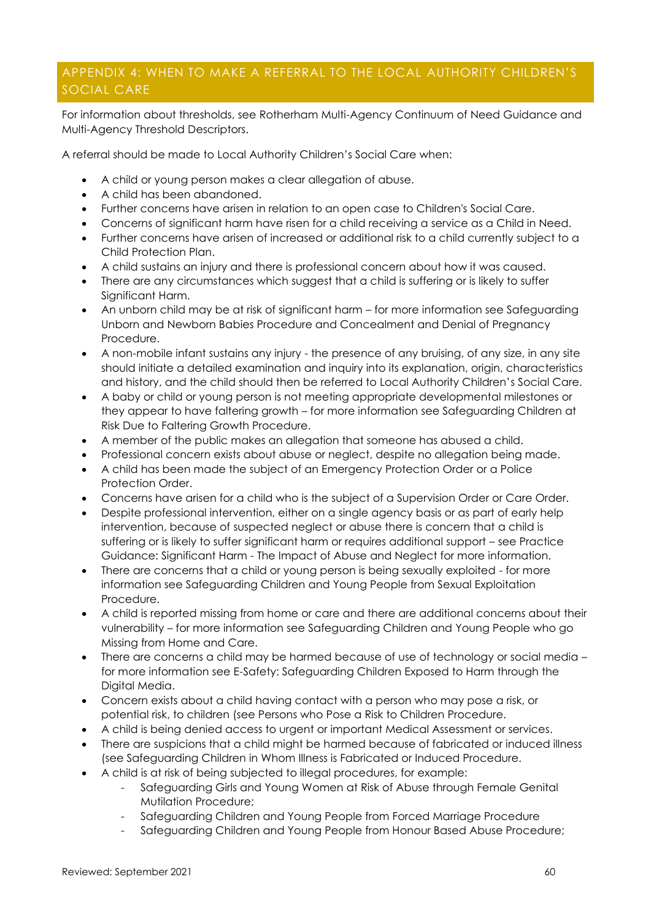# <span id="page-59-0"></span>APPENDIX 4: WHEN TO MAKE A REFERRAL TO THE LOCAL AUTHORITY CHILDREN'S SOCIAL CARE

For information about thresholds, see Rotherham Multi-Agency Continuum of Need Guidance and Multi-Agency Threshold Descriptors.

A referral should be made to Local Authority Children's Social Care when:

- A child or young person makes a clear allegation of abuse.
- A child has been abandoned.
- Further concerns have arisen in relation to an open case to Children's Social Care.
- Concerns of significant harm have risen for a child receiving a service as a Child in Need.
- Further concerns have arisen of increased or additional risk to a child currently subject to a Child Protection Plan.
- A child sustains an injury and there is professional concern about how it was caused.
- There are any circumstances which suggest that a child is suffering or is likely to suffer Significant Harm.
- An unborn child may be at risk of sianificant harm for more information see Safeguarding Unborn and Newborn Babies Procedure and Concealment and Denial of Pregnancy Procedure.
- A non-mobile infant sustains any injury the presence of any bruising, of any size, in any site should initiate a detailed examination and inquiry into its explanation, origin, characteristics and history, and the child should then be referred to Local Authority Children's Social Care.
- A baby or child or young person is not meeting appropriate developmental milestones or they appear to have faltering growth – for more information see Safeguarding Children at Risk Due to Faltering Growth Procedure.
- A member of the public makes an allegation that someone has abused a child.
- Professional concern exists about abuse or neglect, despite no allegation being made.
- A child has been made the subject of an Emergency Protection Order or a Police Protection Order.
- Concerns have arisen for a child who is the subject of a Supervision Order or Care Order.
- Despite professional intervention, either on a single agency basis or as part of early help intervention, because of suspected neglect or abuse there is concern that a child is suffering or is likely to suffer significant harm or requires additional support – see Practice Guidance: Significant Harm - The Impact of Abuse and Neglect for more information.
- There are concerns that a child or young person is being sexually exploited for more information see Safeguarding Children and Young People from Sexual Exploitation Procedure.
- A child is reported missing from home or care and there are additional concerns about their vulnerability – for more information see Safeguarding Children and Young People who go Missing from Home and Care.
- There are concerns a child may be harmed because of use of technology or social media for more information see E-Safety: Safeguarding Children Exposed to Harm through the Digital Media.
- Concern exists about a child having contact with a person who may pose a risk, or potential risk, to children (see Persons who Pose a Risk to Children Procedure.
- A child is being denied access to urgent or important Medical Assessment or services.
- There are suspicions that a child might be harmed because of fabricated or induced illness (see Safeguarding Children in Whom Illness is Fabricated or Induced Procedure.
- A child is at risk of being subjected to illegal procedures, for example:
	- Safeguarding Girls and Young Women at Risk of Abuse through Female Genital Mutilation Procedure;
	- Safeguarding Children and Young People from Forced Marriage Procedure
	- Safeguarding Children and Young People from Honour Based Abuse Procedure;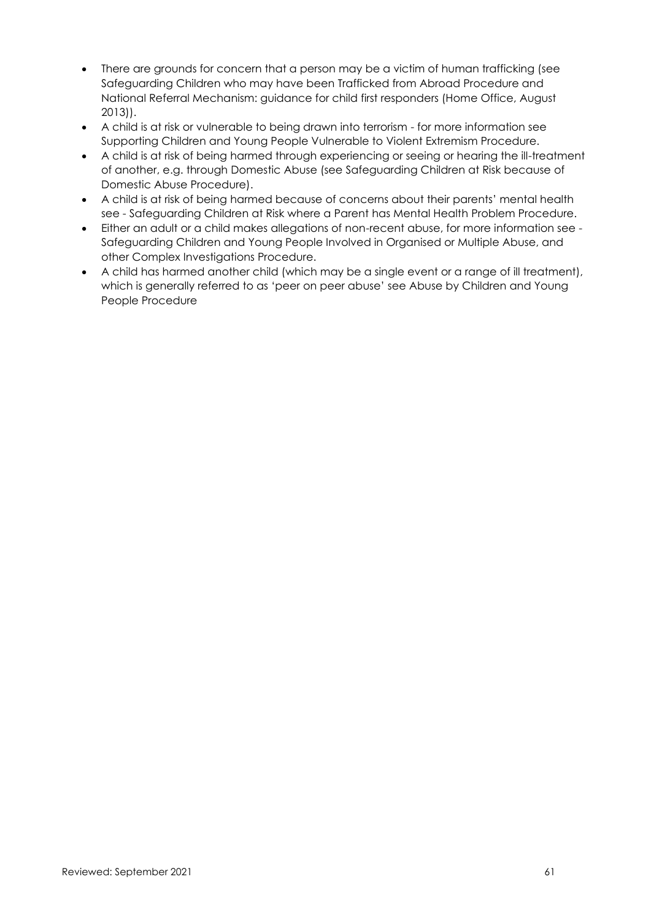- There are grounds for concern that a person may be a victim of human trafficking (see Safeguarding Children who may have been Trafficked from Abroad Procedure and National Referral Mechanism: guidance for child first responders (Home Office, August 2013)).
- A child is at risk or vulnerable to being drawn into terrorism for more information see Supporting Children and Young People Vulnerable to Violent Extremism Procedure.
- A child is at risk of being harmed through experiencing or seeing or hearing the ill-treatment of another, e.g. through Domestic Abuse (see Safeguarding Children at Risk because of Domestic Abuse Procedure).
- A child is at risk of being harmed because of concerns about their parents' mental health see - Safeguarding Children at Risk where a Parent has Mental Health Problem Procedure.
- Either an adult or a child makes allegations of non-recent abuse, for more information see Safeguarding Children and Young People Involved in Organised or Multiple Abuse, and other Complex Investigations Procedure.
- A child has harmed another child (which may be a single event or a range of ill treatment), which is generally referred to as 'peer on peer abuse' see Abuse by Children and Young People Procedure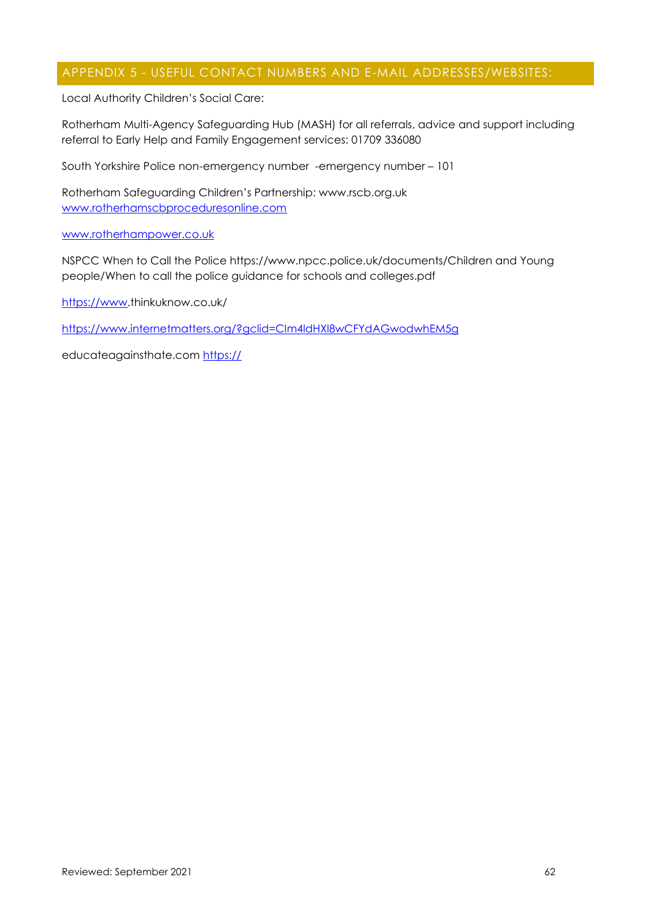### <span id="page-61-0"></span>APPENDIX 5 - USEFUL CONTACT NUMBERS AND E-MAIL ADDRESSES/WEBSITES:

Local Authority Children's Social Care:

Rotherham Multi-Agency Safeguarding Hub (MASH) for all referrals, advice and support including referral to Early Help and Family Engagement services: 01709 336080

South Yorkshire Police non-emergency number -emergency number – 101

Rotherham Safeguarding Children's Partnership: www.rscb.org.uk [www.rotherhamscbproceduresonline.com](http://www.rotherhamscbproceduresonline.com/)

#### [www.rotherhampower.co.uk](http://www.rotherhampower.co.uk/)

NSPCC When to Call the Police https://www.npcc.police.uk/documents/Children and Young people/When to call the police guidance for schools and colleges.pdf

[https://www.](https://www/)thinkuknow.co.uk/

<https://www.internetmatters.org/?gclid=CIm4ldHXl8wCFYdAGwodwhEM5g>

educateagainsthate.com https://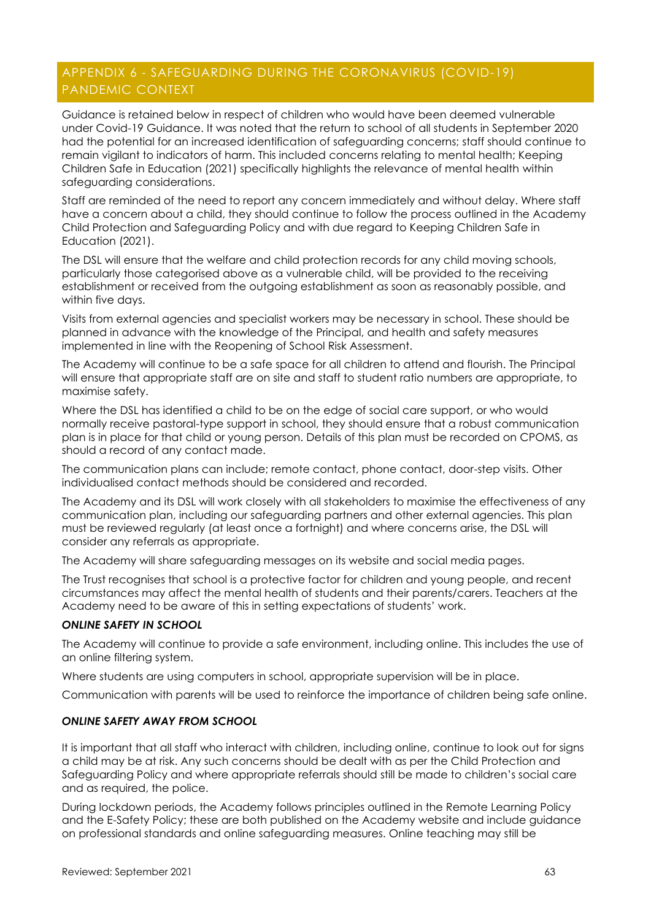# <span id="page-62-0"></span>APPENDIX 6 - SAFEGUARDING DURING THE CORONAVIRUS (COVID-19) PANDEMIC CONTEXT

Guidance is retained below in respect of children who would have been deemed vulnerable under Covid-19 Guidance. It was noted that the return to school of all students in September 2020 had the potential for an increased identification of safeguarding concerns; staff should continue to remain vigilant to indicators of harm. This included concerns relating to mental health; Keeping Children Safe in Education (2021) specifically highlights the relevance of mental health within safeguarding considerations.

Staff are reminded of the need to report any concern immediately and without delay. Where staff have a concern about a child, they should continue to follow the process outlined in the Academy Child Protection and Safeguarding Policy and with due regard to Keeping Children Safe in Education (2021).

The DSL will ensure that the welfare and child protection records for any child moving schools, particularly those categorised above as a vulnerable child, will be provided to the receiving establishment or received from the outgoing establishment as soon as reasonably possible, and within five days.

Visits from external agencies and specialist workers may be necessary in school. These should be planned in advance with the knowledge of the Principal, and health and safety measures implemented in line with the Reopening of School Risk Assessment.

The Academy will continue to be a safe space for all children to attend and flourish. The Principal will ensure that appropriate staff are on site and staff to student ratio numbers are appropriate, to maximise safety.

Where the DSL has identified a child to be on the edge of social care support, or who would normally receive pastoral-type support in school, they should ensure that a robust communication plan is in place for that child or young person. Details of this plan must be recorded on CPOMS, as should a record of any contact made.

The communication plans can include; remote contact, phone contact, door-step visits. Other individualised contact methods should be considered and recorded.

The Academy and its DSL will work closely with all stakeholders to maximise the effectiveness of any communication plan, including our safeguarding partners and other external agencies. This plan must be reviewed regularly (at least once a fortnight) and where concerns arise, the DSL will consider any referrals as appropriate.

The Academy will share safeguarding messages on its website and social media pages.

The Trust recognises that school is a protective factor for children and young people, and recent circumstances may affect the mental health of students and their parents/carers. Teachers at the Academy need to be aware of this in setting expectations of students' work.

#### *ONLINE SAFETY IN SCHOOL*

The Academy will continue to provide a safe environment, including online. This includes the use of an online filtering system.

Where students are using computers in school, appropriate supervision will be in place.

Communication with parents will be used to reinforce the importance of children being safe online.

#### *ONLINE SAFETY AWAY FROM SCHOOL*

It is important that all staff who interact with children, including online, continue to look out for signs a child may be at risk. Any such concerns should be dealt with as per the Child Protection and Safeguarding Policy and where appropriate referrals should still be made to children's social care and as required, the police.

During lockdown periods, the Academy follows principles outlined in the Remote Learning Policy and the E-Safety Policy; these are both published on the Academy website and include guidance on professional standards and online safeguarding measures. Online teaching may still be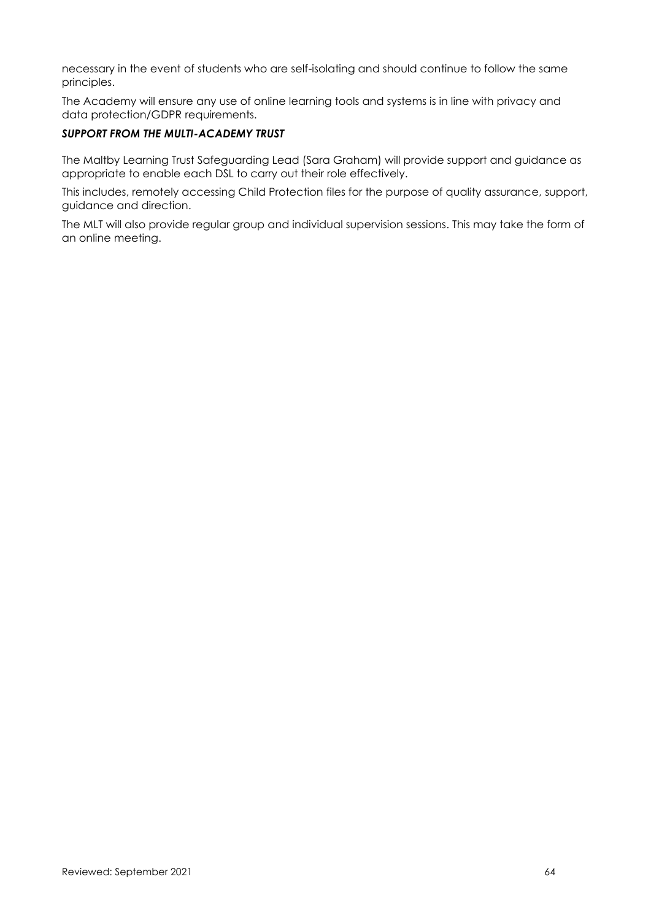necessary in the event of students who are self-isolating and should continue to follow the same principles.

The Academy will ensure any use of online learning tools and systems is in line with privacy and data protection/GDPR requirements.

#### *SUPPORT FROM THE MULTI-ACADEMY TRUST*

The Maltby Learning Trust Safeguarding Lead (Sara Graham) will provide support and guidance as appropriate to enable each DSL to carry out their role effectively.

This includes, remotely accessing Child Protection files for the purpose of quality assurance, support, guidance and direction.

The MLT will also provide regular group and individual supervision sessions. This may take the form of an online meeting.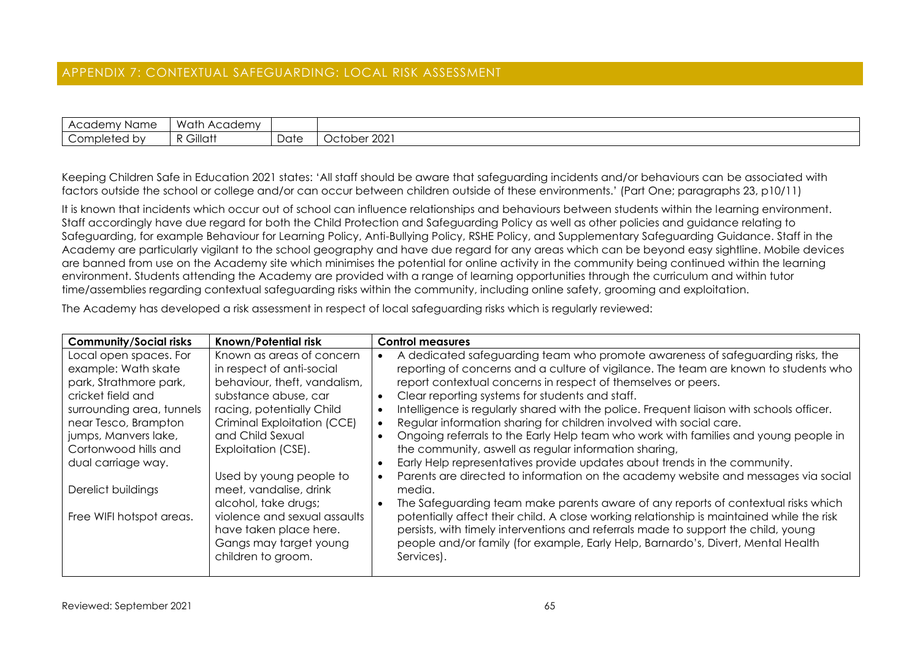# APPENDIX 7: CONTEXTUAL SAFEGUARDING: LOCAL RISK ASSESSMENT

| - Academ <sup>.</sup><br>: Name<br>$\sim$ | Wath<br>Academy |      |                                 |
|-------------------------------------------|-----------------|------|---------------------------------|
| Completed by                              | Gillatt<br>. .  | Date | 202'<br>10t0 har<br>IUNGI<br>◡◡ |

Keeping Children Safe in Education 2021 states: 'All staff should be aware that safeguarding incidents and/or behaviours can be associated with factors outside the school or college and/or can occur between children outside of these environments.' (Part One; paragraphs 23, p10/11)

It is known that incidents which occur out of school can influence relationships and behaviours between students within the learning environment. Staff accordingly have due regard for both the Child Protection and Safeguarding Policy as well as other policies and guidance relating to Safeguarding, for example Behaviour for Learning Policy, Anti-Bullying Policy, RSHE Policy, and Supplementary Safeguarding Guidance. Staff in the Academy are particularly vigilant to the school geography and have due regard for any areas which can be beyond easy sightline. Mobile devices are banned from use on the Academy site which minimises the potential for online activity in the community being continued within the learning environment. Students attending the Academy are provided with a range of learning opportunities through the curriculum and within tutor time/assemblies regarding contextual safeguarding risks within the community, including online safety, grooming and exploitation.

The Academy has developed a risk assessment in respect of local safeguarding risks which is regularly reviewed:

<span id="page-64-0"></span>

| <b>Community/Social risks</b> | <b>Known/Potential risk</b>  | Control measures                                                                          |
|-------------------------------|------------------------------|-------------------------------------------------------------------------------------------|
| Local open spaces. For        | Known as areas of concern    | A dedicated safeguarding team who promote awareness of safeguarding risks, the            |
| example: Wath skate           | in respect of anti-social    | reporting of concerns and a culture of vigilance. The team are known to students who      |
| park, Strathmore park,        | behaviour, theft, vandalism, | report contextual concerns in respect of themselves or peers.                             |
| cricket field and             | substance abuse, car         | Clear reporting systems for students and staff.                                           |
| surrounding area, tunnels     | racing, potentially Child    | Intelligence is regularly shared with the police. Frequent liaison with schools officer.  |
| near Tesco, Brampton          | Criminal Exploitation (CCE)  | Regular information sharing for children involved with social care.                       |
| jumps, Manvers lake,          | and Child Sexual             | Ongoing referrals to the Early Help team who work with families and young people in       |
| Cortonwood hills and          | Exploitation (CSE).          | the community, aswell as regular information sharing,                                     |
| dual carriage way.            |                              | Early Help representatives provide updates about trends in the community.                 |
|                               | Used by young people to      | Parents are directed to information on the academy website and messages via social        |
| Derelict buildings            | meet, vandalise, drink       | media.                                                                                    |
|                               | alcohol, take drugs;         | The Safeguarding team make parents aware of any reports of contextual risks which         |
| Free WIFI hotspot areas.      | violence and sexual assaults | potentially affect their child. A close working relationship is maintained while the risk |
|                               | have taken place here.       | persists, with timely interventions and referrals made to support the child, young        |
|                               | Gangs may target young       | people and/or family (for example, Early Help, Barnardo's, Divert, Mental Health          |
|                               | children to groom.           | Services).                                                                                |
|                               |                              |                                                                                           |